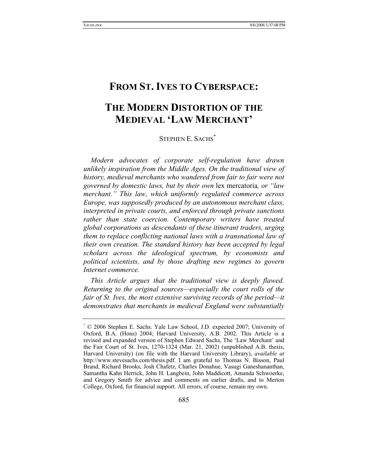# **THE MODERN DISTORTION OF THE MEDIEVAL 'LAW MERCHANT'**

STEPHEN E. SACHS*\**

*Modern advocates of corporate self-regulation have drawn unlikely inspiration from the Middle Ages. On the traditional view of history, medieval merchants who wandered from fair to fair were not governed by domestic laws, but by their own* lex mercatoria*, or "law merchant." This law, which uniformly regulated commerce across Europe, was supposedly produced by an autonomous merchant class, interpreted in private courts, and enforced through private sanctions rather than state coercion. Contemporary writers have treated global corporations as descendants of these itinerant traders, urging them to replace conflicting national laws with a transnational law of their own creation. The standard history has been accepted by legal scholars across the ideological spectrum, by economists and political scientists, and by those drafting new regimes to govern Internet commerce.*

*This Article argues that the traditional view is deeply flawed. Returning to the original sources—especially the court rolls of the fair of St. Ives, the most extensive surviving records of the period—it demonstrates that merchants in medieval England were substantially* 

<sup>\*</sup> © 2006 Stephen E. Sachs. Yale Law School, J.D. expected 2007; University of Oxford, B.A. (Hons) 2004; Harvard University, A.B. 2002. This Article is a revised and expanded version of Stephen Edward Sachs, The 'Law Merchant' and the Fair Court of St. Ives, 1270-1324 (Mar. 21, 2002) (unpublished A.B. thesis, Harvard University) (on file with the Harvard University Library), *available at* http://www.stevesachs.com/thesis.pdf. I am grateful to Thomas N. Bisson, Paul Brand, Richard Brooks, Josh Chafetz, Charles Donahue, Vasugi Ganeshananthan, Samantha Kahn Herrick, John H. Langbein, John Maddicott, Amanda Schwoerke, and Gregory Smith for advice and comments on earlier drafts, and to Merton College, Oxford, for financial support. All errors, of course, remain my own.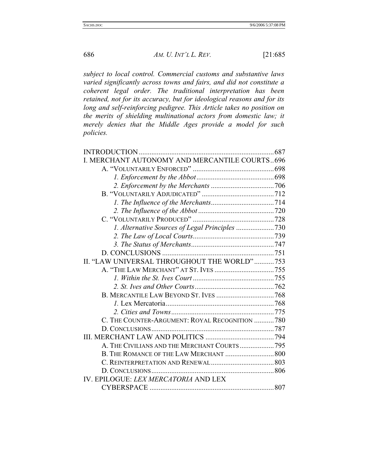*subject to local control. Commercial customs and substantive laws varied significantly across towns and fairs, and did not constitute a coherent legal order. The traditional interpretation has been retained, not for its accuracy, but for ideological reasons and for its long and self-reinforcing pedigree. This Article takes no position on the merits of shielding multinational actors from domestic law; it merely denies that the Middle Ages provide a model for such policies.*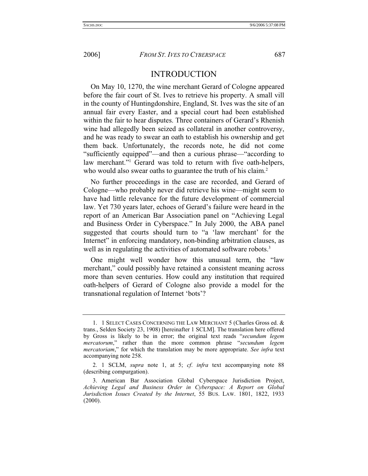## INTRODUCTION

On May 10, 1270, the wine merchant Gerard of Cologne appeared before the fair court of St. Ives to retrieve his property. A small vill in the county of Huntingdonshire, England, St. Ives was the site of an annual fair every Easter, and a special court had been established within the fair to hear disputes. Three containers of Gerard's Rhenish wine had allegedly been seized as collateral in another controversy, and he was ready to swear an oath to establish his ownership and get them back. Unfortunately, the records note, he did not come "sufficiently equipped"—and then a curious phrase—"according to law merchant."1 Gerard was told to return with five oath-helpers, who would also swear oaths to guarantee the truth of his claim.<sup>2</sup>

No further proceedings in the case are recorded, and Gerard of Cologne—who probably never did retrieve his wine—might seem to have had little relevance for the future development of commercial law. Yet 730 years later, echoes of Gerard's failure were heard in the report of an American Bar Association panel on "Achieving Legal and Business Order in Cyberspace." In July 2000, the ABA panel suggested that courts should turn to "a 'law merchant' for the Internet" in enforcing mandatory, non-binding arbitration clauses, as well as in regulating the activities of automated software robots.<sup>3</sup>

One might well wonder how this unusual term, the "law merchant," could possibly have retained a consistent meaning across more than seven centuries. How could any institution that required oath-helpers of Gerard of Cologne also provide a model for the transnational regulation of Internet 'bots'?

 <sup>1. 1</sup> SELECT CASES CONCERNING THE LAW MERCHANT 5 (Charles Gross ed. & trans., Selden Society 23, 1908) [hereinafter 1 SCLM]. The translation here offered by Gross is likely to be in error; the original text reads "*secundum legem mercatorum*," rather than the more common phrase "*secundum legem mercatoriam*," for which the translation may be more appropriate. *See infra* text accompanying note 258.

 <sup>2. 1</sup> SCLM, *supra* note 1, at 5; *cf*. *infra* text accompanying note 88 (describing compurgation).

 <sup>3.</sup> American Bar Association Global Cyberspace Jurisdiction Project, *Achieving Legal and Business Order in Cyberspace: A Report on Global Jurisdiction Issues Created by the Internet*, 55 BUS. LAW. 1801, 1822, 1933  $(2000).$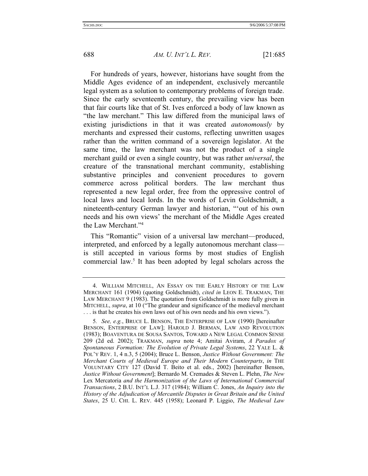For hundreds of years, however, historians have sought from the Middle Ages evidence of an independent, exclusively mercantile legal system as a solution to contemporary problems of foreign trade. Since the early seventeenth century, the prevailing view has been that fair courts like that of St. Ives enforced a body of law known as "the law merchant." This law differed from the municipal laws of existing jurisdictions in that it was created *autonomously* by merchants and expressed their customs, reflecting unwritten usages rather than the written command of a sovereign legislator. At the same time, the law merchant was not the product of a single merchant guild or even a single country, but was rather *universal*, the creature of the transnational merchant community, establishing substantive principles and convenient procedures to govern commerce across political borders. The law merchant thus represented a new legal order, free from the oppressive control of local laws and local lords. In the words of Levin Goldschmidt, a nineteenth-century German lawyer and historian, "'out of his own needs and his own views' the merchant of the Middle Ages created the Law Merchant."4

This "Romantic" vision of a universal law merchant—produced, interpreted, and enforced by a legally autonomous merchant class is still accepted in various forms by most studies of English commercial law.5 It has been adopted by legal scholars across the

 <sup>4.</sup> WILLIAM MITCHELL, AN ESSAY ON THE EARLY HISTORY OF THE LAW MERCHANT 161 (1904) (quoting Goldschmidt), *cited in* LEON E. TRAKMAN, THE LAW MERCHANT 9 (1983). The quotation from Goldschmidt is more fully given in MITCHELL, *supra*, at 10 ("The grandeur and significance of the medieval merchant . . . is that he creates his own laws out of his own needs and his own views.").

<sup>5</sup>*. See, e.g.*, BRUCE L. BENSON, THE ENTERPRISE OF LAW (1990) [hereinafter BENSON, ENTERPRISE OF LAW]; HAROLD J. BERMAN, LAW AND REVOLUTION (1983); BOAVENTURA DE SOUSA SANTOS, TOWARD A NEW LEGAL COMMON SENSE 209 (2d ed. 2002); TRAKMAN, *supra* note 4; Amitai Aviram, *A Paradox of Spontaneous Formation: The Evolution of Private Legal Systems*, 22 YALE L. & POL'Y REV. 1, 4 n.3, 5 (2004); Bruce L. Benson, *Justice Without Government: The Merchant Courts of Medieval Europe and Their Modern Counterparts*, *in* THE VOLUNTARY CITY 127 (David T. Beito et al. eds., 2002) [hereinafter Benson, *Justice Without Government*]; Bernardo M. Cremades & Steven L. Plehn, *The New*  Lex Mercatoria *and the Harmonization of the Laws of International Commercial Transactions*, 2 B.U. INT'L L.J. 317 (1984); William C. Jones, *An Inquiry into the History of the Adjudication of Mercantile Disputes in Great Britain and the United States*, 25 U. CHI. L. REV. 445 (1958); Leonard P. Liggio, *The Medieval Law*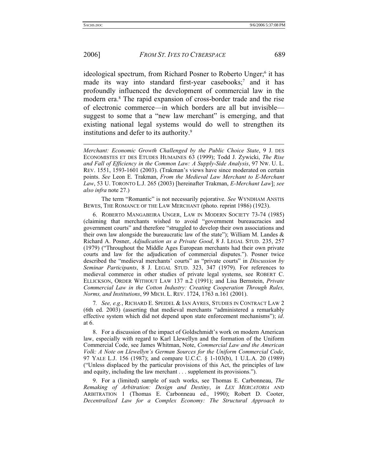### 2006] *FROM ST. IVES TO CYBERSPACE* 689

ideological spectrum, from Richard Posner to Roberto Unger;<sup>6</sup> it has made its way into standard first-year casebooks;<sup>7</sup> and it has profoundly influenced the development of commercial law in the modern era.<sup>8</sup> The rapid expansion of cross-border trade and the rise of electronic commerce—in which borders are all but invisible suggest to some that a "new law merchant" is emerging, and that existing national legal systems would do well to strengthen its institutions and defer to its authority.9

 The term "Romantic" is not necessarily pejorative. *See* WYNDHAM ANSTIS BEWES, THE ROMANCE OF THE LAW MERCHANT (photo. reprint 1986) (1923).

 6. ROBERTO MANGABEIRA UNGER, LAW IN MODERN SOCIETY 73-74 (1985) (claiming that merchants wished to avoid "government bureaucracies and government courts" and therefore "struggled to develop their own associations and their own law alongside the bureaucratic law of the state"); William M. Landes  $\&$ Richard A. Posner, *Adjudication as a Private Good*, 8 J. LEGAL STUD. 235, 257 (1979) ("Throughout the Middle Ages European merchants had their own private courts and law for the adjudication of commercial disputes."). Posner twice described the "medieval merchants' courts" as "private courts" in *Discussion by Seminar Participants*, 8 J. LEGAL STUD. 323, 347 (1979). For references to medieval commerce in other studies of private legal systems, see ROBERT C. ELLICKSON, ORDER WITHOUT LAW 137 n.2 (1991); and Lisa Bernstein, *Private Commercial Law in the Cotton Industry: Creating Cooperation Through Rules, Norms, and Institutions*, 99 MICH. L. REV. 1724, 1763 n.161 (2001).

7*. See, e.g.*, RICHARD E. SPEIDEL & IAN AYRES, STUDIES IN CONTRACT LAW 2 (6th ed. 2003) (asserting that medieval merchants "administered a remarkably effective system which did not depend upon state enforcement mechanisms"); *id*. at 6.

 8. For a discussion of the impact of Goldschmidt's work on modern American law, especially with regard to Karl Llewellyn and the formation of the Uniform Commercial Code, see James Whitman, Note, *Commercial Law and the American Volk: A Note on Llewellyn's German Sources for the Uniform Commercial Code*, 97 YALE L.J. 156 (1987); and compare U.C.C. § 1-103(b), 1 U.L.A. 20 (1989) ("Unless displaced by the particular provisions of this Act, the principles of law and equity, including the law merchant . . . supplement its provisions.").

 9. For a (limited) sample of such works, see Thomas E. Carbonneau, *The Remaking of Arbitration: Design and Destiny*, *in LEX MERCATORIA* AND ARBITRATION 1 (Thomas E. Carbonneau ed., 1990); Robert D. Cooter, *Decentralized Law for a Complex Economy: The Structural Approach to* 

*Merchant: Economic Growth Challenged by the Public Choice State*, 9 J. DES ECONOMISTES ET DES ETUDES HUMAINES 63 (1999); Todd J. Zywicki, *The Rise and Fall of Efficiency in the Common Law: A Supply-Side Analysis*, 97 NW. U. L. REV. 1551, 1593-1601 (2003). (Trakman's views have since moderated on certain points. *See* Leon E. Trakman, *From the Medieval Law Merchant to E-Merchant Law*, 53 U. TORONTO L.J. 265 (2003) [hereinafter Trakman, *E-Merchant Law*]; *see also infra* note 27.)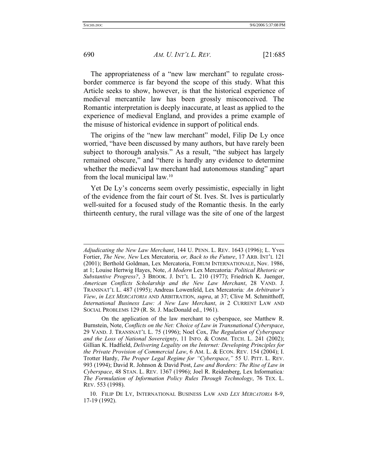690 *AM. U. INT'L L. REV.* [21:685

The appropriateness of a "new law merchant" to regulate crossborder commerce is far beyond the scope of this study. What this Article seeks to show, however, is that the historical experience of medieval mercantile law has been grossly misconceived. The Romantic interpretation is deeply inaccurate, at least as applied to the experience of medieval England, and provides a prime example of the misuse of historical evidence in support of political ends.

The origins of the "new law merchant" model, Filip De Ly once worried, "have been discussed by many authors, but have rarely been subject to thorough analysis." As a result, "the subject has largely remained obscure," and "there is hardly any evidence to determine whether the medieval law merchant had autonomous standing" apart from the local municipal law.10

Yet De Ly's concerns seem overly pessimistic, especially in light of the evidence from the fair court of St. Ives. St. Ives is particularly well-suited for a focused study of the Romantic thesis. In the early thirteenth century, the rural village was the site of one of the largest

*Adjudicating the New Law Merchant*, 144 U. PENN. L. REV. 1643 (1996); L. Yves Fortier, *The New, New* Lex Mercatoria*, or, Back to the Future*, 17 ARB. INT'L 121 (2001); Berthold Goldman, Lex Mercatoria, FORUM INTERNATIONALE, Nov. 1986, at 1; Louise Hertwig Hayes, Note, *A Modern* Lex Mercatoria*: Political Rhetoric or Substantive Progress?*, 3 BROOK. J. INT'L L. 210 (1977); Friedrich K. Juenger, *American Conflicts Scholarship and the New Law Merchant*, 28 VAND. J. TRANSNAT'L L. 487 (1995); Andreas Lowenfeld, Lex Mercatoria*: An Arbitrator's View*, *in LEX MERCATORIA* AND ARBITRATION, *supra*, at 37; Clive M. Schmitthoff, *International Business Law: A New Law Merchant*, *in* 2 CURRENT LAW AND SOCIAL PROBLEMS 129 (R. St. J. MacDonald ed., 1961).

On the application of the law merchant to cyberspace, see Matthew R. Burnstein, Note, *Conflicts on the Net: Choice of Law in Transnational Cyberspace*, 29 VAND. J. TRANSNAT'L L. 75 (1996); Noel Cox, *The Regulation of Cyberspace and the Loss of National Sovereignty*, 11 INFO. & COMM. TECH. L. 241 (2002); Gillian K. Hadfield, *Delivering Legality on the Internet: Developing Principles for the Private Provision of Commercial Law*, 6 AM. L. & ECON. REV. 154 (2004); I. Trotter Hardy, *The Proper Legal Regime for "Cyberspace*,*"* 55 U. PITT. L. REV. 993 (1994); David R. Johnson & David Post, *Law and Borders: The Rise of Law in Cyberspace*, 48 STAN. L. REV. 1367 (1996); Joel R. Reidenberg, Lex Informatica*: The Formulation of Information Policy Rules Through Technology*, 76 TEX. L. REV. 553 (1998).

 <sup>10.</sup> FILIP DE LY, INTERNATIONAL BUSINESS LAW AND *LEX MERCATORIA* 8-9, 17-19 (1992).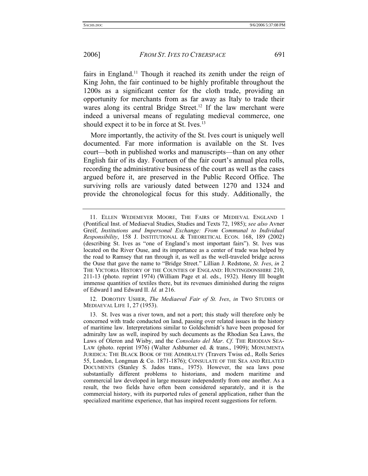fairs in England.<sup>11</sup> Though it reached its zenith under the reign of King John, the fair continued to be highly profitable throughout the 1200s as a significant center for the cloth trade, providing an opportunity for merchants from as far away as Italy to trade their wares along its central Bridge Street.<sup>12</sup> If the law merchant were indeed a universal means of regulating medieval commerce, one should expect it to be in force at St. Ives.<sup>13</sup>

More importantly, the activity of the St. Ives court is uniquely well documented. Far more information is available on the St. Ives court—both in published works and manuscripts—than on any other English fair of its day. Fourteen of the fair court's annual plea rolls, recording the administrative business of the court as well as the cases argued before it, are preserved in the Public Record Office. The surviving rolls are variously dated between 1270 and 1324 and provide the chronological focus for this study. Additionally, the

 12. DOROTHY USHER, *The Mediaeval Fair of St. Ives*, *in* TWO STUDIES OF MEDIAEVAL LIFE 1, 27 (1953).

 <sup>11.</sup> ELLEN WEDEMEYER MOORE, THE FAIRS OF MEDIEVAL ENGLAND 1 (Pontifical Inst. of Mediaeval Studies, Studies and Texts 72, 1985); *see also* Avner Greif, *Institutions and Impersonal Exchange: From Communal to Individual Responsibility*, 158 J. INSTITUTIONAL & THEORETICAL ECON. 168, 189 (2002) (describing St. Ives as "one of England's most important fairs"). St. Ives was located on the River Ouse, and its importance as a center of trade was helped by the road to Ramsey that ran through it, as well as the well-traveled bridge across the Ouse that gave the name to "Bridge Street." Lillian J. Redstone, *St. Ives*, *in* 2 THE VICTORIA HISTORY OF THE COUNTIES OF ENGLAND: HUNTINGDONSHIRE 210, 211-13 (photo. reprint 1974) (William Page et al. eds., 1932). Henry III bought immense quantities of textiles there, but its revenues diminished during the reigns of Edward I and Edward II. *Id.* at 216.

 <sup>13.</sup> St. Ives was a river town, and not a port; this study will therefore only be concerned with trade conducted on land, passing over related issues in the history of maritime law. Interpretations similar to Goldschmidt's have been proposed for admiralty law as well, inspired by such documents as the Rhodian Sea Laws, the Laws of Oleron and Wisby, and the *Consolato del Mar*. *Cf*. THE RHODIAN SEA-LAW (photo. reprint 1976) (Walter Ashburner ed. & trans., 1909); MONUMENTA JURIDICA: THE BLACK BOOK OF THE ADMIRALTY (Travers Twiss ed., Rolls Series 55, London, Longman & Co. 1871-1876); CONSULATE OF THE SEA AND RELATED DOCUMENTS (Stanley S. Jados trans., 1975). However, the sea laws pose substantially different problems to historians, and modern maritime and commercial law developed in large measure independently from one another. As a result, the two fields have often been considered separately, and it is the commercial history, with its purported rules of general application, rather than the specialized maritime experience, that has inspired recent suggestions for reform.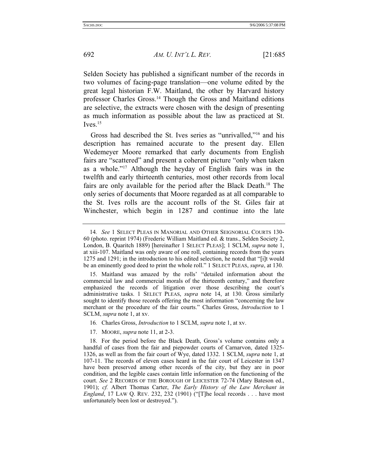Selden Society has published a significant number of the records in two volumes of facing-page translation—one volume edited by the great legal historian F.W. Maitland, the other by Harvard history professor Charles Gross.14 Though the Gross and Maitland editions are selective, the extracts were chosen with the design of presenting as much information as possible about the law as practiced at St.  $Ives.<sup>15</sup>$ 

Gross had described the St. Ives series as "unrivalled,"16 and his description has remained accurate to the present day. Ellen Wedemeyer Moore remarked that early documents from English fairs are "scattered" and present a coherent picture "only when taken as a whole."17 Although the heyday of English fairs was in the twelfth and early thirteenth centuries, most other records from local fairs are only available for the period after the Black Death.<sup>18</sup> The only series of documents that Moore regarded as at all comparable to the St. Ives rolls are the account rolls of the St. Giles fair at Winchester, which begin in 1287 and continue into the late

- 16*.* Charles Gross, *Introduction* to 1 SCLM, *supra* note 1, at xv.
- 17. MOORE, *supra* note 11, at 2-3.

<sup>14</sup>*. See* 1 SELECT PLEAS IN MANORIAL AND OTHER SEIGNORIAL COURTS 130- 60 (photo. reprint 1974) (Frederic William Maitland ed. & trans., Selden Society 2, London, B. Quaritch 1889) [hereinafter 1 SELECT PLEAS]; 1 SCLM, *supra* note 1, at xiii-107. Maitland was only aware of one roll, containing records from the years 1275 and 1291; in the introduction to his edited selection, he noted that "[i]t would be an eminently good deed to print the whole roll." 1 SELECT PLEAS, *supra*, at 130.

 <sup>15.</sup> Maitland was amazed by the rolls' "detailed information about the commercial law and commercial morals of the thirteenth century," and therefore emphasized the records of litigation over those describing the court's administrative tasks. 1 SELECT PLEAS, *supra* note 14, at 130. Gross similarly sought to identify those records offering the most information "concerning the law merchant or the procedure of the fair courts." Charles Gross, *Introduction* to 1 SCLM, *supra* note 1, at xv.

 <sup>18.</sup> For the period before the Black Death, Gross's volume contains only a handful of cases from the fair and piepowder courts of Carnarvon, dated 1325- 1326, as well as from the fair court of Wye, dated 1332. 1 SCLM, *supra* note 1, at 107-11. The records of eleven cases heard in the fair court of Leicester in 1347 have been preserved among other records of the city, but they are in poor condition, and the legible cases contain little information on the functioning of the court. *See* 2 RECORDS OF THE BOROUGH OF LEICESTER 72-74 (Mary Bateson ed., 1901); *cf.* Albert Thomas Carter, *The Early History of the Law Merchant in England*, 17 LAW Q. REV. 232, 232 (1901) ("[T]he local records . . . have most unfortunately been lost or destroyed.").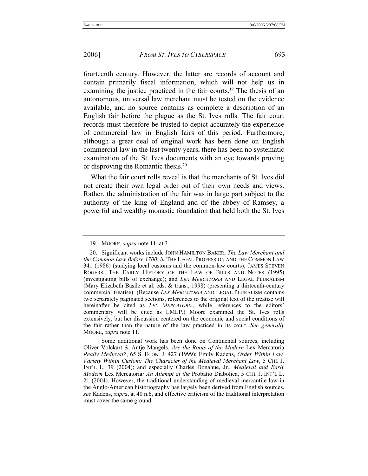fourteenth century. However, the latter are records of account and contain primarily fiscal information, which will not help us in examining the justice practiced in the fair courts.<sup>19</sup> The thesis of an autonomous, universal law merchant must be tested on the evidence available, and no source contains as complete a description of an English fair before the plague as the St. Ives rolls. The fair court records must therefore be trusted to depict accurately the experience of commercial law in English fairs of this period. Furthermore, although a great deal of original work has been done on English commercial law in the last twenty years, there has been no systematic examination of the St. Ives documents with an eye towards proving or disproving the Romantic thesis.20

What the fair court rolls reveal is that the merchants of St. Ives did not create their own legal order out of their own needs and views. Rather, the administration of the fair was in large part subject to the authority of the king of England and of the abbey of Ramsey, a powerful and wealthy monastic foundation that held both the St. Ives

 <sup>19.</sup> MOORE, *supra* note 11, at 3.

 <sup>20.</sup> Significant works include JOHN HAMILTON BAKER, *The Law Merchant and the Common Law Before 1700*, *in* THE LEGAL PROFESSION AND THE COMMON LAW 341 (1986) (studying local customs and the common-law courts); JAMES STEVEN ROGERS, THE EARLY HISTORY OF THE LAW OF BILLS AND NOTES (1995) (investigating bills of exchange); and *LEX MERCATORIA* AND LEGAL PLURALISM (Mary Elizabeth Basile et al. eds. & trans., 1998) (presenting a thirteenth-century commercial treatise). (Because *LEX MERCATORIA* AND LEGAL PLURALISM contains two separately paginated sections, references to the original text of the treatise will hereinafter be cited as *LEX MERCATORIA*, while references to the editors' commentary will be cited as LMLP.) Moore examined the St. Ives rolls extensively, but her discussion centered on the economic and social conditions of the fair rather than the nature of the law practiced in its court. *See generally*  MOORE, *supra* note 11.

Some additional work has been done on Continental sources, including Oliver Volckart & Antje Mangels, *Are the Roots of the Modern* Lex Mercatoria *Really Medieval?*, 65 S. ECON. J. 427 (1999); Emily Kadens, *Order Within Law, Variety Within Custom: The Character of the Medieval Merchant Law*, 5 CHI. J. INT'L L. 39 (2004); and especially Charles Donahue, Jr., *Medieval and Early Modern* Lex Mercatoria*: An Attempt at the* Probatio Diabolica, 5 CHI. J. INT'L L. 21 (2004). However, the traditional understanding of medieval mercantile law in the Anglo-American historiography has largely been derived from English sources, *see* Kadens, *supra*, at 40 n.6, and effective criticism of the traditional interpretation must cover the same ground.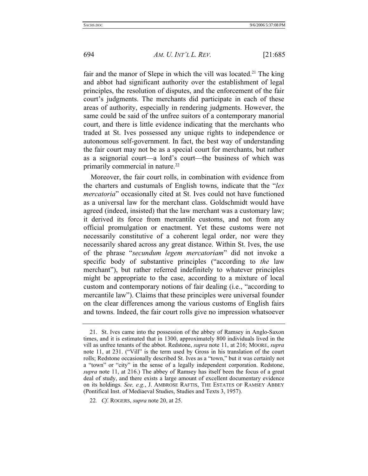fair and the manor of Slepe in which the vill was located.<sup>21</sup> The king and abbot had significant authority over the establishment of legal principles, the resolution of disputes, and the enforcement of the fair court's judgments. The merchants did participate in each of these areas of authority, especially in rendering judgments. However, the same could be said of the unfree suitors of a contemporary manorial court, and there is little evidence indicating that the merchants who traded at St. Ives possessed any unique rights to independence or autonomous self-government. In fact, the best way of understanding the fair court may not be as a special court for merchants, but rather as a seignorial court—a lord's court—the business of which was primarily commercial in nature.<sup>22</sup>

Moreover, the fair court rolls, in combination with evidence from the charters and custumals of English towns, indicate that the "*lex mercatoria*" occasionally cited at St. Ives could not have functioned as a universal law for the merchant class. Goldschmidt would have agreed (indeed, insisted) that the law merchant was a customary law; it derived its force from mercantile customs, and not from any official promulgation or enactment. Yet these customs were not necessarily constitutive of a coherent legal order, nor were they necessarily shared across any great distance. Within St. Ives, the use of the phrase "*secundum legem mercatoriam*" did not invoke a specific body of substantive principles ("according to *the* law merchant"), but rather referred indefinitely to whatever principles might be appropriate to the case, according to a mixture of local custom and contemporary notions of fair dealing (i.e., "according to mercantile law"). Claims that these principles were universal founder on the clear differences among the various customs of English fairs and towns. Indeed, the fair court rolls give no impression whatsoever

 <sup>21.</sup> St. Ives came into the possession of the abbey of Ramsey in Anglo-Saxon times, and it is estimated that in 1300, approximately 800 individuals lived in the vill as unfree tenants of the abbot. Redstone, *supra* note 11, at 216; MOORE, *supra* note 11, at 231. ("Vill" is the term used by Gross in his translation of the court rolls; Redstone occasionally described St. Ives as a "town," but it was certainly not a "town" or "city" in the sense of a legally independent corporation. Redstone, *supra* note 11, at 216.) The abbey of Ramsey has itself been the focus of a great deal of study, and there exists a large amount of excellent documentary evidence on its holdings. *See, e.g.*, J. AMBROSE RAFTIS, THE ESTATES OF RAMSEY ABBEY (Pontifical Inst. of Mediaeval Studies, Studies and Texts 3, 1957).

<sup>22</sup>*. Cf*. ROGERS, *supra* note 20, at 25.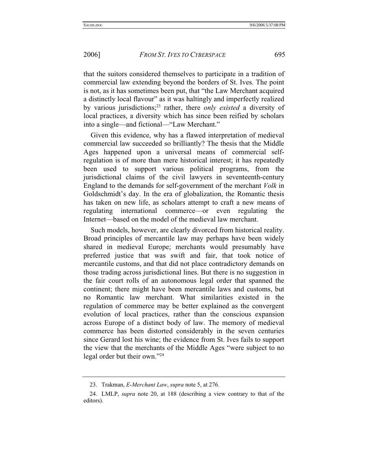that the suitors considered themselves to participate in a tradition of commercial law extending beyond the borders of St. Ives. The point is not, as it has sometimes been put, that "the Law Merchant acquired a distinctly local flavour" as it was haltingly and imperfectly realized by various jurisdictions;23 rather, there *only existed* a diversity of local practices, a diversity which has since been reified by scholars into a single—and fictional—"Law Merchant."

Given this evidence, why has a flawed interpretation of medieval commercial law succeeded so brilliantly? The thesis that the Middle Ages happened upon a universal means of commercial selfregulation is of more than mere historical interest; it has repeatedly been used to support various political programs, from the jurisdictional claims of the civil lawyers in seventeenth-century England to the demands for self-government of the merchant *Volk* in Goldschmidt's day. In the era of globalization, the Romantic thesis has taken on new life, as scholars attempt to craft a new means of regulating international commerce—or even regulating the Internet—based on the model of the medieval law merchant.

Such models, however, are clearly divorced from historical reality. Broad principles of mercantile law may perhaps have been widely shared in medieval Europe; merchants would presumably have preferred justice that was swift and fair, that took notice of mercantile customs, and that did not place contradictory demands on those trading across jurisdictional lines. But there is no suggestion in the fair court rolls of an autonomous legal order that spanned the continent; there might have been mercantile laws and customs, but no Romantic law merchant. What similarities existed in the regulation of commerce may be better explained as the convergent evolution of local practices, rather than the conscious expansion across Europe of a distinct body of law. The memory of medieval commerce has been distorted considerably in the seven centuries since Gerard lost his wine; the evidence from St. Ives fails to support the view that the merchants of the Middle Ages "were subject to no legal order but their own."24

 <sup>23.</sup> Trakman, *E-Merchant Law*, *supra* note 5, at 276.

 <sup>24.</sup> LMLP, *supra* note 20, at 188 (describing a view contrary to that of the editors).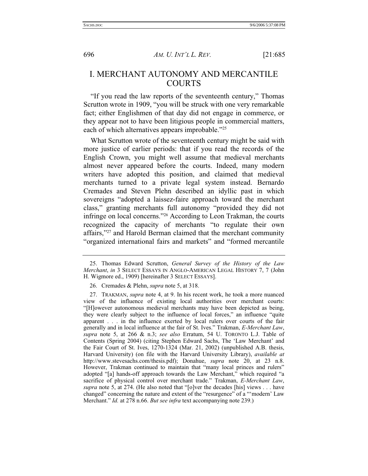## I. MERCHANT AUTONOMY AND MERCANTILE COURTS

"If you read the law reports of the seventeenth century," Thomas Scrutton wrote in 1909, "you will be struck with one very remarkable fact; either Englishmen of that day did not engage in commerce, or they appear not to have been litigious people in commercial matters, each of which alternatives appears improbable."<sup>25</sup>

What Scrutton wrote of the seventeenth century might be said with more justice of earlier periods: that if you read the records of the English Crown, you might well assume that medieval merchants almost never appeared before the courts. Indeed, many modern writers have adopted this position, and claimed that medieval merchants turned to a private legal system instead. Bernardo Cremades and Steven Plehn described an idyllic past in which sovereigns "adopted a laissez-faire approach toward the merchant class," granting merchants full autonomy "provided they did not infringe on local concerns."26 According to Leon Trakman, the courts recognized the capacity of merchants "to regulate their own affairs,"27 and Harold Berman claimed that the merchant community "organized international fairs and markets" and "formed mercantile

 <sup>25.</sup> Thomas Edward Scrutton, *General Survey of the History of the Law Merchant*, *in* 3 SELECT ESSAYS IN ANGLO-AMERICAN LEGAL HISTORY 7, 7 (John H. Wigmore ed., 1909) [hereinafter 3 SELECT ESSAYS].

 <sup>26.</sup> Cremades & Plehn, *supra* note 5, at 318.

 <sup>27.</sup> TRAKMAN, *supra* note 4, at 9. In his recent work, he took a more nuanced view of the influence of existing local authorities over merchant courts: "[H]owever autonomous medieval merchants may have been depicted as being, they were clearly subject to the influence of local forces," an influence "quite apparent . . . in the influence exerted by local rulers over courts of the fair generally and in local influence at the fair of St. Ives." Trakman, *E-Merchant Law*, *supra* note 5, at 266 & n.3; *see also* Erratum, 54 U. TORONTO L.J. Table of Contents (Spring 2004) (citing Stephen Edward Sachs, The 'Law Merchant' and the Fair Court of St. Ives, 1270-1324 (Mar. 21, 2002) (unpublished A.B. thesis, Harvard University) (on file with the Harvard University Library), *available at* http://www.stevesachs.com/thesis.pdf); Donahue, *supra* note 20, at 23 n.8. However, Trakman continued to maintain that "many local princes and rulers" adopted "[a] hands-off approach towards the Law Merchant," which required "a sacrifice of physical control over merchant trade." Trakman, *E-Merchant Law*, *supra* note 5, at 274. (He also noted that "[o]ver the decades [his] views . . . have changed" concerning the nature and extent of the "resurgence" of a "'modern' Law Merchant." *Id.* at 278 n.66. *But see infra* text accompanying note 239.)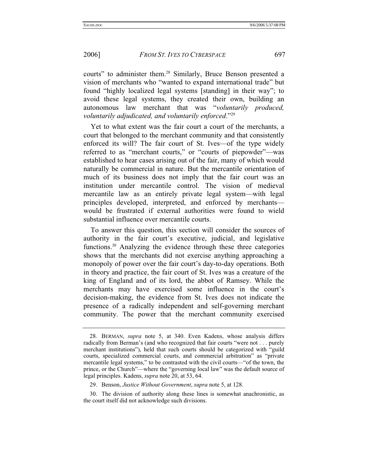courts" to administer them.28 Similarly, Bruce Benson presented a vision of merchants who "wanted to expand international trade" but found "highly localized legal systems [standing] in their way"; to avoid these legal systems, they created their own, building an autonomous law merchant that was "*voluntarily produced, voluntarily adjudicated, and voluntarily enforced*."29

Yet to what extent was the fair court a court of the merchants, a court that belonged to the merchant community and that consistently enforced its will? The fair court of St. Ives—of the type widely referred to as "merchant courts," or "courts of piepowder"—was established to hear cases arising out of the fair, many of which would naturally be commercial in nature. But the mercantile orientation of much of its business does not imply that the fair court was an institution under mercantile control. The vision of medieval mercantile law as an entirely private legal system—with legal principles developed, interpreted, and enforced by merchants would be frustrated if external authorities were found to wield substantial influence over mercantile courts.

To answer this question, this section will consider the sources of authority in the fair court's executive, judicial, and legislative functions.30 Analyzing the evidence through these three categories shows that the merchants did not exercise anything approaching a monopoly of power over the fair court's day-to-day operations. Both in theory and practice, the fair court of St. Ives was a creature of the king of England and of its lord, the abbot of Ramsey. While the merchants may have exercised some influence in the court's decision-making, the evidence from St. Ives does not indicate the presence of a radically independent and self-governing merchant community. The power that the merchant community exercised

 <sup>28.</sup> BERMAN, *supra* note 5, at 340. Even Kadens, whose analysis differs radically from Berman's (and who recognized that fair courts "were not . . . purely merchant institutions"), held that such courts should be categorized with "guild courts, specialized commercial courts, and commercial arbitration" as "private mercantile legal systems," to be contrasted with the civil courts—"of the town, the prince, or the Church"—where the "governing local law" was the default source of legal principles. Kadens, *supra* note 20, at 53, 64.

 <sup>29.</sup> Benson, *Justice Without Government*, *supra* note 5, at 128.

 <sup>30.</sup> The division of authority along these lines is somewhat anachronistic, as the court itself did not acknowledge such divisions.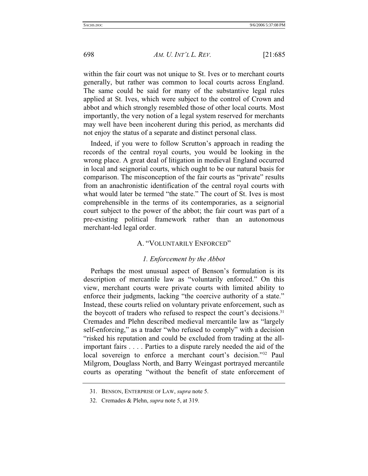within the fair court was not unique to St. Ives or to merchant courts generally, but rather was common to local courts across England. The same could be said for many of the substantive legal rules applied at St. Ives, which were subject to the control of Crown and abbot and which strongly resembled those of other local courts. Most importantly, the very notion of a legal system reserved for merchants may well have been incoherent during this period, as merchants did not enjoy the status of a separate and distinct personal class.

Indeed, if you were to follow Scrutton's approach in reading the records of the central royal courts, you would be looking in the wrong place. A great deal of litigation in medieval England occurred in local and seignorial courts, which ought to be our natural basis for comparison. The misconception of the fair courts as "private" results from an anachronistic identification of the central royal courts with what would later be termed "the state." The court of St. Ives is most comprehensible in the terms of its contemporaries, as a seignorial court subject to the power of the abbot; the fair court was part of a pre-existing political framework rather than an autonomous merchant-led legal order.

#### A. "VOLUNTARILY ENFORCED"

## *1. Enforcement by the Abbot*

Perhaps the most unusual aspect of Benson's formulation is its description of mercantile law as "voluntarily enforced." On this view, merchant courts were private courts with limited ability to enforce their judgments, lacking "the coercive authority of a state." Instead, these courts relied on voluntary private enforcement, such as the boycott of traders who refused to respect the court's decisions.31 Cremades and Plehn described medieval mercantile law as "largely self-enforcing," as a trader "who refused to comply" with a decision "risked his reputation and could be excluded from trading at the allimportant fairs . . . . Parties to a dispute rarely needed the aid of the local sovereign to enforce a merchant court's decision."<sup>32</sup> Paul Milgrom, Douglass North, and Barry Weingast portrayed mercantile courts as operating "without the benefit of state enforcement of

 <sup>31.</sup> BENSON, ENTERPRISE OF LAW, *supra* note 5.

 <sup>32.</sup> Cremades & Plehn, *supra* note 5, at 319.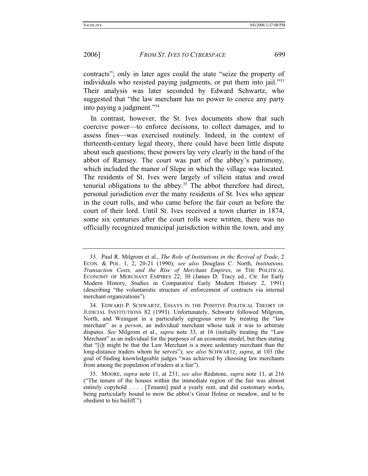contracts"; only in later ages could the state "seize the property of individuals who resisted paying judgments, or put them into jail."33 Their analysis was later seconded by Edward Schwartz, who suggested that "the law merchant has no power to coerce any party into paying a judgment."34

In contrast, however, the St. Ives documents show that such coercive power—to enforce decisions, to collect damages, and to assess fines—was exercised routinely. Indeed, in the context of thirteenth-century legal theory, there could have been little dispute about such questions; these powers lay very clearly in the hand of the abbot of Ramsey. The court was part of the abbey's patrimony, which included the manor of Slepe in which the village was located. The residents of St. Ives were largely of villein status and owed tenurial obligations to the abbey.35 The abbot therefore had direct, personal jurisdiction over the many residents of St. Ives who appear in the court rolls, and who came before the fair court as before the court of their lord. Until St. Ives received a town charter in 1874, some six centuries after the court rolls were written, there was no officially recognized municipal jurisdiction within the town, and any

 <sup>33.</sup> Paul R. Milgrom et al., *The Role of Institutions in the Revival of Trade*, 2 ECON. & POL. 1, 2, 20-21 (1990); *see also* Douglass C. North, *Institutions, Transaction Costs, and the Rise of Merchant Empires*, *in* THE POLITICAL ECONOMY OF MERCHANT EMPIRES 22, 30 (James D. Tracy ed., Ctr. for Early Modern History, Studies in Comparative Early Modern History 2, 1991) (describing "the voluntaristic structure of enforcement of contracts via internal merchant organizations").

 <sup>34.</sup> EDWARD P. SCHWARTZ, ESSAYS IN THE POSITIVE POLITICAL THEORY OF JUDICIAL INSTITUTIONS 82 (1993). Unfortunately, Schwartz followed Milgrom, North, and Weingast in a particularly egregious error by treating the "law merchant" as a *person*, an individual merchant whose task it was to arbitrate disputes. *See* Milgrom et al., *supra* note 33, at 16 (initially treating the "Law Merchant" as an individual for the purposes of an economic model, but then stating that "[i]t might be that the Law Merchant is a more sedentary merchant than the long-distance traders whom he serves"); *see also* SCHWARTZ, *supra*, at 103 (the goal of finding knowledgeable judges "was achieved by choosing law merchants from among the population of traders at a fair").

 <sup>35.</sup> MOORE, *supra* note 11, at 231; *see also* Redstone, *supra* note 11, at 216 ("The tenure of the houses within the immediate region of the fair was almost entirely copyhold . . . . [Tenants] paid a yearly rent, and did customary works, being particularly bound to mow the abbot's Great Holme or meadow, and to be obedient to his bailiff.").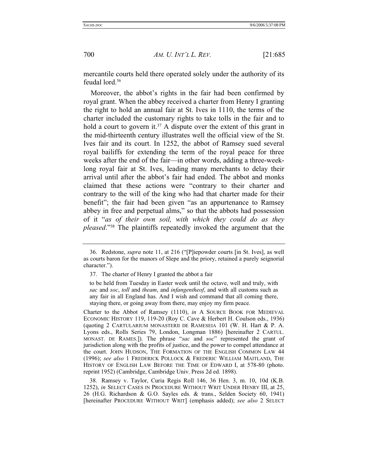mercantile courts held there operated solely under the authority of its feudal lord.36

Moreover, the abbot's rights in the fair had been confirmed by royal grant. When the abbey received a charter from Henry I granting the right to hold an annual fair at St. Ives in 1110, the terms of the charter included the customary rights to take tolls in the fair and to hold a court to govern it.<sup>37</sup> A dispute over the extent of this grant in the mid-thirteenth century illustrates well the official view of the St. Ives fair and its court. In 1252, the abbot of Ramsey sued several royal bailiffs for extending the term of the royal peace for three weeks after the end of the fair—in other words, adding a three-weeklong royal fair at St. Ives, leading many merchants to delay their arrival until after the abbot's fair had ended. The abbot and monks claimed that these actions were "contrary to their charter and contrary to the will of the king who had that charter made for their benefit"; the fair had been given "as an appurtenance to Ramsey abbey in free and perpetual alms," so that the abbots had possession of it "*as of their own soil, with which they could do as they pleased*."38 The plaintiffs repeatedly invoked the argument that the

 <sup>36.</sup> Redstone, *supra* note 11, at 216 ("[P]iepowder courts [in St. Ives], as well as courts baron for the manors of Slepe and the priory, retained a purely seignorial character.").

 <sup>37.</sup> The charter of Henry I granted the abbot a fair

to be held from Tuesday in Easter week until the octave, well and truly, with *sac* and *soc*, *toll* and *theam*, and *infangentheof*, and with all customs such as any fair in all England has. And I wish and command that all coming there, staying there, or going away from there, may enjoy my firm peace.

Charter to the Abbot of Ramsey (1110), *in* A SOURCE BOOK FOR MEDIEVAL ECONOMIC HISTORY 119, 119-20 (Roy C. Cave & Herbert H. Coulson eds., 1936) (quoting 2 CARTULARIUM MONASTERII DE RAMESEIA 101 (W. H. Hart & P. A. Lyons eds., Rolls Series 79, London, Longman 1886) [hereinafter 2 CARTUL. MONAST. DE RAMES.]). The phrase "*sac* and *soc*" represented the grant of jurisdiction along with the profits of justice, and the power to compel attendance at the court. JOHN HUDSON, THE FORMATION OF THE ENGLISH COMMON LAW 44 (1996); *see also* 1 FREDERICK POLLOCK & FREDERIC WILLIAM MAITLAND, THE HISTORY OF ENGLISH LAW BEFORE THE TIME OF EDWARD I, at 578-80 (photo. reprint 1952) (Cambridge, Cambridge Univ. Press 2d ed. 1898).

 <sup>38.</sup> Ramsey v. Taylor, Curia Regis Roll 146, 36 Hen. 3, m. 10, 10d (K.B. 1252), *in* SELECT CASES IN PROCEDURE WITHOUT WRIT UNDER HENRY III, at 25, 26 (H.G. Richardson & G.O. Sayles eds. & trans., Selden Society 60, 1941) [hereinafter PROCEDURE WITHOUT WRIT] (emphasis added); *see also* 2 SELECT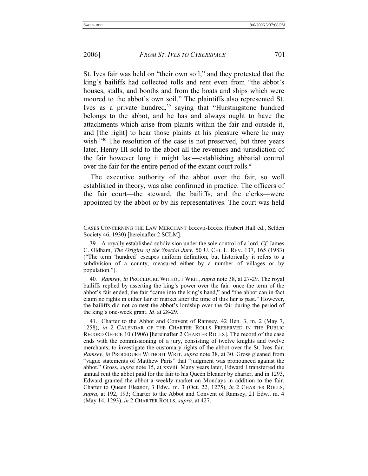## 2006] *FROM ST. IVES TO CYBERSPACE* 701

St. Ives fair was held on "their own soil," and they protested that the king's bailiffs had collected tolls and rent even from "the abbot's houses, stalls, and booths and from the boats and ships which were moored to the abbot's own soil." The plaintiffs also represented St. Ives as a private hundred,<sup>39</sup> saying that "Hurstingstone hundred belongs to the abbot, and he has and always ought to have the attachments which arise from plaints within the fair and outside it, and [the right] to hear those plaints at his pleasure where he may wish."<sup>40</sup> The resolution of the case is not preserved, but three years later, Henry III sold to the abbot all the revenues and jurisdiction of the fair however long it might last—establishing abbatial control over the fair for the entire period of the extant court rolls.<sup>41</sup>

The executive authority of the abbot over the fair, so well established in theory, was also confirmed in practice. The officers of the fair court—the steward, the bailiffs, and the clerks—were appointed by the abbot or by his representatives. The court was held

40*. Ramsey*, *in* PROCEDURE WITHOUT WRIT, *supra* note 38, at 27-29. The royal bailiffs replied by asserting the king's power over the fair: once the term of the abbot's fair ended, the fair "came into the king's hand," and "the abbot can in fact claim no rights in either fair or market after the time of this fair is past." However, the bailiffs did not contest the abbot's lordship over the fair during the period of the king's one-week grant. *Id*. at 28-29.

CASES CONCERNING THE LAW MERCHANT lxxxvii-lxxxix (Hubert Hall ed., Selden Society 46, 1930) [hereinafter 2 SCLM].

 <sup>39.</sup> A royally established subdivision under the sole control of a lord. *Cf*. James C. Oldham, *The Origins of the Special Jury*, 50 U. CHI. L. REV. 137, 165 (1983) ("The term 'hundred' escapes uniform definition, but historically it refers to a subdivision of a county, measured either by a number of villages or by population.").

 <sup>41.</sup> Charter to the Abbot and Convent of Ramsey, 42 Hen. 3, m. 2 (May 7, 1258), *in* 2 CALENDAR OF THE CHARTER ROLLS PRESERVED IN THE PUBLIC RECORD OFFICE 10 (1906) [hereinafter 2 CHARTER ROLLS]. The record of the case ends with the commissioning of a jury, consisting of twelve knights and twelve merchants, to investigate the customary rights of the abbot over the St. Ives fair. *Ramsey*, *in* PROCEDURE WITHOUT WRIT, *supra* note 38, at 30. Gross gleaned from "vague statements of Matthew Paris" that "judgment was pronounced against the abbot." Gross, *supra* note 15, at xxviii. Many years later, Edward I transferred the annual rent the abbot paid for the fair to his Queen Eleanor by charter, and in 1293, Edward granted the abbot a weekly market on Mondays in addition to the fair. Charter to Queen Eleanor, 3 Edw., m. 3 (Oct. 22, 1275), *in* 2 CHARTER ROLLS, *supra*, at 192, 193; Charter to the Abbot and Convent of Ramsey, 21 Edw., m. 4 (May 14, 1293), *in* 2 CHARTER ROLLS, *supra*, at 427.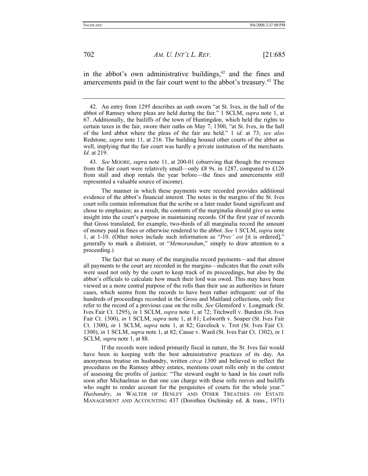in the abbot's own administrative buildings, $42$  and the fines and amercements paid in the fair court went to the abbot's treasury.<sup>43</sup> The

 43. *See* MOORE, *supra* note 11, at 200-01 (observing that though the revenues from the fair court were relatively small—only £8 9s. in 1287, compared to £126 from stall and shop rentals the year before—the fines and amercements still represented a valuable source of income).

 The manner in which these payments were recorded provides additional evidence of the abbot's financial interest. The notes in the margins of the St. Ives court rolls contain information that the scribe or a later reader found significant and chose to emphasize; as a result, the contents of the marginalia should give us some insight into the court's purpose in maintaining records. Of the first year of records that Gross translated, for example, two-thirds of all marginalia record the amount of money paid in fines or otherwise rendered to the abbot. *See* 1 SCLM, *supra* note 1, at 1-10. (Other notes include such information as "*Prec' est* [it is ordered]," generally to mark a distraint, or "*Memorandum*," simply to draw attention to a proceeding.)

 The fact that so many of the marginalia record payments—and that almost all payments to the court are recorded in the margins—indicates that the court rolls were used not only by the court to keep track of its proceedings, but also by the abbot's officials to calculate how much their lord was owed. This may have been viewed as a more central purpose of the rolls than their use as authorities in future cases, which seems from the records to have been rather infrequent: out of the hundreds of proceedings recorded in the Gross and Maitland collections, only five refer to the record of a previous case on the rolls. *See* Glemsford v. Longmark (St. Ives Fair Ct. 1295), *in* 1 SCLM, *supra* note 1, at 72; Titchwell v. Burdon (St. Ives Fair Ct. 1300), *in* 1 SCLM, *supra* note 1, at 81; Lolworth v. Soaper (St. Ives Fair Ct. 1300), *in* 1 SCLM, *supra* note 1, at 82; Gavelock v. Trot (St. Ives Fair Ct. 1300), *in* 1 SCLM, *supra* note 1, at 82; Cause v. Ward (St. Ives Fair Ct. 1302), *in* 1 SCLM, *supra* note 1, at 88.

 If the records were indeed primarily fiscal in nature, the St. Ives fair would have been in keeping with the best administrative practices of its day. An anonymous treatise on husbandry, written *circa* 1300 and believed to reflect the procedures on the Ramsey abbey estates, mentions court rolls only in the context of assessing the profits of justice: "The steward ought to hand in his court rolls soon after Michaelmas so that one can charge with these rolls reeves and bailiffs who ought to render account for the perquisites of courts for the whole year." *Husbandry*, *in* WALTER OF HENLEY AND OTHER TREATISES ON ESTATE MANAGEMENT AND ACCOUNTING 437 (Dorothea Oschinsky ed. & trans., 1971)

 <sup>42.</sup> An entry from 1295 describes an oath sworn "at St. Ives, in the hall of the abbot of Ramsey where pleas are held during the fair." 1 SCLM, *supra* note 1, at 67. Additionally, the bailiffs of the town of Huntingdon, which held the rights to certain taxes in the fair, swore their oaths on May 7, 1300, "at St. Ives, in the hall of the lord abbot where the pleas of the fair are held." 1 *id.* at 73; *see also* Redstone, *supra* note 11, at 216. The building housed other courts of the abbot as well, implying that the fair court was hardly a private institution of the merchants. *Id*. at 219.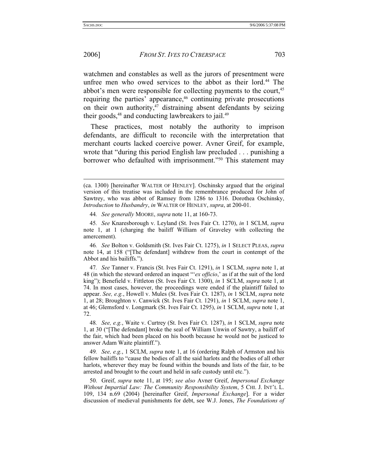## 2006] *FROM ST. IVES TO CYBERSPACE* 703

watchmen and constables as well as the jurors of presentment were unfree men who owed services to the abbot as their lord.<sup>44</sup> The abbot's men were responsible for collecting payments to the court,<sup>45</sup> requiring the parties' appearance,<sup>46</sup> continuing private prosecutions on their own authority, $47$  distraining absent defendants by seizing their goods, $48$  and conducting lawbreakers to jail. $49$ 

These practices, most notably the authority to imprison defendants, are difficult to reconcile with the interpretation that merchant courts lacked coercive power. Avner Greif, for example, wrote that "during this period English law precluded . . . punishing a borrower who defaulted with imprisonment."<sup>50</sup> This statement may

46*. See* Bolton v. Goldsmith (St. Ives Fair Ct. 1275), *in* 1 SELECT PLEAS, *supra* note 14, at 158 ("[The defendant] withdrew from the court in contempt of the Abbot and his bailiffs.").

47*. See* Tanner v. Francis (St. Ives Fair Ct. 1291), *in* 1 SCLM, *supra* note 1, at 48 (in which the steward ordered an inquest "'*ex officio*,' as if at the suit of the lord king"); Benefield v. Fittleton (St. Ives Fair Ct. 1300), *in* 1 SCLM, *supra* note 1, at 74. In most cases, however, the proceedings were ended if the plaintiff failed to appear. *See, e.g.*, Howell v. Mules (St. Ives Fair Ct. 1287), *in* 1 SCLM, *supra* note 1, at 28; Broughton v. Canwick (St. Ives Fair Ct. 1291), *in* 1 SCLM, *supra* note 1, at 46; Glemsford v. Longmark (St. Ives Fair Ct. 1295), *in* 1 SCLM, *supra* note 1, at 72.

49*. See, e.g.*, 1 SCLM, *supra* note 1, at 16 (ordering Ralph of Armston and his fellow bailiffs to "cause the bodies of all the said harlots and the bodies of all other harlots, wherever they may be found within the bounds and lists of the fair, to be arrested and brought to the court and held in safe custody until etc.").

 50. Greif, *supra* note 11, at 195; *see also* Avner Greif, *Impersonal Exchange Without Impartial Law: The Community Responsibility System*, 5 CHI. J. INT'L L. 109, 134 n.69 (2004) [hereinafter Greif, *Impersonal Exchange*]. For a wider discussion of medieval punishments for debt, see W.J. Jones, *The Foundations of* 

<sup>(</sup>ca. 1300) [hereinafter WALTER OF HENLEY]. Oschinsky argued that the original version of this treatise was included in the remembrance produced for John of Sawtrey, who was abbot of Ramsey from 1286 to 1316. Dorothea Oschinsky, *Introduction* to *Husbandry*, *in* WALTER OF HENLEY, *supra*, at 200-01.

<sup>44</sup>*. See generally* MOORE, *supra* note 11, at 160-73.

<sup>45</sup>*. See* Knaresborough v. Leyland (St. Ives Fair Ct. 1270), *in* 1 SCLM, *supra* note 1, at 1 (charging the bailiff William of Graveley with collecting the amercement).

<sup>48</sup>*. See, e.g.*, Waite v. Curtrey (St. Ives Fair Ct. 1287), *in* 1 SCLM, *supra* note 1, at 30 ("[The defendant] broke the seal of William Unwin of Sawtry, a bailiff of the fair, which had been placed on his booth because he would not be justiced to answer Adam Waite plaintiff.").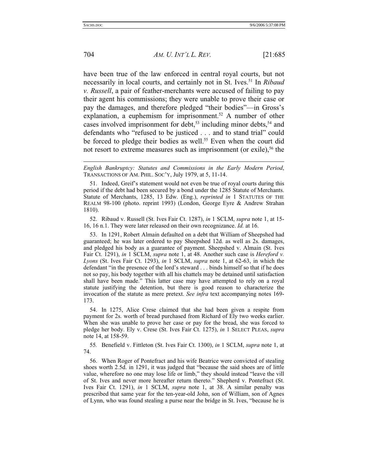704 *AM. U. INT'L L. REV.* [21:685

have been true of the law enforced in central royal courts, but not necessarily in local courts, and certainly not in St. Ives.51 In *Ribaud v. Russell*, a pair of feather-merchants were accused of failing to pay their agent his commissions; they were unable to prove their case or pay the damages, and therefore pledged "their bodies"—in Gross's explanation, a euphemism for imprisonment.<sup>52</sup> A number of other cases involved imprisonment for debt,<sup>53</sup> including minor debts,<sup>54</sup> and defendants who "refused to be justiced . . . and to stand trial" could be forced to pledge their bodies as well.<sup>55</sup> Even when the court did not resort to extreme measures such as imprisonment (or exile),<sup>56</sup> the

 52. Ribaud v. Russell (St. Ives Fair Ct. 1287), *in* 1 SCLM, *supra* note 1, at 15- 16, 16 n.1. They were later released on their own recognizance. *Id.* at 16.

 53. In 1291, Robert Almain defaulted on a debt that William of Sheepshed had guaranteed; he was later ordered to pay Sheepshed 12d. as well as 2s. damages, and pledged his body as a guarantee of payment. Sheepshed v. Almain (St. Ives Fair Ct. 1291), *in* 1 SCLM, *supra* note 1, at 48. Another such case is *Hereford v. Lyons* (St. Ives Fair Ct. 1293), *in* 1 SCLM, *supra* note 1, at 62-63, in which the defendant "in the presence of the lord's steward . . . binds himself so that if he does not so pay, his body together with all his chattels may be detained until satisfaction shall have been made." This latter case may have attempted to rely on a royal statute justifying the detention, but there is good reason to characterize the invocation of the statute as mere pretext. *See infra* text accompanying notes 169- 173.

 54. In 1275, Alice Crese claimed that she had been given a respite from payment for 2s. worth of bread purchased from Richard of Ely two weeks earlier. When she was unable to prove her case or pay for the bread, she was forced to pledge her body. Ely v. Crese (St. Ives Fair Ct. 1275), *in* 1 SELECT PLEAS, *supra* note 14, at 158-59.

55*.* Benefield v. Fittleton (St. Ives Fair Ct. 1300), *in* 1 SCLM, *supra* note 1, at 74.

 56. When Roger of Pontefract and his wife Beatrice were convicted of stealing shoes worth 2.5d. in 1291, it was judged that "because the said shoes are of little value, wherefore no one may lose life or limb," they should instead "leave the vill of St. Ives and never more hereafter return thereto." Shepherd v. Pontefract (St. Ives Fair Ct. 1291), *in* 1 SCLM, *supra* note 1, at 38. A similar penalty was prescribed that same year for the ten-year-old John, son of William, son of Agnes of Lynn, who was found stealing a purse near the bridge in St. Ives, "because he is

*English Bankruptcy: Statutes and Commissions in the Early Modern Period*, TRANSACTIONS OF AM. PHIL. SOC'Y, July 1979, at 5, 11-14.

 <sup>51.</sup> Indeed, Greif's statement would not even be true of royal courts during this period if the debt had been secured by a bond under the 1285 Statute of Merchants. Statute of Merchants, 1285, 13 Edw. (Eng.), *reprinted in* 1 STATUTES OF THE REALM 98-100 (photo. reprint 1993) (London, George Eyre & Andrew Strahan 1810).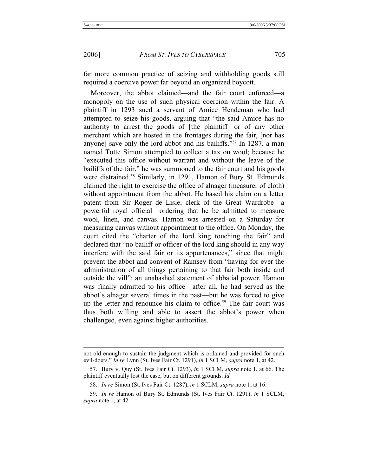2006] *FROM ST. IVES TO CYBERSPACE* 705

far more common practice of seizing and withholding goods still required a coercive power far beyond an organized boycott.

Moreover, the abbot claimed—and the fair court enforced—a monopoly on the use of such physical coercion within the fair. A plaintiff in 1293 sued a servant of Amice Hendeman who had attempted to seize his goods, arguing that "the said Amice has no authority to arrest the goods of [the plaintiff] or of any other merchant which are hosted in the frontages during the fair, [nor has anyone] save only the lord abbot and his bailiffs."57 In 1287, a man named Totte Simon attempted to collect a tax on wool; because he "executed this office without warrant and without the leave of the bailiffs of the fair," he was summoned to the fair court and his goods were distrained.<sup>58</sup> Similarly, in 1291, Hamon of Bury St. Edmunds claimed the right to exercise the office of alnager (measurer of cloth) without appointment from the abbot. He based his claim on a letter patent from Sir Roger de Lisle, clerk of the Great Wardrobe—a powerful royal official—ordering that he be admitted to measure wool, linen, and canvas. Hamon was arrested on a Saturday for measuring canvas without appointment to the office. On Monday, the court cited the "charter of the lord king touching the fair" and declared that "no bailiff or officer of the lord king should in any way interfere with the said fair or its appurtenances," since that might prevent the abbot and convent of Ramsey from "having for ever the administration of all things pertaining to that fair both inside and outside the vill": an unabashed statement of abbatial power. Hamon was finally admitted to his office—after all, he had served as the abbot's alnager several times in the past—but he was forced to give up the letter and renounce his claim to office.<sup>59</sup> The fair court was thus both willing and able to assert the abbot's power when challenged, even against higher authorities.

not old enough to sustain the judgment which is ordained and provided for such evil-doers." *In re* Lynn (St. Ives Fair Ct. 1291), *in* 1 SCLM, *supra* note 1, at 42.

 <sup>57.</sup> Bury v. Quy (St. Ives Fair Ct. 1293), *in* 1 SCLM, *supra* note 1, at 66. The plaintiff eventually lost the case, but on different grounds. *Id.*

 <sup>58.</sup> *In re* Simon (St. Ives Fair Ct. 1287), *in* 1 SCLM, *supra* note 1, at 16.

 <sup>59.</sup> *In re* Hamon of Bury St. Edmunds (St. Ives Fair Ct. 1291), *in* 1 SCLM, *supra* note 1, at 42.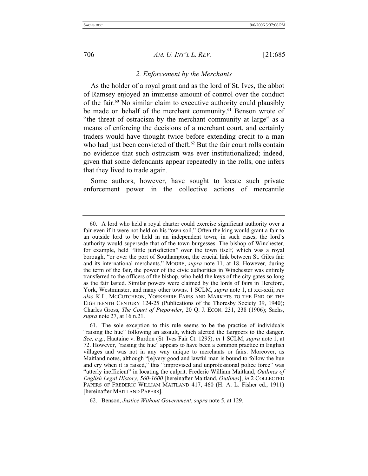#### *2. Enforcement by the Merchants*

As the holder of a royal grant and as the lord of St. Ives, the abbot of Ramsey enjoyed an immense amount of control over the conduct of the fair.60 No similar claim to executive authority could plausibly be made on behalf of the merchant community.<sup>61</sup> Benson wrote of "the threat of ostracism by the merchant community at large" as a means of enforcing the decisions of a merchant court, and certainly traders would have thought twice before extending credit to a man who had just been convicted of theft.<sup>62</sup> But the fair court rolls contain no evidence that such ostracism was ever institutionalized; indeed, given that some defendants appear repeatedly in the rolls, one infers that they lived to trade again.

Some authors, however, have sought to locate such private enforcement power in the collective actions of mercantile

 <sup>60.</sup> A lord who held a royal charter could exercise significant authority over a fair even if it were not held on his "own soil." Often the king would grant a fair to an outside lord to be held in an independent town; in such cases, the lord's authority would supersede that of the town burgesses. The bishop of Winchester, for example, held "little jurisdiction" over the town itself, which was a royal borough, "or over the port of Southampton, the crucial link between St. Giles fair and its international merchants." MOORE, *supra* note 11, at 18. However, during the term of the fair, the power of the civic authorities in Winchester was entirely transferred to the officers of the bishop, who held the keys of the city gates so long as the fair lasted. Similar powers were claimed by the lords of fairs in Hereford, York, Westminster, and many other towns. 1 SCLM, *supra* note 1, at xxi-xxii; *see also* K.L. MCCUTCHEON, YORKSHIRE FAIRS AND MARKETS TO THE END OF THE EIGHTEENTH CENTURY 124-25 (Publications of the Thoresby Society 39, 1940); Charles Gross, *The Court of Piepowder*, 20 Q. J. ECON. 231, 238 (1906); Sachs, *supra* note 27, at 16 n.21.

 <sup>61.</sup> The sole exception to this rule seems to be the practice of individuals "raising the hue" following an assault, which alerted the fairgoers to the danger. *See, e.g.*, Hautaine v. Burdon (St. Ives Fair Ct. 1295), *in* 1 SCLM, *supra* note 1, at 72. However, "raising the hue" appears to have been a common practice in English villages and was not in any way unique to merchants or fairs. Moreover, as Maitland notes, although "[e]very good and lawful man is bound to follow the hue and cry when it is raised," this "improvised and unprofessional police force" was "utterly inefficient" in locating the culprit. Frederic William Maitland, *Outlines of English Legal History, 560-1600* [hereinafter Maitland, *Outlines*], *in* 2 COLLECTED PAPERS OF FREDERIC WILLIAM MAITLAND 417, 460 (H. A. L. Fisher ed., 1911) [hereinafter MAITLAND PAPERS].

 <sup>62.</sup> Benson, *Justice Without Government*, *supra* note 5, at 129.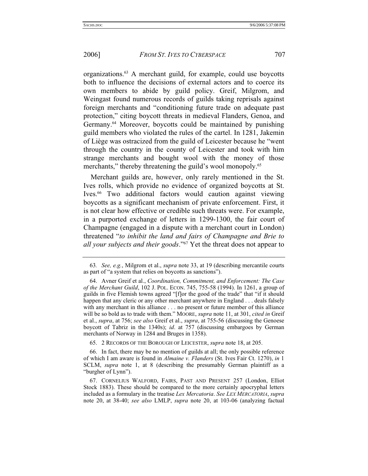organizations.63 A merchant guild, for example, could use boycotts both to influence the decisions of external actors and to coerce its own members to abide by guild policy. Greif, Milgrom, and Weingast found numerous records of guilds taking reprisals against foreign merchants and "conditioning future trade on adequate past protection," citing boycott threats in medieval Flanders, Genoa, and Germany.<sup>64</sup> Moreover, boycotts could be maintained by punishing guild members who violated the rules of the cartel. In 1281, Jakemin of Liège was ostracized from the guild of Leicester because he "went through the country in the county of Leicester and took with him strange merchants and bought wool with the money of those merchants," thereby threatening the guild's wool monopoly.<sup>65</sup>

Merchant guilds are, however, only rarely mentioned in the St. Ives rolls, which provide no evidence of organized boycotts at St. Ives.<sup>66</sup> Two additional factors would caution against viewing boycotts as a significant mechanism of private enforcement. First, it is not clear how effective or credible such threats were. For example, in a purported exchange of letters in 1299-1300, the fair court of Champagne (engaged in a dispute with a merchant court in London) threatened "*to inhibit the land and fairs of Champagne and Brie to all your subjects and their goods*."67 Yet the threat does not appear to

65. 2 RECORDS OF THE BOROUGH OF LEICESTER, *supra* note 18, at 205.

 66. In fact, there may be no mention of guilds at all; the only possible reference of which I am aware is found in *Almaine v. Flanders* (St. Ives Fair Ct. 1270), *in* 1 SCLM, *supra* note 1, at 8 (describing the presumably German plaintiff as a "burgher of Lynn").

<sup>63</sup>*. See, e.g.*, Milgrom et al., *supra* note 33, at 19 (describing mercantile courts as part of "a system that relies on boycotts as sanctions").

 <sup>64.</sup> Avner Greif et al., *Coordination, Commitment, and Enforcement: The Case of the Merchant Guild*, 102 J. POL. ECON. 745, 755-58 (1994). In 1261, a group of guilds in five Flemish towns agreed "[f]or the good of the trade" that "if it should happen that any cleric or any other merchant anywhere in England . . . deals falsely with any merchant in this alliance . . . no present or future member of this alliance will be so bold as to trade with them." MOORE, *supra* note 11, at 301, *cited in* Greif et al., *supra*, at 756; *see also* Greif et al., *supra*, at 755-56 (discussing the Genoese boycott of Tabriz in the 1340s); *id*. at 757 (discussing embargoes by German merchants of Norway in 1284 and Bruges in 1358).

 <sup>67.</sup> CORNELIUS WALFORD, FAIRS, PAST AND PRESENT 257 (London, Elliot Stock 1883). These should be compared to the more certainly apocryphal letters included as a formulary in the treatise *Lex Mercatoria*. *See LEX MERCATORIA*, *supra* note 20, at 38-40; *see also* LMLP, *supra* note 20, at 103-06 (analyzing factual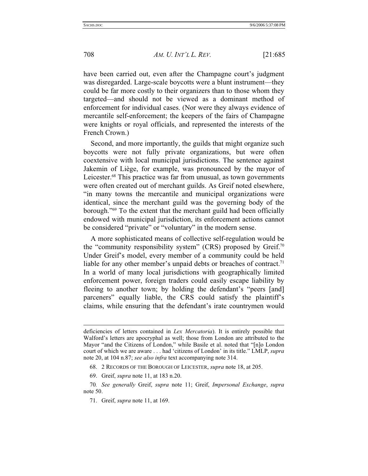708 *AM. U. INT'L L. REV.* [21:685

have been carried out, even after the Champagne court's judgment was disregarded. Large-scale boycotts were a blunt instrument—they could be far more costly to their organizers than to those whom they targeted—and should not be viewed as a dominant method of enforcement for individual cases. (Nor were they always evidence of mercantile self-enforcement; the keepers of the fairs of Champagne were knights or royal officials, and represented the interests of the French Crown.)

Second, and more importantly, the guilds that might organize such boycotts were not fully private organizations, but were often coextensive with local municipal jurisdictions. The sentence against Jakemin of Liège, for example, was pronounced by the mayor of Leicester.<sup>68</sup> This practice was far from unusual, as town governments were often created out of merchant guilds. As Greif noted elsewhere, "in many towns the mercantile and municipal organizations were identical, since the merchant guild was the governing body of the borough."69 To the extent that the merchant guild had been officially endowed with municipal jurisdiction, its enforcement actions cannot be considered "private" or "voluntary" in the modern sense.

A more sophisticated means of collective self-regulation would be the "community responsibility system" (CRS) proposed by Greif.<sup>70</sup> Under Greif's model, every member of a community could be held liable for any other member's unpaid debts or breaches of contract.<sup>71</sup> In a world of many local jurisdictions with geographically limited enforcement power, foreign traders could easily escape liability by fleeing to another town; by holding the defendant's "peers [and] parceners" equally liable, the CRS could satisfy the plaintiff's claims, while ensuring that the defendant's irate countrymen would

deficiencies of letters contained in *Lex Mercatoria*). It is entirely possible that Walford's letters are apocryphal as well; those from London are attributed to the Mayor "and the Citizens of London," while Basile et al. noted that "[n]o London court of which we are aware . . . had 'citizens of London' in its title." LMLP, *supra* note 20, at 104 n.87; *see also infra* text accompanying note 314.

 <sup>68. 2</sup> RECORDS OF THE BOROUGH OF LEICESTER, *supra* note 18, at 205.

 <sup>69.</sup> Greif, *supra* note 11, at 183 n.20.

<sup>70</sup>*. See generally* Greif, *supra* note 11; Greif, *Impersonal Exchange*, *supra* note 50.

 <sup>71.</sup> Greif, *supra* note 11, at 169.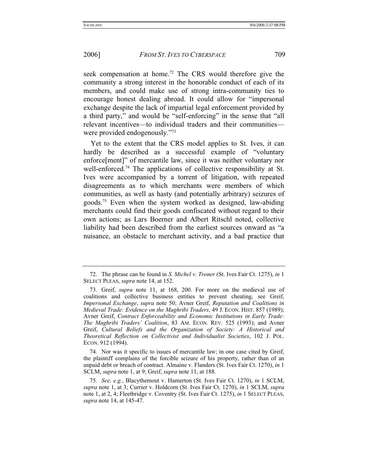seek compensation at home.<sup>72</sup> The CRS would therefore give the community a strong interest in the honorable conduct of each of its members, and could make use of strong intra-community ties to encourage honest dealing abroad. It could allow for "impersonal exchange despite the lack of impartial legal enforcement provided by a third party," and would be "self-enforcing" in the sense that "all relevant incentives—to individual traders and their communities were provided endogenously."73

Yet to the extent that the CRS model applies to St. Ives, it can hardly be described as a successful example of "voluntary enforce[ment]" of mercantile law, since it was neither voluntary nor well-enforced.74 The applications of collective responsibility at St. Ives were accompanied by a torrent of litigation, with repeated disagreements as to which merchants were members of which communities, as well as hasty (and potentially arbitrary) seizures of goods.75 Even when the system worked as designed, law-abiding merchants could find their goods confiscated without regard to their own actions; as Lars Boerner and Albert Ritschl noted, collective liability had been described from the earliest sources onward as "a nuisance, an obstacle to merchant activity, and a bad practice that

 74. Nor was it specific to issues of mercantile law; in one case cited by Greif, the plaintiff complains of the forcible seizure of his property, rather than of an unpaid debt or breach of contract. Almaine v. Flanders (St. Ives Fair Ct. 1270), *in* 1 SCLM, *supra* note 1, at 9; Greif, *supra* note 11, at 188.

 <sup>72.</sup> The phrase can be found in *S. Michel v. Troner* (St. Ives Fair Ct. 1275), *in* 1 SELECT PLEAS, *supra* note 14, at 152.

 <sup>73.</sup> Greif, *supra* note 11, at 168, 200. For more on the medieval use of coalitions and collective business entities to prevent cheating, see Greif, *Impersonal Exchange*, *supra* note 50; Avner Greif, *Reputation and Coalitions in Medieval Trade: Evidence on the Maghribi Traders*, 49 J. ECON. HIST. 857 (1989); Avner Greif, *Contract Enforceability and Economic Institutions in Early Trade: The Maghribi Traders' Coalition*, 83 AM. ECON. REV. 525 (1993); and Avner Greif, *Cultural Beliefs and the Organization of Society: A Historical and Theoretical Reflection on Collectivist and Individualist Societies*, 102 J. POL. ECON. 912 (1994).

<sup>75</sup>*. See, e.g.*, Blacythemout v. Hamerton (St. Ives Fair Ct. 1270), *in* 1 SCLM, *supra* note 1, at 3; Currier v. Holdcorn (St. Ives Fair Ct. 1270), *in* 1 SCLM, *supra* note 1, at 2, 4; Fleetbridge v. Coventry (St. Ives Fair Ct. 1275), *in* 1 SELECT PLEAS, *supra* note 14, at 145-47.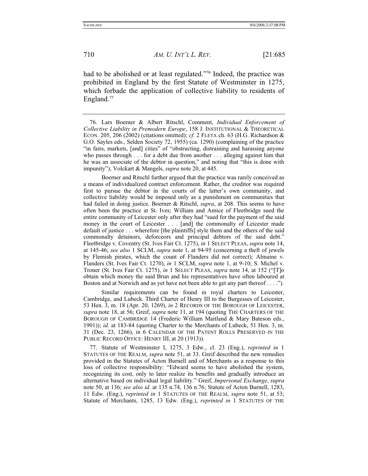had to be abolished or at least regulated."<sup>76</sup> Indeed, the practice was prohibited in England by the first Statute of Westminster in 1275, which forbade the application of collective liability to residents of England.<sup>77</sup>

 76. Lars Boerner & Albert Ritschl, Comment, *Individual Enforcement of Collective Liability in Premodern Europe*, 158 J. INSTITUTIONAL & THEORETICAL ECON. 205, 206 (2002) (citations omitted); *cf.* 2 FLETA ch. 63 (H.G. Richardson & G.O. Sayles eds., Selden Society 72, 1955) (ca. 1290) (complaining of the practice "in fairs, markets, [and] cities" of "obstructing, distraining and harassing anyone who passes through . . . for a debt due from another . . . alleging against him that he was an associate of the debtor in question," and noting that "this is done with impunity"); Volckart & Mangels, *supra* note 20, at 445.

 Boerner and Ritschl further argued that the practice was rarely conceived as a means of individualized contract enforcement. Rather, the creditor was required first to pursue the debtor in the courts of the latter's own community, and collective liability would be imposed only as a punishment on communities that had failed in doing justice. Boerner & Ritschl, *supra*, at 208. This seems to have often been the practice at St. Ives; William and Amice of Fleetbridge sued the entire community of Leicester only after they had "sued for the payment of the said money in the court of Leicester . . . [and] the commonalty of Leicester made default of justice . . . wherefore [the plaintiffs] style them and the others of the said commonalty detainors, deforceors and principal debtors of the said debt." Fleetbridge v. Coventry (St. Ives Fair Ct. 1275), *in* 1 SELECT PLEAS, *supra* note 14, at 145-46; *see also* 1 SCLM, *supra* note 1, at 94-95 (concerning a theft of jewels by Flemish pirates, which the count of Flanders did not correct); Almaine v. Flanders (St. Ives Fair Ct. 1270), *in* 1 SCLM, *supra* note 1, at 9-10; S. Michel v. Troner (St. Ives Fair Ct. 1275), *in* 1 SELECT PLEAS, *supra* note 14, at 152 ("[T]o obtain which money the said Brun and his representatives have often laboured at Boston and at Norwich and as yet have not been able to get any part thereof . . . .").

 Similar requirements can be found in royal charters to Leicester, Cambridge, and Lubeck. Third Charter of Henry III to the Burgesses of Leicester, 53 Hen. 3, m. 18 (Apr. 20, 1269), *in* 2 RECORDS OF THE BOROUGH OF LEICESTER, *supra* note 18, at 56; Greif, *supra* note 11, at 194 (quoting THE CHARTERS OF THE BOROUGH OF CAMBRIDGE 14 (Frederic William Maitland & Mary Bateson eds., 1901)); *id*. at 183-84 (quoting Charter to the Merchants of Lubeck, 51 Hen. 3, m. 31 (Dec. 23, 1266), *in* 6 CALENDAR OF THE PATENT ROLLS PRESERVED IN THE PUBLIC RECORD OFFICE: HENRY III, at 20 (1913)).

 77. Statute of Westminster I, 1275, 3 Edw., cl. 23 (Eng.), *reprinted in* 1 STATUTES OF THE REALM, *supra* note 51, at 33. Greif described the new remedies provided in the Statutes of Acton Burnell and of Merchants as a response to this loss of collective responsibility: "Edward seems to have abolished the system, recognizing its cost, only to later realize its benefits and gradually introduce an alternative based on individual legal liability." Greif, *Impersonal Exchange*, *supra* note 50, at 136; *see also id*. at 135 n.74, 136 n.76; Statute of Acton Burnell, 1283, 11 Edw. (Eng.), *reprinted in* 1 STATUTES OF THE REALM, *supra* note 51, at 53; Statute of Merchants, 1285, 13 Edw. (Eng.), *reprinted in* 1 STATUTES OF THE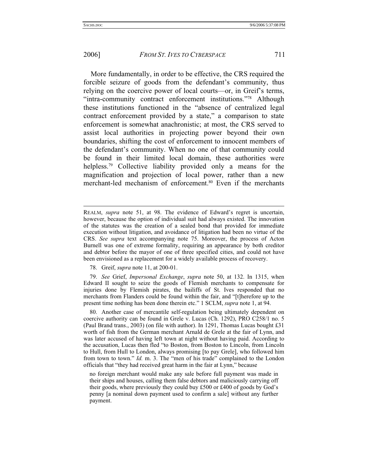#### 2006] *FROM ST. IVES TO CYBERSPACE* 711

More fundamentally, in order to be effective, the CRS required the forcible seizure of goods from the defendant's community, thus relying on the coercive power of local courts—or, in Greif's terms, "intra-community contract enforcement institutions."78 Although these institutions functioned in the "absence of centralized legal contract enforcement provided by a state," a comparison to state enforcement is somewhat anachronistic; at most, the CRS served to assist local authorities in projecting power beyond their own boundaries, shifting the cost of enforcement to innocent members of the defendant's community. When no one of that community could be found in their limited local domain, these authorities were helpless.<sup>79</sup> Collective liability provided only a means for the magnification and projection of local power, rather than a new merchant-led mechanism of enforcement.<sup>80</sup> Even if the merchants

78. Greif, *supra* note 11, at 200-01.

 79. *See* Grief, *Impersonal Exchange*, *supra* note 50, at 132. In 1315, when Edward II sought to seize the goods of Flemish merchants to compensate for injuries done by Flemish pirates, the bailiffs of St. Ives responded that no merchants from Flanders could be found within the fair, and "[t]herefore up to the present time nothing has been done therein etc." 1 SCLM, *supra* note 1, at 94.

 80. Another case of mercantile self-regulation being ultimately dependent on coercive authority can be found in Grele v. Lucas (Ch. 1292), PRO C258/1 no. 5 (Paul Brand trans., 2003) (on file with author). In 1291, Thomas Lucas bought £31 worth of fish from the German merchant Arnald de Grele at the fair of Lynn, and was later accused of having left town at night without having paid. According to the accusation, Lucas then fled "to Boston, from Boston to Lincoln, from Lincoln to Hull, from Hull to London, always promising [to pay Grele], who followed him from town to town." *Id.* m. 3. The "men of his trade" complained to the London officials that "they had received great harm in the fair at Lynn," because

no foreign merchant would make any sale before full payment was made in their ships and houses, calling them false debtors and maliciously carrying off their goods, where previously they could buy £500 or £400 of goods by God's penny [a nominal down payment used to confirm a sale] without any further payment.

REALM, *supra* note 51, at 98. The evidence of Edward's regret is uncertain, however, because the option of individual suit had always existed. The innovation of the statutes was the creation of a sealed bond that provided for immediate execution without litigation, and avoidance of litigation had been no virtue of the CRS. *See supra* text accompanying note 75. Moreover, the process of Acton Burnell was one of extreme formality, requiring an appearance by both creditor and debtor before the mayor of one of three specified cities, and could not have been envisioned as a replacement for a widely available process of recovery.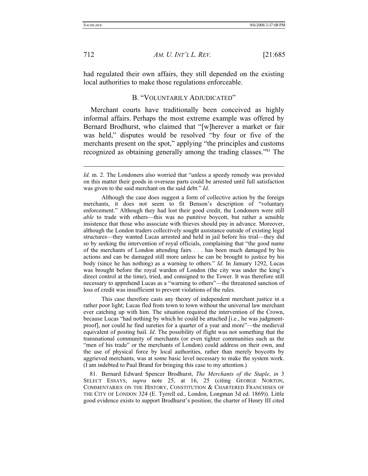712 *AM. U. INT'L L. REV.* [21:685

had regulated their own affairs, they still depended on the existing local authorities to make those regulations enforceable.

## B. "VOLUNTARILY ADJUDICATED"

Merchant courts have traditionally been conceived as highly informal affairs. Perhaps the most extreme example was offered by Bernard Brodhurst, who claimed that "[w]herever a market or fair was held," disputes would be resolved "by four or five of the merchants present on the spot," applying "the principles and customs recognized as obtaining generally among the trading classes."81 The

 Although the case does suggest a form of collective action by the foreign merchants, it does not seem to fit Benson's description of "voluntary enforcement." Although they had lost their good credit, the Londoners were still *able* to trade with others—this was no punitive boycott, but rather a sensible insistence that those who associate with thieves should pay in advance. Moreover, although the London traders collectively sought assistance outside of existing legal structures—they wanted Lucas arrested and held in jail before his trial—they did so by seeking the intervention of royal officials, complaining that "the good name of the merchants of London attending fairs . . . has been much damaged by his actions and can be damaged still more unless he can be brought to justice by his body (since he has nothing) as a warning to others." *Id*. In January 1292, Lucas was brought before the royal warden of London (the city was under the king's direct control at the time), tried, and consigned to the Tower. It was therefore still necessary to apprehend Lucas as a "warning to others"—the threatened sanction of loss of credit was insufficient to prevent violations of the rules.

 This case therefore casts any theory of independent merchant justice in a rather poor light; Lucas fled from town to town without the universal law merchant ever catching up with him. The situation required the intervention of the Crown, because Lucas "had nothing by which he could be attached [i.e., he was judgmentproof], nor could he find sureties for a quarter of a year and more"—the medieval equivalent of posting bail. *Id*. The possibility of flight was not something that the transnational community of merchants (or even tighter communities such as the "men of his trade" or the merchants of London) could address on their own, and the use of physical force by local authorities, rather than merely boycotts by aggrieved merchants, was at some basic level necessary to make the system work. (I am indebted to Paul Brand for bringing this case to my attention.)

 81. Bernard Edward Spencer Brodhurst, *The Merchants of the Staple*, *in* 3 SELECT ESSAYS, *supra* note 25, at 16, 25 (citing GEORGE NORTON, COMMENTARIES ON THE HISTORY, CONSTITUTION & CHARTERED FRANCHISES OF THE CITY OF LONDON 324 (E. Tyrrell ed., London, Longman 3d ed. 1869)). Little good evidence exists to support Brodhurst's position; the charter of Henry III cited

*Id*. m. 2. The Londoners also worried that "unless a speedy remedy was provided on this matter their goods in overseas parts could be arrested until full satisfaction was given to the said merchant on the said debt." *Id*.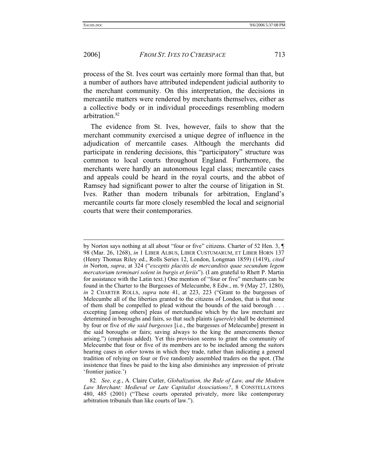## 2006] *FROM ST. IVES TO CYBERSPACE* 713

process of the St. Ives court was certainly more formal than that, but a number of authors have attributed independent judicial authority to the merchant community. On this interpretation, the decisions in mercantile matters were rendered by merchants themselves, either as a collective body or in individual proceedings resembling modern arbitration.82

The evidence from St. Ives, however, fails to show that the merchant community exercised a unique degree of influence in the adjudication of mercantile cases. Although the merchants did participate in rendering decisions, this "participatory" structure was common to local courts throughout England. Furthermore, the merchants were hardly an autonomous legal class; mercantile cases and appeals could be heard in the royal courts, and the abbot of Ramsey had significant power to alter the course of litigation in St. Ives. Rather than modern tribunals for arbitration, England's mercantile courts far more closely resembled the local and seignorial courts that were their contemporaries.

by Norton says nothing at all about "four or five" citizens. Charter of 52 Hen. 3, ¶ 98 (Mar. 26, 1268), *in* 1 LIBER ALBUS, LIBER CUSTUMARUM, ET LIBER HORN 137 (Henry Thomas Riley ed., Rolls Series 12, London, Longman 1859) (1419), *cited in* Norton, *supra*, at 324 ("*exceptis placitis de mercandisis quae secundum legem mercatoriam terminari solent in burgis et feriis*"). (I am grateful to Rhett P. Martin for assistance with the Latin text.) One mention of "four or five" merchants can be found in the Charter to the Burgesses of Melecumbe, 8 Edw., m. 9 (May 27, 1280), *in* 2 CHARTER ROLLS, *supra* note 41, at 223, 223 ("Grant to the burgesses of Melecumbe all of the liberties granted to the citizens of London, that is that none of them shall be compelled to plead without the bounds of the said borough . . . excepting [among others] pleas of merchandise which by the law merchant are determined in boroughs and fairs, so that such plaints (*querele*) shall be determined by four or five of *the said burgesses* [i.e., the burgesses of Melecumbe] present in the said boroughs or fairs; saving always to the king the amercements thence arising.") (emphasis added). Yet this provision seems to grant the community of Melecumbe that four or five of its members are to be included among the suitors hearing cases in *other* towns in which they trade, rather than indicating a general tradition of relying on four or five randomly assembled traders on the spot. (The insistence that fines be paid to the king also diminishes any impression of private 'frontier justice.')

<sup>82</sup>*. See, e.g.*, A. Claire Cutler, *Globalization, the Rule of Law, and the Modern Law Merchant: Medieval or Late Capitalist Associations?*, 8 CONSTELLATIONS 480, 485 (2001) ("These courts operated privately, more like contemporary arbitration tribunals than like courts of law.").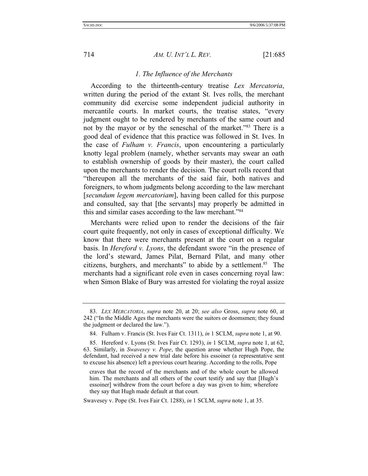#### *1. The Influence of the Merchants*

According to the thirteenth-century treatise *Lex Mercatoria*, written during the period of the extant St. Ives rolls, the merchant community did exercise some independent judicial authority in mercantile courts. In market courts, the treatise states, "every judgment ought to be rendered by merchants of the same court and not by the mayor or by the seneschal of the market."<sup>83</sup> There is a good deal of evidence that this practice was followed in St. Ives. In the case of *Fulham v. Francis*, upon encountering a particularly knotty legal problem (namely, whether servants may swear an oath to establish ownership of goods by their master), the court called upon the merchants to render the decision. The court rolls record that "thereupon all the merchants of the said fair, both natives and foreigners, to whom judgments belong according to the law merchant [*secundum legem mercatoriam*], having been called for this purpose and consulted, say that [the servants] may properly be admitted in this and similar cases according to the law merchant."84

Merchants were relied upon to render the decisions of the fair court quite frequently, not only in cases of exceptional difficulty. We know that there were merchants present at the court on a regular basis. In *Hereford v. Lyons*, the defendant swore "in the presence of the lord's steward, James Pilat, Bernard Pilat, and many other citizens, burghers, and merchants" to abide by a settlement. $85$  The merchants had a significant role even in cases concerning royal law: when Simon Blake of Bury was arrested for violating the royal assize

 <sup>83.</sup> *LEX MERCATORIA*, *supra* note 20, at 20; *see also* Gross, *supra* note 60, at 242 ("In the Middle Ages the merchants were the suitors or doomsmen; they found the judgment or declared the law.").

 <sup>84.</sup> Fulham v. Francis (St. Ives Fair Ct. 1311), *in* 1 SCLM, *supra* note 1, at 90.

 <sup>85.</sup> Hereford v. Lyons (St. Ives Fair Ct. 1293), *in* 1 SCLM, *supra* note 1, at 62, 63. Similarly, in *Swavesey v. Pope*, the question arose whether Hugh Pope, the defendant, had received a new trial date before his essoiner (a representative sent to excuse his absence) left a previous court hearing. According to the rolls, Pope

craves that the record of the merchants and of the whole court be allowed him. The merchants and all others of the court testify and say that [Hugh's essoiner] withdrew from the court before a day was given to him; wherefore they say that Hugh made default at that court.

Swavesey v. Pope (St. Ives Fair Ct. 1288), *in* 1 SCLM, *supra* note 1, at 35.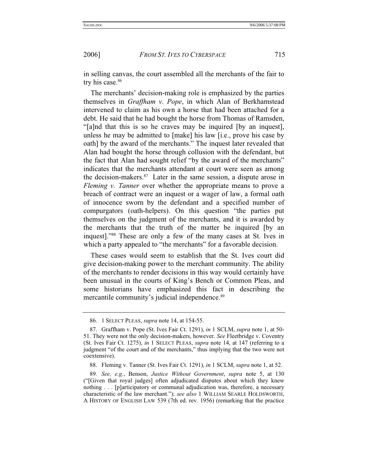in selling canvas, the court assembled all the merchants of the fair to try his case.<sup>86</sup>

The merchants' decision-making role is emphasized by the parties themselves in *Graffham v. Pope*, in which Alan of Berkhamstead intervened to claim as his own a horse that had been attached for a debt. He said that he had bought the horse from Thomas of Ramsden, "[a]nd that this is so he craves may be inquired [by an inquest], unless he may be admitted to [make] his law [i.e., prove his case by oath] by the award of the merchants." The inquest later revealed that Alan had bought the horse through collusion with the defendant, but the fact that Alan had sought relief "by the award of the merchants" indicates that the merchants attendant at court were seen as among the decision-makers. $87$  Later in the same session, a dispute arose in *Fleming v. Tanner* over whether the appropriate means to prove a breach of contract were an inquest or a wager of law, a formal oath of innocence sworn by the defendant and a specified number of compurgators (oath-helpers). On this question "the parties put themselves on the judgment of the merchants, and it is awarded by the merchants that the truth of the matter be inquired [by an inquest]."88 These are only a few of the many cases at St. Ives in which a party appealed to "the merchants" for a favorable decision.

These cases would seem to establish that the St. Ives court did give decision-making power to the merchant community. The ability of the merchants to render decisions in this way would certainly have been unusual in the courts of King's Bench or Common Pleas, and some historians have emphasized this fact in describing the mercantile community's judicial independence.<sup>89</sup>

 <sup>86. 1</sup> SELECT PLEAS, *supra* note 14, at 154-55.

 <sup>87.</sup> Graffham v. Pope (St. Ives Fair Ct. 1291), *in* 1 SCLM, *supra* note 1, at 50- 51. They were not the only decision-makers, however. *See* Fleetbridge v. Coventry (St. Ives Fair Ct. 1275), *in* 1 SELECT PLEAS, *supra* note 14, at 147 (referring to a judgment "of the court and of the merchants," thus implying that the two were not coextensive).

 <sup>88.</sup> Fleming v. Tanner (St. Ives Fair Ct. 1291), *in* 1 SCLM, *supra* note 1, at 52.

<sup>89</sup>*. See, e.g.*, Benson, *Justice Without Government*, *supra* note 5, at 130 ("[Given that royal judges] often adjudicated disputes about which they knew nothing . . . [p]articipatory or communal adjudication was, therefore, a necessary characteristic of the law merchant."); *see also* 1 WILLIAM SEARLE HOLDSWORTH, A HISTORY OF ENGLISH LAW 539 (7th ed. rev. 1956) (remarking that the practice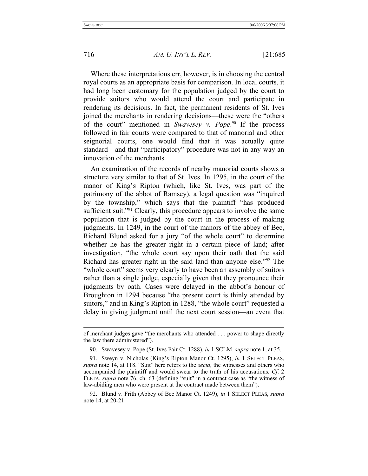## 716 *AM. U. INT'L L. REV.* [21:685

Where these interpretations err, however, is in choosing the central royal courts as an appropriate basis for comparison. In local courts, it had long been customary for the population judged by the court to provide suitors who would attend the court and participate in rendering its decisions. In fact, the permanent residents of St. Ives joined the merchants in rendering decisions—these were the "others of the court" mentioned in *Swavesey v. Pope*. 90 If the process followed in fair courts were compared to that of manorial and other seignorial courts, one would find that it was actually quite standard—and that "participatory" procedure was not in any way an innovation of the merchants.

An examination of the records of nearby manorial courts shows a structure very similar to that of St. Ives. In 1295, in the court of the manor of King's Ripton (which, like St. Ives, was part of the patrimony of the abbot of Ramsey), a legal question was "inquired by the township," which says that the plaintiff "has produced sufficient suit."<sup>91</sup> Clearly, this procedure appears to involve the same population that is judged by the court in the process of making judgments. In 1249, in the court of the manors of the abbey of Bec, Richard Blund asked for a jury "of the whole court" to determine whether he has the greater right in a certain piece of land; after investigation, "the whole court say upon their oath that the said Richard has greater right in the said land than anyone else."92 The "whole court" seems very clearly to have been an assembly of suitors rather than a single judge, especially given that they pronounce their judgments by oath. Cases were delayed in the abbot's honour of Broughton in 1294 because "the present court is thinly attended by suitors," and in King's Ripton in 1288, "the whole court" requested a delay in giving judgment until the next court session—an event that

of merchant judges gave "the merchants who attended . . . power to shape directly the law there administered").

 <sup>90.</sup> Swavesey v. Pope (St. Ives Fair Ct. 1288), *in* 1 SCLM, *supra* note 1, at 35.

 <sup>91.</sup> Sweyn v. Nicholas (King's Ripton Manor Ct. 1295), *in* 1 SELECT PLEAS, *supra* note 14, at 118. "Suit" here refers to the *secta*, the witnesses and others who accompanied the plaintiff and would swear to the truth of his accusations. *Cf*. 2 FLETA, *supra* note 76, ch. 63 (defining "suit" in a contract case as "the witness of law-abiding men who were present at the contract made between them").

 <sup>92.</sup> Blund v. Frith (Abbey of Bec Manor Ct. 1249), *in* 1 SELECT PLEAS, *supra* note 14, at 20-21.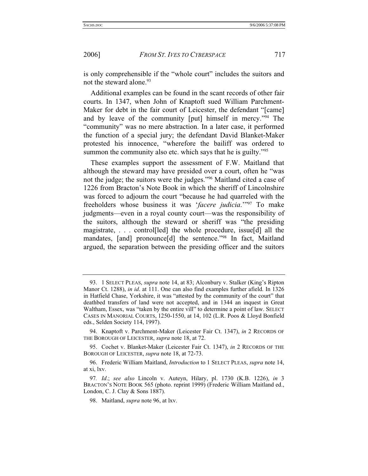is only comprehensible if the "whole court" includes the suitors and not the steward alone.<sup>93</sup>

Additional examples can be found in the scant records of other fair courts. In 1347, when John of Knaptoft sued William Parchment-Maker for debt in the fair court of Leicester, the defendant "[came] and by leave of the community [put] himself in mercy."94 The "community" was no mere abstraction. In a later case, it performed the function of a special jury; the defendant David Blanket-Maker protested his innocence, "wherefore the bailiff was ordered to summon the community also etc. which says that he is guilty."<sup>95</sup>

These examples support the assessment of F.W. Maitland that although the steward may have presided over a court, often he "was not the judge; the suitors were the judges."96 Maitland cited a case of 1226 from Bracton's Note Book in which the sheriff of Lincolnshire was forced to adjourn the court "because he had quarreled with the freeholders whose business it was '*facere judicia*.'"97 To make judgments—even in a royal county court—was the responsibility of the suitors, although the steward or sheriff was "the presiding magistrate, . . . control[led] the whole procedure, issue[d] all the mandates, [and] pronounce[d] the sentence."<sup>98</sup> In fact, Maitland argued, the separation between the presiding officer and the suitors

 <sup>93. 1</sup> SELECT PLEAS, *supra* note 14, at 83; Alconbury v. Stalker (King's Ripton Manor Ct. 1288), *in id*. at 111. One can also find examples further afield. In 1326 in Hatfield Chase, Yorkshire, it was "attested by the community of the court" that deathbed transfers of land were not accepted, and in 1344 an inquest in Great Waltham, Essex, was "taken by the entire vill" to determine a point of law. SELECT CASES IN MANORIAL COURTS, 1250-1550, at 14, 102 (L.R. Poos & Lloyd Bonfield eds., Selden Society 114, 1997).

 <sup>94.</sup> Knaptoft v. Parchment-Maker (Leicester Fair Ct. 1347), *in* 2 RECORDS OF THE BOROUGH OF LEICESTER, *supra* note 18, at 72.

 <sup>95.</sup> Cochet v. Blanket-Maker (Leicester Fair Ct. 1347), *in* 2 RECORDS OF THE BOROUGH OF LEICESTER, *supra* note 18, at 72-73.

 <sup>96.</sup> Frederic William Maitland, *Introduction* to 1 SELECT PLEAS, *supra* note 14, at xi, lxv.

<sup>97</sup>*. Id*.; *see also* Lincoln v. Auteyn, Hilary, pl. 1730 (K.B. 1226), *in* 3 BRACTON'S NOTE BOOK 565 (photo. reprint 1999) (Frederic William Maitland ed., London, C. J. Clay & Sons 1887).

 <sup>98.</sup> Maitland, *supra* note 96, at lxv.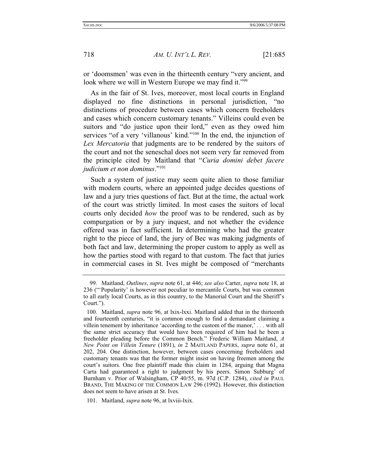or 'doomsmen' was even in the thirteenth century "very ancient, and look where we will in Western Europe we may find it."<sup>99</sup>

As in the fair of St. Ives, moreover, most local courts in England displayed no fine distinctions in personal jurisdiction, "no distinctions of procedure between cases which concern freeholders and cases which concern customary tenants." Villeins could even be suitors and "do justice upon their lord," even as they owed him services "of a very 'villanous' kind."100 In the end, the injunction of *Lex Mercatoria* that judgments are to be rendered by the suitors of the court and not the seneschal does not seem very far removed from the principle cited by Maitland that "*Curia domini debet facere judicium et non dominus*."101

Such a system of justice may seem quite alien to those familiar with modern courts, where an appointed judge decides questions of law and a jury tries questions of fact. But at the time, the actual work of the court was strictly limited. In most cases the suitors of local courts only decided *how* the proof was to be rendered, such as by compurgation or by a jury inquest, and not whether the evidence offered was in fact sufficient. In determining who had the greater right to the piece of land, the jury of Bec was making judgments of both fact and law, determining the proper custom to apply as well as how the parties stood with regard to that custom. The fact that juries in commercial cases in St. Ives might be composed of "merchants

 <sup>99.</sup> Maitland, *Outlines*, *supra* note 61, at 446; *see also* Carter, *supra* note 18, at 236 ("'Popularity' is however not peculiar to mercantile Courts, but was common to all early local Courts, as in this country, to the Manorial Court and the Sheriff's Court.").

 <sup>100.</sup> Maitland, *supra* note 96, at lxix-lxxi. Maitland added that in the thirteenth and fourteenth centuries, "it is common enough to find a demandant claiming a villein tenement by inheritance 'according to the custom of the manor,' . . . with all the same strict accuracy that would have been required of him had he been a freeholder pleading before the Common Bench." Frederic William Maitland, *A New Point on Villein Tenure* (1891), *in* 2 MAITLAND PAPERS, *supra* note 61, at 202, 204. One distinction, however, between cases concerning freeholders and customary tenants was that the former might insist on having freemen among the court's suitors. One free plaintiff made this claim in 1284, arguing that Magna Carta had guaranteed a right to judgment by his peers. Simon Subburg' of Burnham v. Prior of Walsingham, CP 40/55, m. 97d (C.P. 1284), *cited in* PAUL BRAND, THE MAKING OF THE COMMON LAW 296 (1992). However, this distinction does not seem to have arisen at St. Ives.

 <sup>101.</sup> Maitland, *supra* note 96, at lxviii-lxix.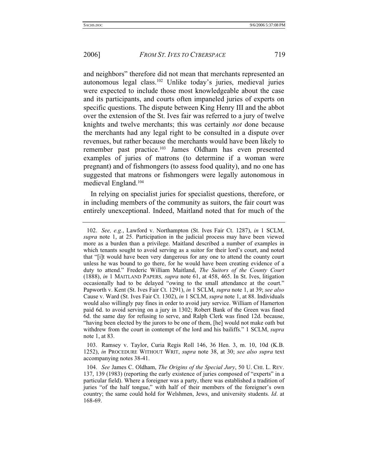and neighbors" therefore did not mean that merchants represented an autonomous legal class.102 Unlike today's juries, medieval juries were expected to include those most knowledgeable about the case and its participants, and courts often impaneled juries of experts on specific questions. The dispute between King Henry III and the abbot over the extension of the St. Ives fair was referred to a jury of twelve knights and twelve merchants; this was certainly *not* done because the merchants had any legal right to be consulted in a dispute over revenues, but rather because the merchants would have been likely to remember past practice.103 James Oldham has even presented examples of juries of matrons (to determine if a woman were pregnant) and of fishmongers (to assess food quality), and no one has suggested that matrons or fishmongers were legally autonomous in medieval England.104

In relying on specialist juries for specialist questions, therefore, or in including members of the community as suitors, the fair court was entirely unexceptional. Indeed, Maitland noted that for much of the

 103. Ramsey v. Taylor, Curia Regis Roll 146, 36 Hen. 3, m. 10, 10d (K.B. 1252), *in* PROCEDURE WITHOUT WRIT, *supra* note 38, at 30; *see also supra* text accompanying notes 38-41.

<sup>102.</sup> *See, e.g.*, Lawford v. Northampton (St. Ives Fair Ct. 1287), *in* 1 SCLM, *supra* note 1, at 25. Participation in the judicial process may have been viewed more as a burden than a privilege. Maitland described a number of examples in which tenants sought to avoid serving as a suitor for their lord's court, and noted that "[i]t would have been very dangerous for any one to attend the county court unless he was bound to go there, for he would have been creating evidence of a duty to attend." Frederic William Maitland, *The Suitors of the County Court* (1888), *in* 1 MAITLAND PAPERS*, supra* note 61, at 458, 465. In St. Ives, litigation occasionally had to be delayed "owing to the small attendance at the court." Papworth v. Kent (St. Ives Fair Ct. 1291), *in* 1 SCLM, *supra* note 1, at 39; *see also* Cause v. Ward (St. Ives Fair Ct. 1302), *in* 1 SCLM, *supra* note 1, at 88. Individuals would also willingly pay fines in order to avoid jury service. William of Hamerton paid 6d. to avoid serving on a jury in 1302; Robert Bank of the Green was fined 6d. the same day for refusing to serve, and Ralph Clerk was fined 12d. because, "having been elected by the jurors to be one of them, [he] would not make oath but withdrew from the court in contempt of the lord and his bailiffs." 1 SCLM, *supra* note 1, at 83.

 <sup>104.</sup> *See* James C. Oldham, *The Origins of the Special Jury*, 50 U. CHI. L. REV. 137, 139 (1983) (reporting the early existence of juries composed of "experts" in a particular field). Where a foreigner was a party, there was established a tradition of juries "of the half tongue," with half of their members of the foreigner's own country; the same could hold for Welshmen, Jews, and university students. *Id*. at 168-69.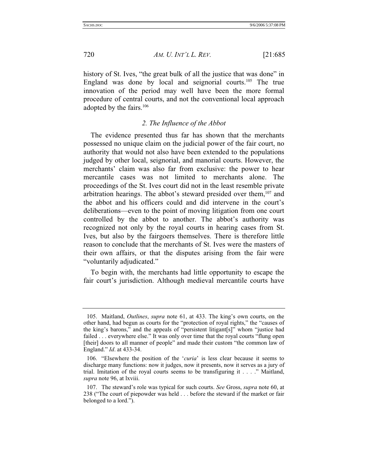history of St. Ives, "the great bulk of all the justice that was done" in England was done by local and seignorial courts.105 The true innovation of the period may well have been the more formal procedure of central courts, and not the conventional local approach adopted by the fairs.106

## *2. The Influence of the Abbot*

The evidence presented thus far has shown that the merchants possessed no unique claim on the judicial power of the fair court, no authority that would not also have been extended to the populations judged by other local, seignorial, and manorial courts. However, the merchants' claim was also far from exclusive: the power to hear mercantile cases was not limited to merchants alone. The proceedings of the St. Ives court did not in the least resemble private arbitration hearings. The abbot's steward presided over them,  $107$  and the abbot and his officers could and did intervene in the court's deliberations—even to the point of moving litigation from one court controlled by the abbot to another. The abbot's authority was recognized not only by the royal courts in hearing cases from St. Ives, but also by the fairgoers themselves. There is therefore little reason to conclude that the merchants of St. Ives were the masters of their own affairs, or that the disputes arising from the fair were "voluntarily adjudicated."

To begin with, the merchants had little opportunity to escape the fair court's jurisdiction. Although medieval mercantile courts have

 <sup>105.</sup> Maitland, *Outlines*, *supra* note 61, at 433. The king's own courts, on the other hand, had begun as courts for the "protection of royal rights," the "causes of the king's barons," and the appeals of "persistent litigant[s]" whom "justice had failed . . . everywhere else." It was only over time that the royal courts "flung open" [their] doors to all manner of people" and made their custom "the common law of England." *Id*. at 433-34.

 <sup>106. &</sup>quot;Elsewhere the position of the '*curia*' is less clear because it seems to discharge many functions: now it judges, now it presents, now it serves as a jury of trial. Imitation of the royal courts seems to be transfiguring it . . . ." Maitland, *supra* note 96, at lxviii.

 <sup>107.</sup> The steward's role was typical for such courts. *See* Gross, *supra* note 60, at 238 ("The court of piepowder was held . . . before the steward if the market or fair belonged to a lord.").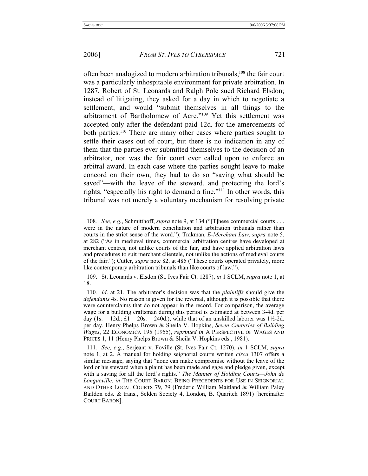often been analogized to modern arbitration tribunals,108 the fair court was a particularly inhospitable environment for private arbitration. In 1287, Robert of St. Leonards and Ralph Pole sued Richard Elsdon; instead of litigating, they asked for a day in which to negotiate a settlement, and would "submit themselves in all things to the arbitrament of Bartholomew of Acre."109 Yet this settlement was accepted only after the defendant paid 12d. for the amercements of both parties.<sup>110</sup> There are many other cases where parties sought to settle their cases out of court, but there is no indication in any of them that the parties ever submitted themselves to the decision of an arbitrator, nor was the fair court ever called upon to enforce an arbitral award. In each case where the parties sought leave to make concord on their own, they had to do so "saving what should be saved"—with the leave of the steward, and protecting the lord's rights, "especially his right to demand a fine."111 In other words, this tribunal was not merely a voluntary mechanism for resolving private

 109. St. Leonards v. Elsdon (St. Ives Fair Ct. 1287), *in* 1 SCLM, *supra* note 1, at 18.

<sup>108</sup>*. See, e.g.*, Schmitthoff, *supra* note 9, at 134 ("[T]hese commercial courts . . . were in the nature of modern conciliation and arbitration tribunals rather than courts in the strict sense of the word."); Trakman, *E-Merchant Law*, *supra* note 5, at 282 ("As in medieval times, commercial arbitration centres have developed at merchant centres, not unlike courts of the fair, and have applied arbitration laws and procedures to suit merchant clientele, not unlike the actions of medieval courts of the fair."); Cutler, *supra* note 82, at 485 ("These courts operated privately, more like contemporary arbitration tribunals than like courts of law.").

<sup>110</sup>*. Id*. at 21. The arbitrator's decision was that the *plaintiffs* should give the *defendants* 4s. No reason is given for the reversal, although it is possible that there were counterclaims that do not appear in the record. For comparison, the average wage for a building craftsman during this period is estimated at between 3-4d. per day (1s. = 12d.;  $\pounds 1 = 20s$ . = 240d.), while that of an unskilled laborer was 1½-2d. per day. Henry Phelps Brown & Sheila V. Hopkins, *Seven Centuries of Building Wages*, 22 ECONOMICA 195 (1955), *reprinted in* A PERSPECTIVE OF WAGES AND PRICES 1, 11 (Henry Phelps Brown & Sheila V. Hopkins eds., 1981).

<sup>111</sup>*. See, e.g.*, Serjeant v. Foville (St. Ives Fair Ct. 1270), *in* 1 SCLM, *supra* note 1, at 2. A manual for holding seignorial courts written *circa* 1307 offers a similar message, saying that "none can make compromise without the leave of the lord or his steward when a plaint has been made and gage and pledge given, except with a saving for all the lord's rights." *The Manner of Holding Courts—John de Longueville*, *in* THE COURT BARON: BEING PRECEDENTS FOR USE IN SEIGNORIAL AND OTHER LOCAL COURTS 79, 79 (Frederic William Maitland & William Paley Baildon eds. & trans., Selden Society 4, London, B. Quaritch 1891) [hereinafter COURT BARON].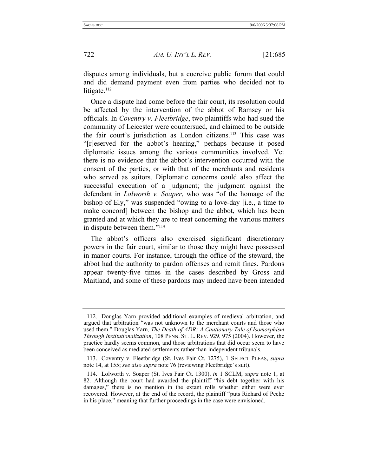disputes among individuals, but a coercive public forum that could and did demand payment even from parties who decided not to litigate. $112$ 

Once a dispute had come before the fair court, its resolution could be affected by the intervention of the abbot of Ramsey or his officials. In *Coventry v. Fleetbridge*, two plaintiffs who had sued the community of Leicester were countersued, and claimed to be outside the fair court's jurisdiction as London citizens.113 This case was "[r]eserved for the abbot's hearing," perhaps because it posed diplomatic issues among the various communities involved. Yet there is no evidence that the abbot's intervention occurred with the consent of the parties, or with that of the merchants and residents who served as suitors. Diplomatic concerns could also affect the successful execution of a judgment; the judgment against the defendant in *Lolworth v. Soaper*, who was "of the homage of the bishop of Ely," was suspended "owing to a love-day [i.e., a time to make concord] between the bishop and the abbot, which has been granted and at which they are to treat concerning the various matters in dispute between them."114

The abbot's officers also exercised significant discretionary powers in the fair court, similar to those they might have possessed in manor courts. For instance, through the office of the steward, the abbot had the authority to pardon offenses and remit fines. Pardons appear twenty-five times in the cases described by Gross and Maitland, and some of these pardons may indeed have been intended

 <sup>112.</sup> Douglas Yarn provided additional examples of medieval arbitration, and argued that arbitration "was not unknown to the merchant courts and those who used them." Douglas Yarn, *The Death of ADR: A Cautionary Tale of Isomorphism Through Institutionalization*, 108 PENN. ST. L. REV. 929, 975 (2004). However, the practice hardly seems common, and those arbitrations that did occur seem to have been conceived as mediated settlements rather than independent tribunals.

 <sup>113.</sup> Coventry v. Fleetbridge (St. Ives Fair Ct. 1275), 1 SELECT PLEAS, *supra* note 14, at 155; *see also supra* note 76 (reviewing Fleetbridge's suit).

 <sup>114.</sup> Lolworth v. Soaper (St. Ives Fair Ct. 1300), *in* 1 SCLM, *supra* note 1, at 82. Although the court had awarded the plaintiff "his debt together with his damages," there is no mention in the extant rolls whether either were ever recovered. However, at the end of the record, the plaintiff "puts Richard of Peche in his place," meaning that further proceedings in the case were envisioned.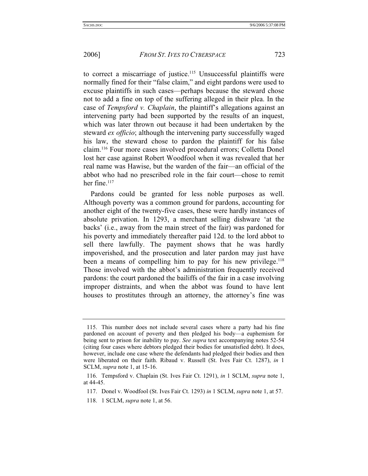to correct a miscarriage of justice.115 Unsuccessful plaintiffs were normally fined for their "false claim," and eight pardons were used to excuse plaintiffs in such cases—perhaps because the steward chose not to add a fine on top of the suffering alleged in their plea. In the case of *Tempsford v. Chaplain*, the plaintiff's allegations against an intervening party had been supported by the results of an inquest, which was later thrown out because it had been undertaken by the steward *ex officio*; although the intervening party successfully waged his law, the steward chose to pardon the plaintiff for his false claim.116 Four more cases involved procedural errors; Colletta Donel lost her case against Robert Woodfool when it was revealed that her real name was Hawise, but the warden of the fair—an official of the abbot who had no prescribed role in the fair court—chose to remit her fine. $117$ 

Pardons could be granted for less noble purposes as well. Although poverty was a common ground for pardons, accounting for another eight of the twenty-five cases, these were hardly instances of absolute privation. In 1293, a merchant selling dishware 'at the backs' (i.e., away from the main street of the fair) was pardoned for his poverty and immediately thereafter paid 12d. to the lord abbot to sell there lawfully. The payment shows that he was hardly impoverished, and the prosecution and later pardon may just have been a means of compelling him to pay for his new privilege.<sup>118</sup> Those involved with the abbot's administration frequently received pardons: the court pardoned the bailiffs of the fair in a case involving improper distraints, and when the abbot was found to have lent houses to prostitutes through an attorney, the attorney's fine was

 <sup>115.</sup> This number does not include several cases where a party had his fine pardoned on account of poverty and then pledged his body—a euphemism for being sent to prison for inability to pay. *See supra* text accompanying notes 52-54 (citing four cases where debtors pledged their bodies for unsatisfied debt). It does, however, include one case where the defendants had pledged their bodies and then were liberated on their faith. Ribaud v. Russell (St. Ives Fair Ct. 1287), *in* 1 SCLM, *supra* note 1, at 15-16.

 <sup>116.</sup> Tempsford v. Chaplain (St. Ives Fair Ct. 1291), *in* 1 SCLM, *supra* note 1, at 44-45.

 <sup>117.</sup> Donel v. Woodfool (St. Ives Fair Ct. 1293) *in* 1 SCLM, *supra* note 1, at 57.

 <sup>118. 1</sup> SCLM, *supra* note 1, at 56.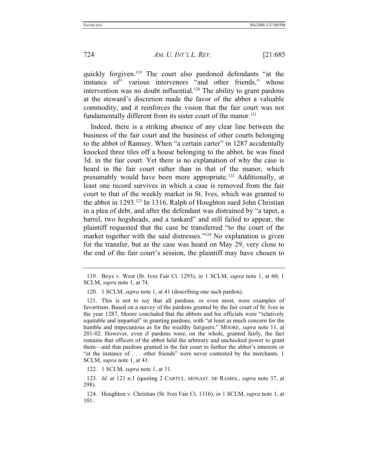quickly forgiven.<sup>119</sup> The court also pardoned defendants "at the instance of" various intervenors "and other friends," whose intervention was no doubt influential.<sup>120</sup> The ability to grant pardons at the steward's discretion made the favor of the abbot a valuable commodity, and it reinforces the vision that the fair court was not fundamentally different from its sister court of the manor.<sup>121</sup>

Indeed, there is a striking absence of any clear line between the business of the fair court and the business of other courts belonging to the abbot of Ramsey. When "a certain carter" in 1287 accidentally knocked three tiles off a house belonging to the abbot, he was fined 3d. in the fair court. Yet there is no explanation of why the case is heard in the fair court rather than in that of the manor, which presumably would have been more appropriate.122 Additionally, at least one record survives in which a case is removed from the fair court to that of the weekly market in St. Ives, which was granted to the abbot in 1293.123 In 1316, Ralph of Houghton sued John Christian in a plea of debt, and after the defendant was distrained by "a tapet, a barrel, two hogsheads, and a tankard" and still failed to appear, the plaintiff requested that the case be transferred "to the court of the market together with the said distresses."<sup>124</sup> No explanation is given for the transfer, but as the case was heard on May 29, very close to the end of the fair court's session, the plaintiff may have chosen to

 <sup>119.</sup> Boys v. West (St. Ives Fair Ct. 1293), *in* 1 SCLM, *supra* note 1, at 60; 1 SCLM, *supra* note 1, at 74.

 <sup>120. 1</sup> SCLM, *supra* note 1, at 41 (describing one such pardon).

 <sup>121.</sup> This is not to say that all pardons, or even most, were examples of favoritism. Based on a survey of the pardons granted by the fair court of St. Ives in the year 1287, Moore concluded that the abbots and his officials were "relatively equitable and impartial" in granting pardons, with "at least as much concern for the humble and impecunious as for the wealthy fairgoers." MOORE, *supra* note 11, at 201-02. However, even if pardons were, on the whole, granted fairly, the fact remains that officers of the abbot held the arbitrary and unchecked power to grant them—and that pardons granted in the fair court to further the abbot's interests or "at the instance of . . . other friends" were never contested by the merchants. 1 SCLM, *supra* note 1, at 41.

 <sup>122. 1</sup> SCLM, *supra* note 1, at 31.

<sup>123</sup>*. Id*. at 121 n.1 (quoting 2 CARTUL. MONAST. DE RAMES., *supra* note 37, at 298).

 <sup>124.</sup> Houghton v. Christian (St. Ives Fair Ct. 1316), *in* 1 SCLM, *supra* note 1, at 101.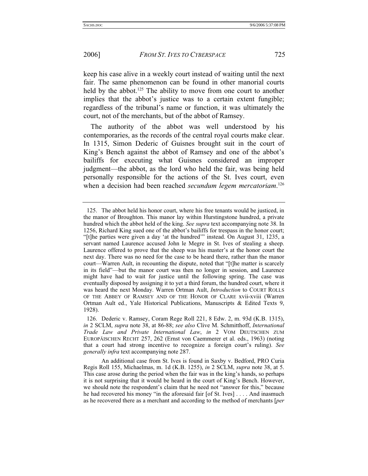keep his case alive in a weekly court instead of waiting until the next fair. The same phenomenon can be found in other manorial courts held by the abbot.<sup>125</sup> The ability to move from one court to another implies that the abbot's justice was to a certain extent fungible; regardless of the tribunal's name or function, it was ultimately the court, not of the merchants, but of the abbot of Ramsey.

The authority of the abbot was well understood by his contemporaries, as the records of the central royal courts make clear. In 1315, Simon Dederic of Guisnes brought suit in the court of King's Bench against the abbot of Ramsey and one of the abbot's bailiffs for executing what Guisnes considered an improper judgment—the abbot, as the lord who held the fair, was being held personally responsible for the actions of the St. Ives court, even when a decision had been reached *secundum legem mercatoriam*. 126

 <sup>125.</sup> The abbot held his honor court, where his free tenants would be justiced, in the manor of Broughton. This manor lay within Hurstingstone hundred, a private hundred which the abbot held of the king. *See supra* text accompanying note 38. In 1256, Richard King sued one of the abbot's bailiffs for trespass in the honor court; "[t]he parties were given a day 'at the hundred'" instead. On August 31, 1235, a servant named Laurence accused John le Megre in St. Ives of stealing a sheep. Laurence offered to prove that the sheep was his master's at the honor court the next day. There was no need for the case to be heard there, rather than the manor court—Warren Ault, in recounting the dispute, noted that "[t]he matter is scarcely in its field"—but the manor court was then no longer in session, and Laurence might have had to wait for justice until the following spring. The case was eventually disposed by assigning it to yet a third forum, the hundred court, where it was heard the next Monday. Warren Ortman Ault, *Introduction* to COURT ROLLS OF THE ABBEY OF RAMSEY AND OF THE HONOR OF CLARE xvii-xviii (Warren Ortman Ault ed., Yale Historical Publications, Manuscripts & Edited Texts 9, 1928).

 <sup>126.</sup> Dederic v. Ramsey, Coram Rege Roll 221, 8 Edw. 2, m. 93d (K.B. 1315), *in* 2 SCLM, *supra* note 38, at 86-88; *see also* Clive M. Schmitthoff, *International Trade Law and Private International Law*, *in* 2 VOM DEUTSCHEN ZUM EUROPÄISCHEN RECHT 257, 262 (Ernst von Caemmerer et al. eds., 1963) (noting that a court had strong incentive to recognize a foreign court's ruling). *See generally infra* text accompanying note 287.

An additional case from St. Ives is found in Saxby v. Bedford, PRO Curia Regis Roll 155, Michaelmas, m. 1d (K.B. 1255), *in* 2 SCLM, *supra* note 38, at 5. This case arose during the period when the fair was in the king's hands, so perhaps it is not surprising that it would be heard in the court of King's Bench. However, we should note the respondent's claim that he need not "answer for this," because he had recovered his money "in the aforesaid fair [of St. Ives] . . . . And inasmuch as he recovered there as a merchant and according to the method of merchants [*per*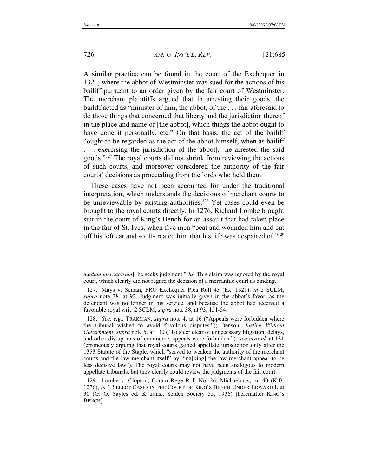726 *AM. U. INT'L L. REV.* [21:685

A similar practice can be found in the court of the Exchequer in 1321, where the abbot of Westminster was sued for the actions of his bailiff pursuant to an order given by the fair court of Westminster. The merchant plaintiffs argued that in arresting their goods, the bailiff acted as "minister of him, the abbot, of the . . . fair aforesaid to do those things that concerned that liberty and the jurisdiction thereof in the place and name of [the abbot], which things the abbot ought to have done if personally, etc." On that basis, the act of the bailiff "ought to be regarded as the act of the abbot himself, when as bailiff . . . exercising the jurisdiction of the abbot[,] he arrested the said goods."127 The royal courts did not shrink from reviewing the actions of such courts, and moreover considered the authority of the fair courts' decisions as proceeding from the lords who held them.

These cases have not been accounted for under the traditional interpretation, which understands the decisions of merchant courts to be unreviewable by existing authorities.<sup>128</sup> Yet cases could even be brought to the royal courts directly. In 1276, Richard Lombe brought suit in the court of King's Bench for an assault that had taken place in the fair of St. Ives, when five men "beat and wounded him and cut off his left ear and so ill-treated him that his life was despaired of."129

*modum mercatorum*], he seeks judgment." *Id*. This claim was ignored by the royal court, which clearly did not regard the decision of a mercantile court as binding.

 <sup>127.</sup> Mays v. Seman, PRO Exchequer Plea Roll 43 (Ex. 1321), *in* 2 SCLM, *supra* note 38, at 93. Judgment was initially given in the abbot's favor, as the defendant was no longer in his service, and because the abbot had received a favorable royal writ. 2 SCLM, *supra* note 38, at 93, 151-54.

 <sup>128.</sup> *See, e.g.*, TRAKMAN, *supra* note 4, at 16 ("Appeals were forbidden where the tribunal wished to avoid frivolous disputes."); Benson, *Justice Without Government*, *supra* note 5, at 130 ("To steer clear of unnecessary litigation, delays, and other disruptions of commerce, appeals were forbidden."); *see also id*. at 131 (erroneously arguing that royal courts gained appellate jurisdiction only after the 1353 Statute of the Staple, which "served to weaken the authority of the merchant courts and the law merchant itself" by "ma[king] the law merchant appear to be less decisive law"). The royal courts may not have been analogous to modern appellate tribunals, but they clearly could review the judgments of the fair court.

 <sup>129.</sup> Lombe v. Clopton, Coram Rege Roll No. 26, Michaelmas, m. 40 (K.B. 1276), *in* 1 SELECT CASES IN THE COURT OF KING'S BENCH UNDER EDWARD I, at 30 (G. O. Sayles ed. & trans., Selden Society 55, 1936) [hereinafter KING'S BENCH].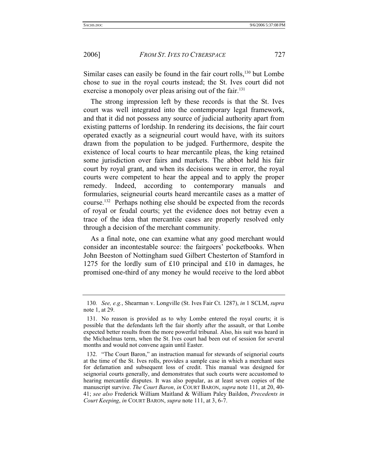Similar cases can easily be found in the fair court rolls,<sup>130</sup> but Lombe chose to sue in the royal courts instead; the St. Ives court did not exercise a monopoly over pleas arising out of the fair.<sup>131</sup>

The strong impression left by these records is that the St. Ives court was well integrated into the contemporary legal framework, and that it did not possess any source of judicial authority apart from existing patterns of lordship. In rendering its decisions, the fair court operated exactly as a seigneurial court would have, with its suitors drawn from the population to be judged. Furthermore, despite the existence of local courts to hear mercantile pleas, the king retained some jurisdiction over fairs and markets. The abbot held his fair court by royal grant, and when its decisions were in error, the royal courts were competent to hear the appeal and to apply the proper remedy. Indeed, according to contemporary manuals and formularies, seigneurial courts heard mercantile cases as a matter of course.132 Perhaps nothing else should be expected from the records of royal or feudal courts; yet the evidence does not betray even a trace of the idea that mercantile cases are properly resolved only through a decision of the merchant community.

As a final note, one can examine what any good merchant would consider an incontestable source: the fairgoers' pocketbooks. When John Beeston of Nottingham sued Gilbert Chesterton of Stamford in 1275 for the lordly sum of £10 principal and £10 in damages, he promised one-third of any money he would receive to the lord abbot

<sup>130</sup>*. See, e.g.*, Shearman v. Longville (St. Ives Fair Ct. 1287), *in* 1 SCLM, *supra* note 1, at 29.

 <sup>131.</sup> No reason is provided as to why Lombe entered the royal courts; it is possible that the defendants left the fair shortly after the assault, or that Lombe expected better results from the more powerful tribunal. Also, his suit was heard in the Michaelmas term, when the St. Ives court had been out of session for several months and would not convene again until Easter.

 <sup>132. &</sup>quot;The Court Baron," an instruction manual for stewards of seignorial courts at the time of the St. Ives rolls, provides a sample case in which a merchant sues for defamation and subsequent loss of credit. This manual was designed for seignorial courts generally, and demonstrates that such courts were accustomed to hearing mercantile disputes. It was also popular, as at least seven copies of the manuscript survive. *The Court Baron*, *in* COURT BARON, *supra* note 111, at 20, 40- 41; *see also* Frederick William Maitland & William Paley Baildon, *Precedents in Court Keeping*, *in* COURT BARON, *supra* note 111, at 3, 6-7.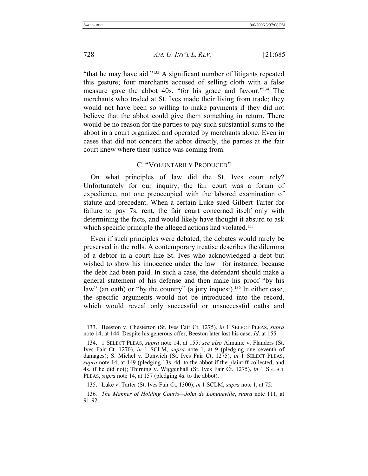"that he may have aid."133 A significant number of litigants repeated this gesture; four merchants accused of selling cloth with a false measure gave the abbot 40s. "for his grace and favour."134 The merchants who traded at St. Ives made their living from trade; they would not have been so willing to make payments if they did not believe that the abbot could give them something in return. There would be no reason for the parties to pay such substantial sums to the abbot in a court organized and operated by merchants alone. Even in cases that did not concern the abbot directly, the parties at the fair court knew where their justice was coming from.

## C. "VOLUNTARILY PRODUCED"

On what principles of law did the St. Ives court rely? Unfortunately for our inquiry, the fair court was a forum of expedience, not one preoccupied with the labored examination of statute and precedent. When a certain Luke sued Gilbert Tarter for failure to pay 7s. rent, the fair court concerned itself only with determining the facts, and would likely have thought it absurd to ask which specific principle the alleged actions had violated.<sup>135</sup>

Even if such principles were debated, the debates would rarely be preserved in the rolls. A contemporary treatise describes the dilemma of a debtor in a court like St. Ives who acknowledged a debt but wished to show his innocence under the law—for instance, because the debt had been paid. In such a case, the defendant should make a general statement of his defense and then make his proof "by his law" (an oath) or "by the country" (a jury inquest).<sup>136</sup> In either case, the specific arguments would not be introduced into the record, which would reveal only successful or unsuccessful oaths and

135. Luke v. Tarter (St. Ives Fair Ct. 1300), *in* 1 SCLM, *supra* note 1, at 75.

 <sup>133.</sup> Beeston v. Chesterton (St. Ives Fair Ct. 1275), *in* 1 SELECT PLEAS, *supra* note 14, at 144. Despite his generous offer, Beeston later lost his case. *Id*. at 155.

 <sup>134. 1</sup> SELECT PLEAS, *supra* note 14, at 155; *see also* Almaine v. Flanders (St. Ives Fair Ct. 1270), *in* 1 SCLM, *supra* note 1, at 9 (pledging one seventh of damages); S. Michel v. Dunwich (St. Ives Fair Ct. 1275), *in* 1 SELECT PLEAS, *supra* note 14, at 149 (pledging 13s. 4d. to the abbot if the plaintiff collected, and 4s. if he did not); Thirning v. Wiggenhall (St. Ives Fair Ct. 1275), *in* 1 SELECT PLEAS, *supra* note 14, at 157 (pledging 4s. to the abbot).

<sup>136</sup>*. The Manner of Holding Courts—John de Longueville*, *supra* note 111, at 91-92.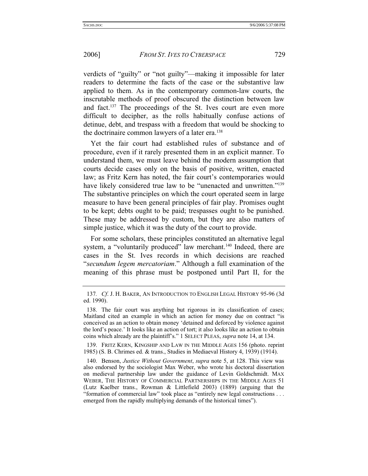verdicts of "guilty" or "not guilty"—making it impossible for later readers to determine the facts of the case or the substantive law applied to them. As in the contemporary common-law courts, the inscrutable methods of proof obscured the distinction between law and fact.137 The proceedings of the St. Ives court are even more difficult to decipher, as the rolls habitually confuse actions of detinue, debt, and trespass with a freedom that would be shocking to the doctrinaire common lawyers of a later era.<sup>138</sup>

Yet the fair court had established rules of substance and of procedure, even if it rarely presented them in an explicit manner. To understand them, we must leave behind the modern assumption that courts decide cases only on the basis of positive, written, enacted law; as Fritz Kern has noted, the fair court's contemporaries would have likely considered true law to be "unenacted and unwritten."<sup>139</sup> The substantive principles on which the court operated seem in large measure to have been general principles of fair play. Promises ought to be kept; debts ought to be paid; trespasses ought to be punished. These may be addressed by custom, but they are also matters of simple justice, which it was the duty of the court to provide.

For some scholars, these principles constituted an alternative legal system, a "voluntarily produced" law merchant.<sup>140</sup> Indeed, there are cases in the St. Ives records in which decisions are reached "*secundum legem mercatoriam*." Although a full examination of the meaning of this phrase must be postponed until Part II, for the

 139. FRITZ KERN, KINGSHIP AND LAW IN THE MIDDLE AGES 156 (photo. reprint 1985) (S. B. Chrimes ed. & trans., Studies in Mediaeval History 4, 1939) (1914).

 140. Benson, *Justice Without Government*, *supra* note 5, at 128. This view was also endorsed by the sociologist Max Weber, who wrote his doctoral dissertation on medieval partnership law under the guidance of Levin Goldschmidt. MAX WEBER, THE HISTORY OF COMMERCIAL PARTNERSHIPS IN THE MIDDLE AGES 51 (Lutz Kaelber trans., Rowman & Littlefield 2003) (1889) (arguing that the "formation of commercial law" took place as "entirely new legal constructions . . . emerged from the rapidly multiplying demands of the historical times").

<sup>137</sup>*. Cf*. J. H. BAKER, AN INTRODUCTION TO ENGLISH LEGAL HISTORY 95-96 (3d ed. 1990).

 <sup>138.</sup> The fair court was anything but rigorous in its classification of cases; Maitland cited an example in which an action for money due on contract "is conceived as an action to obtain money 'detained and deforced by violence against the lord's peace.' It looks like an action of tort; it also looks like an action to obtain coins which already are the plaintiff's." 1 SELECT PLEAS, *supra* note 14, at 134.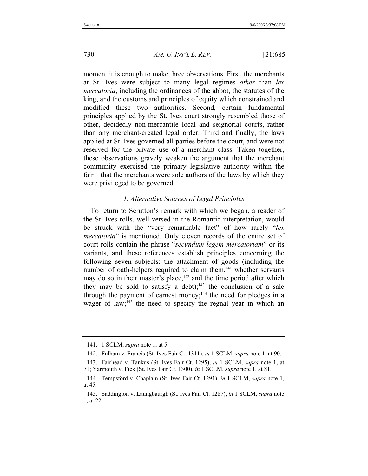moment it is enough to make three observations. First, the merchants at St. Ives were subject to many legal regimes *other* than *lex mercatoria*, including the ordinances of the abbot, the statutes of the king, and the customs and principles of equity which constrained and modified these two authorities. Second, certain fundamental principles applied by the St. Ives court strongly resembled those of other, decidedly non-mercantile local and seignorial courts, rather than any merchant-created legal order. Third and finally, the laws applied at St. Ives governed all parties before the court, and were not reserved for the private use of a merchant class. Taken together, these observations gravely weaken the argument that the merchant community exercised the primary legislative authority within the fair—that the merchants were sole authors of the laws by which they were privileged to be governed.

## *1. Alternative Sources of Legal Principles*

To return to Scrutton's remark with which we began, a reader of the St. Ives rolls, well versed in the Romantic interpretation, would be struck with the "very remarkable fact" of how rarely "*lex mercatoria*" is mentioned. Only eleven records of the entire set of court rolls contain the phrase "*secundum legem mercatoriam*" or its variants, and these references establish principles concerning the following seven subjects: the attachment of goods (including the number of oath-helpers required to claim them,<sup>141</sup> whether servants may do so in their master's place,  $142$  and the time period after which they may be sold to satisfy a debt);<sup>143</sup> the conclusion of a sale through the payment of earnest money;<sup>144</sup> the need for pledges in a wager of law;<sup>145</sup> the need to specify the regnal year in which an

 <sup>141. 1</sup> SCLM, *supra* note 1, at 5.

 <sup>142.</sup> Fulham v. Francis (St. Ives Fair Ct. 1311), *in* 1 SCLM, *supra* note 1, at 90.

 <sup>143.</sup> Fairhead v. Tankus (St. Ives Fair Ct. 1295), *in* 1 SCLM, *supra* note 1, at 71; Yarmouth v. Fick (St. Ives Fair Ct. 1300), *in* 1 SCLM, *supra* note 1, at 81.

 <sup>144.</sup> Tempsford v. Chaplain (St. Ives Fair Ct. 1291), *in* 1 SCLM, *supra* note 1, at 45.

 <sup>145.</sup> Saddington v. Laungbaurgh (St. Ives Fair Ct. 1287), *in* 1 SCLM, *supra* note 1, at 22.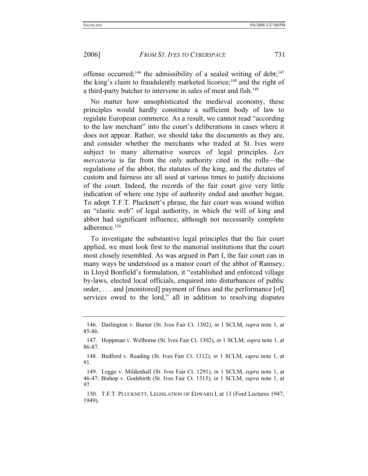offense occurred;<sup>146</sup> the admissibility of a sealed writing of debt;<sup>147</sup> the king's claim to fraudulently marketed licorice;<sup>148</sup> and the right of a third-party butcher to intervene in sales of meat and fish.<sup>149</sup>

No matter how unsophisticated the medieval economy, these principles would hardly constitute a sufficient body of law to regulate European commerce. As a result, we cannot read "according to the law merchant" into the court's deliberations in cases where it does not appear. Rather, we should take the documents as they are, and consider whether the merchants who traded at St. Ives were subject to many alternative sources of legal principles. *Lex mercatoria* is far from the only authority cited in the rolls—the regulations of the abbot, the statutes of the king, and the dictates of custom and fairness are all used at various times to justify decisions of the court. Indeed, the records of the fair court give very little indication of where one type of authority ended and another began. To adopt T.F.T. Plucknett's phrase, the fair court was wound within an "elastic web" of legal authority, in which the will of king and abbot had significant influence, although not necessarily complete adherence.150

To investigate the substantive legal principles that the fair court applied, we must look first to the manorial institutions that the court most closely resembled. As was argued in Part I, the fair court can in many ways be understood as a manor court of the abbot of Ramsey; in Lloyd Bonfield's formulation, it "established and enforced village by-laws, elected local officials, enquired into disturbances of public order, . . . and [monitored] payment of fines and the performance [of] services owed to the lord," all in addition to resolving disputes

 <sup>146.</sup> Darlington v. Burser (St. Ives Fair Ct. 1302), *in* 1 SCLM, *supra* note 1, at 85-86.

 <sup>147.</sup> Hoppman v. Welborne (St. Ives Fair Ct. 1302), *in* 1 SCLM, *supra* note 1, at 86-87.

 <sup>148.</sup> Bedford v. Reading (St. Ives Fair Ct. 1312), *in* 1 SCLM, *supra* note 1, at 91.

 <sup>149.</sup> Legge v. Mildenhall (St. Ives Fair Ct. 1291), *in* 1 SCLM, *supra* note 1, at 46-47; Bishop v. Godsbirth (St. Ives Fair Ct. 1315), *in* 1 SCLM, *supra* note 1, at 97.

 <sup>150.</sup> T.F.T. PLUCKNETT, LEGISLATION OF EDWARD I, at 13 (Ford Lectures 1947, 1949).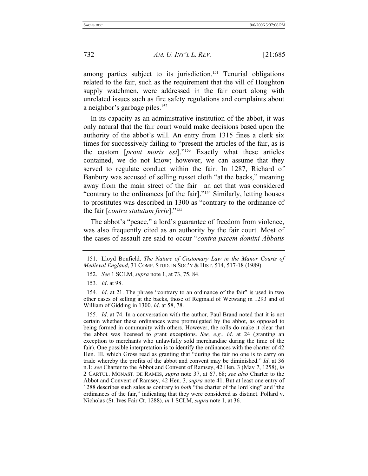among parties subject to its jurisdiction.<sup>151</sup> Tenurial obligations related to the fair, such as the requirement that the vill of Houghton supply watchmen, were addressed in the fair court along with unrelated issues such as fire safety regulations and complaints about a neighbor's garbage piles.<sup>152</sup>

In its capacity as an administrative institution of the abbot, it was only natural that the fair court would make decisions based upon the authority of the abbot's will. An entry from 1315 fines a clerk six times for successively failing to "present the articles of the fair, as is the custom [*prout moris est*]."153 Exactly what these articles contained, we do not know; however, we can assume that they served to regulate conduct within the fair. In 1287, Richard of Banbury was accused of selling russet cloth "at the backs," meaning away from the main street of the fair—an act that was considered "contrary to the ordinances [of the fair]."154 Similarly, letting houses to prostitutes was described in 1300 as "contrary to the ordinance of the fair [*contra statutum ferie*]."155

The abbot's "peace," a lord's guarantee of freedom from violence, was also frequently cited as an authority by the fair court. Most of the cases of assault are said to occur "*contra pacem domini Abbatis*

153*. Id*. at 98.

154*. Id*. at 21. The phrase "contrary to an ordinance of the fair" is used in two other cases of selling at the backs, those of Reginald of Wetwang in 1293 and of William of Gidding in 1300. *Id*. at 58, 78.

155*. Id*. at 74. In a conversation with the author, Paul Brand noted that it is not certain whether these ordinances were promulgated by the abbot, as opposed to being formed in community with others. However, the rolls do make it clear that the abbot was licensed to grant exceptions. *See, e.g.*, *id*. at 24 (granting an exception to merchants who unlawfully sold merchandise during the time of the fair). One possible interpretation is to identify the ordinances with the charter of 42 Hen. III, which Gross read as granting that "during the fair no one is to carry on trade whereby the profits of the abbot and convent may be diminished." *Id*. at 36 n.1; *see* Charter to the Abbot and Convent of Ramsey, 42 Hen. 3 (May 7, 1258), *in* 2 CARTUL. MONAST. DE RAMES, *supra* note 37, at 67, 68; *see also* Charter to the Abbot and Convent of Ramsey, 42 Hen. 3, *supra* note 41. But at least one entry of 1288 describes such sales as contrary to *both* "the charter of the lord king" and "the ordinances of the fair," indicating that they were considered as distinct. Pollard v. Nicholas (St. Ives Fair Ct. 1288), *in* 1 SCLM, *supra* note 1, at 36.

 <sup>151.</sup> Lloyd Bonfield, *The Nature of Customary Law in the Manor Courts of Medieval England*, 31 COMP. STUD. IN SOC'Y & HIST. 514, 517-18 (1989).

 <sup>152.</sup> *See* 1 SCLM, *supra* note 1, at 73, 75, 84.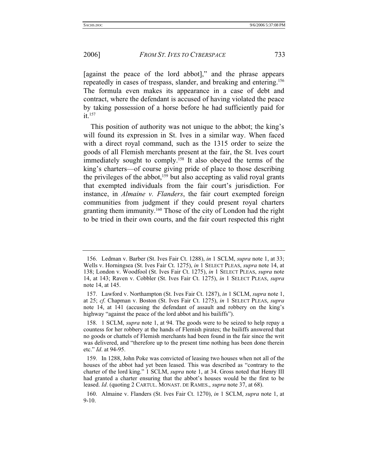[against the peace of the lord abbot]," and the phrase appears repeatedly in cases of trespass, slander, and breaking and entering.156 The formula even makes its appearance in a case of debt and contract, where the defendant is accused of having violated the peace by taking possession of a horse before he had sufficiently paid for it.<sup>157</sup>

This position of authority was not unique to the abbot; the king's will found its expression in St. Ives in a similar way. When faced with a direct royal command, such as the 1315 order to seize the goods of all Flemish merchants present at the fair, the St. Ives court immediately sought to comply.158 It also obeyed the terms of the king's charters—of course giving pride of place to those describing the privileges of the abbot,<sup>159</sup> but also accepting as valid royal grants that exempted individuals from the fair court's jurisdiction. For instance, in *Almaine v. Flanders*, the fair court exempted foreign communities from judgment if they could present royal charters granting them immunity.<sup>160</sup> Those of the city of London had the right to be tried in their own courts, and the fair court respected this right

 <sup>156.</sup> Ledman v. Barber (St. Ives Fair Ct. 1288), *in* 1 SCLM, *supra* note 1, at 33; Wells v. Horningsea (St. Ives Fair Ct. 1275), *in* 1 SELECT PLEAS, *supra* note 14, at 138; London v. Woodfool (St. Ives Fair Ct. 1275), *in* 1 SELECT PLEAS, *supra* note 14, at 143; Raven v. Cobbler (St. Ives Fair Ct. 1275), *in* 1 SELECT PLEAS, *supra* note 14, at 145.

 <sup>157.</sup> Lawford v. Northampton (St. Ives Fair Ct. 1287), *in* 1 SCLM, *supra* note 1, at 25; *cf*. Chapman v. Boston (St. Ives Fair Ct. 1275), *in* 1 SELECT PLEAS, *supra* note 14, at 141 (accusing the defendant of assault and robbery on the king's highway "against the peace of the lord abbot and his bailiffs").

 <sup>158. 1</sup> SCLM, *supra* note 1, at 94. The goods were to be seized to help repay a countess for her robbery at the hands of Flemish pirates; the bailiffs answered that no goods or chattels of Flemish merchants had been found in the fair since the writ was delivered, and "therefore up to the present time nothing has been done therein etc." *Id*. at 94-95.

 <sup>159.</sup> In 1288, John Poke was convicted of leasing two houses when not all of the houses of the abbot had yet been leased. This was described as "contrary to the charter of the lord king." 1 SCLM, *supra* note 1, at 34. Gross noted that Henry III had granted a charter ensuring that the abbot's houses would be the first to be leased. *Id*. (quoting 2 CARTUL. MONAST. DE RAMES., *supra* note 37, at 68).

 <sup>160.</sup> Almaine v. Flanders (St. Ives Fair Ct. 1270), *in* 1 SCLM, *supra* note 1, at 9-10.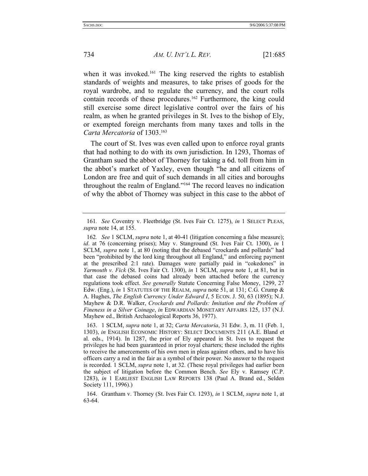when it was invoked.<sup>161</sup> The king reserved the rights to establish standards of weights and measures, to take prises of goods for the royal wardrobe, and to regulate the currency, and the court rolls contain records of these procedures.<sup>162</sup> Furthermore, the king could still exercise some direct legislative control over the fairs of his realm, as when he granted privileges in St. Ives to the bishop of Ely, or exempted foreign merchants from many taxes and tolls in the *Carta Mercatoria* of 1303.163

The court of St. Ives was even called upon to enforce royal grants that had nothing to do with its own jurisdiction. In 1293, Thomas of Grantham sued the abbot of Thorney for taking a 6d. toll from him in the abbot's market of Yaxley, even though "he and all citizens of London are free and quit of such demands in all cities and boroughs throughout the realm of England."164 The record leaves no indication of why the abbot of Thorney was subject in this case to the abbot of

<sup>161</sup>*. See* Coventry v. Fleetbridge (St. Ives Fair Ct. 1275), *in* 1 SELECT PLEAS, *supra* note 14, at 155.

<sup>162</sup>*. See* 1 SCLM, *supra* note 1, at 40-41 (litigation concerning a false measure); *id*. at 76 (concerning prises); May v. Stanground (St. Ives Fair Ct. 1300), *in* 1 SCLM, *supra* note 1, at 80 (noting that the debased "crockards and pollards" had been "prohibited by the lord king throughout all England," and enforcing payment at the prescribed 2:1 rate). Damages were partially paid in "cokedones" in *Yarmouth v. Fick* (St. Ives Fair Ct. 1300), *in* 1 SCLM, *supra* note 1, at 81, but in that case the debased coins had already been attached before the currency regulations took effect. *See generally* Statute Concerning False Money, 1299, 27 Edw. (Eng.), *in* 1 STATUTES OF THE REALM, *supra* note 51, at 131; C.G. Crump & A. Hughes, *The English Currency Under Edward I*, 5 ECON. J. 50, 63 (1895); N.J. Mayhew & D.R. Walker, *Crockards and Pollards: Imitation and the Problem of Fineness in a Silver Coinage*, *in* EDWARDIAN MONETARY AFFAIRS 125, 137 (N.J. Mayhew ed., British Archaeological Reports 36, 1977).

 <sup>163. 1</sup> SCLM, *supra* note 1, at 32; *Carta Mercatoria*, 31 Edw. 3, m. 11 (Feb. 1, 1303), *in* ENGLISH ECONOMIC HISTORY: SELECT DOCUMENTS 211 (A.E. Bland et al. eds., 1914). In 1287, the prior of Ely appeared in St. Ives to request the privileges he had been guaranteed in prior royal charters; these included the rights to receive the amercements of his own men in pleas against others, and to have his officers carry a rod in the fair as a symbol of their power. No answer to the request is recorded. 1 SCLM, *supra* note 1, at 32. (These royal privileges had earlier been the subject of litigation before the Common Bench. *See* Ely v. Ramsey (C.P. 1283), *in* 1 EARLIEST ENGLISH LAW REPORTS 138 (Paul A. Brand ed., Selden Society 111, 1996).)

 <sup>164.</sup> Grantham v. Thorney (St. Ives Fair Ct. 1293), *in* 1 SCLM, *supra* note 1, at 63-64.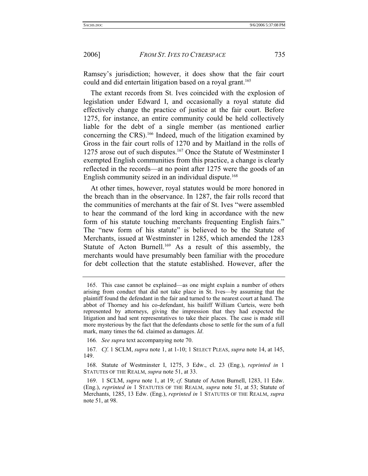Ramsey's jurisdiction; however, it does show that the fair court could and did entertain litigation based on a royal grant.<sup>165</sup>

The extant records from St. Ives coincided with the explosion of legislation under Edward I, and occasionally a royal statute did effectively change the practice of justice at the fair court. Before 1275, for instance, an entire community could be held collectively liable for the debt of a single member (as mentioned earlier concerning the CRS).166 Indeed, much of the litigation examined by Gross in the fair court rolls of 1270 and by Maitland in the rolls of 1275 arose out of such disputes.<sup>167</sup> Once the Statute of Westminster I exempted English communities from this practice, a change is clearly reflected in the records—at no point after 1275 were the goods of an English community seized in an individual dispute.<sup>168</sup>

At other times, however, royal statutes would be more honored in the breach than in the observance. In 1287, the fair rolls record that the communities of merchants at the fair of St. Ives "were assembled to hear the command of the lord king in accordance with the new form of his statute touching merchants frequenting English fairs." The "new form of his statute" is believed to be the Statute of Merchants, issued at Westminster in 1285, which amended the 1283 Statute of Acton Burnell.<sup>169</sup> As a result of this assembly, the merchants would have presumably been familiar with the procedure for debt collection that the statute established. However, after the

 <sup>165.</sup> This case cannot be explained—as one might explain a number of others arising from conduct that did not take place in St. Ives—by assuming that the plaintiff found the defendant in the fair and turned to the nearest court at hand. The abbot of Thorney and his co-defendant, his bailiff William Curteis, were both represented by attorneys, giving the impression that they had expected the litigation and had sent representatives to take their places. The case is made still more mysterious by the fact that the defendants chose to settle for the sum of a full mark, many times the 6d. claimed as damages. *Id*.

<sup>166</sup>*. See supra* text accompanying note 70.

<sup>167</sup>*. Cf*. 1 SCLM, *supra* note 1, at 1-10; 1 SELECT PLEAS, *supra* note 14, at 145, 149.

 <sup>168.</sup> Statute of Westminster I, 1275, 3 Edw., cl. 23 (Eng.), *reprinted in* 1 STATUTES OF THE REALM, *supra* note 51, at 33.

 <sup>169. 1</sup> SCLM, *supra* note 1, at 19; *cf*. Statute of Acton Burnell, 1283, 11 Edw. (Eng.), *reprinted in* 1 STATUTES OF THE REALM, *supra* note 51, at 53; Statute of Merchants, 1285, 13 Edw. (Eng.), *reprinted in* 1 STATUTES OF THE REALM, *supra* note 51, at 98.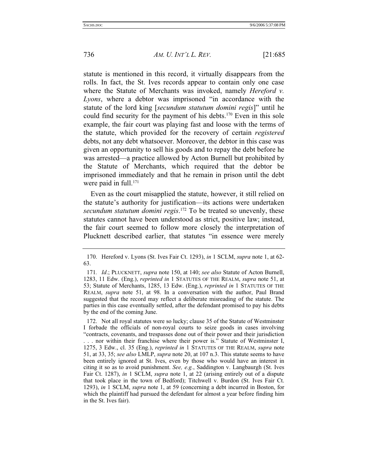statute is mentioned in this record, it virtually disappears from the rolls. In fact, the St. Ives records appear to contain only one case where the Statute of Merchants was invoked, namely *Hereford v. Lyons*, where a debtor was imprisoned "in accordance with the statute of the lord king [*secundum statutum domini regis*]" until he could find security for the payment of his debts.<sup>170</sup> Even in this sole example, the fair court was playing fast and loose with the terms of the statute, which provided for the recovery of certain *registered* debts, not any debt whatsoever. Moreover, the debtor in this case was given an opportunity to sell his goods and to repay the debt before he was arrested—a practice allowed by Acton Burnell but prohibited by the Statute of Merchants, which required that the debtor be imprisoned immediately and that he remain in prison until the debt were paid in full.<sup>171</sup>

Even as the court misapplied the statute, however, it still relied on the statute's authority for justification—its actions were undertaken *secundum statutum domini regis*. 172 To be treated so unevenly, these statutes cannot have been understood as strict, positive law; instead, the fair court seemed to follow more closely the interpretation of Plucknett described earlier, that statutes "in essence were merely

 172. Not all royal statutes were so lucky; clause 35 of the Statute of Westminster I forbade the officials of non-royal courts to seize goods in cases involving "contracts, covenants, and trespasses done out of their power and their jurisdiction

 <sup>170.</sup> Hereford v. Lyons (St. Ives Fair Ct. 1293), *in* 1 SCLM, *supra* note 1, at 62- 63.

<sup>171</sup>*. Id*.; PLUCKNETT, *supra* note 150, at 140; *see also* Statute of Acton Burnell, 1283, 11 Edw. (Eng.), *reprinted in* 1 STATUTES OF THE REALM, *supra* note 51, at 53; Statute of Merchants, 1285, 13 Edw. (Eng.), *reprinted in* 1 STATUTES OF THE REALM, *supra* note 51, at 98. In a conversation with the author, Paul Brand suggested that the record may reflect a deliberate misreading of the statute. The parties in this case eventually settled, after the defendant promised to pay his debts by the end of the coming June.

<sup>. . .</sup> nor within their franchise where their power is." Statute of Westminster I, 1275, 3 Edw., cl. 35 (Eng.), *reprinted in* 1 STATUTES OF THE REALM, *supra* note 51, at 33, 35; *see also* LMLP, *supra* note 20, at 107 n.3. This statute seems to have been entirely ignored at St. Ives, even by those who would have an interest in citing it so as to avoid punishment. *See, e.g.*, Saddington v. Langbaurgh (St. Ives Fair Ct. 1287), *in* 1 SCLM, *supra* note 1, at 22 (arising entirely out of a dispute that took place in the town of Bedford); Titchwell v. Burdon (St. Ives Fair Ct. 1293), *in* 1 SCLM, *supra* note 1, at 59 (concerning a debt incurred in Boston, for which the plaintiff had pursued the defendant for almost a year before finding him in the St. Ives fair).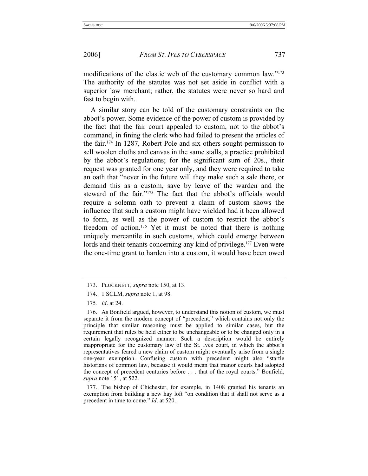modifications of the elastic web of the customary common law."<sup>173</sup> The authority of the statutes was not set aside in conflict with a superior law merchant; rather, the statutes were never so hard and fast to begin with.

A similar story can be told of the customary constraints on the abbot's power. Some evidence of the power of custom is provided by the fact that the fair court appealed to custom, not to the abbot's command, in fining the clerk who had failed to present the articles of the fair.174 In 1287, Robert Pole and six others sought permission to sell woolen cloths and canvas in the same stalls, a practice prohibited by the abbot's regulations; for the significant sum of 20s., their request was granted for one year only, and they were required to take an oath that "never in the future will they make such a sale there, or demand this as a custom, save by leave of the warden and the steward of the fair."175 The fact that the abbot's officials would require a solemn oath to prevent a claim of custom shows the influence that such a custom might have wielded had it been allowed to form, as well as the power of custom to restrict the abbot's freedom of action.<sup>176</sup> Yet it must be noted that there is nothing uniquely mercantile in such customs, which could emerge between lords and their tenants concerning any kind of privilege.<sup>177</sup> Even were the one-time grant to harden into a custom, it would have been owed

 177. The bishop of Chichester, for example, in 1408 granted his tenants an exemption from building a new hay loft "on condition that it shall not serve as a precedent in time to come." *Id*. at 520.

 <sup>173.</sup> PLUCKNETT, *supra* note 150, at 13.

 <sup>174. 1</sup> SCLM, *supra* note 1, at 98.

<sup>175</sup>*. Id*. at 24.

 <sup>176.</sup> As Bonfield argued, however, to understand this notion of custom, we must separate it from the modern concept of "precedent," which contains not only the principle that similar reasoning must be applied to similar cases, but the requirement that rules be held either to be unchangeable or to be changed only in a certain legally recognized manner. Such a description would be entirely inappropriate for the customary law of the St. Ives court, in which the abbot's representatives feared a new claim of custom might eventually arise from a single one-year exemption. Confusing custom with precedent might also "startle historians of common law, because it would mean that manor courts had adopted the concept of precedent centuries before . . . that of the royal courts." Bonfield, *supra* note 151, at 522.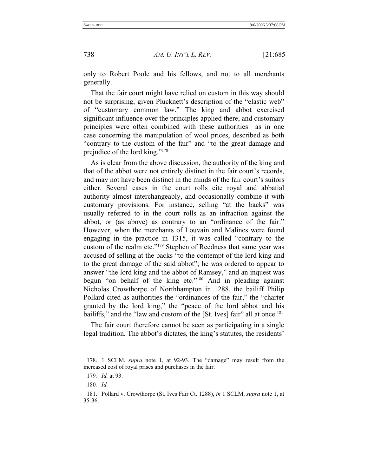only to Robert Poole and his fellows, and not to all merchants generally.

That the fair court might have relied on custom in this way should not be surprising, given Plucknett's description of the "elastic web" of "customary common law." The king and abbot exercised significant influence over the principles applied there, and customary principles were often combined with these authorities—as in one case concerning the manipulation of wool prices, described as both "contrary to the custom of the fair" and "to the great damage and prejudice of the lord king."178

As is clear from the above discussion, the authority of the king and that of the abbot were not entirely distinct in the fair court's records, and may not have been distinct in the minds of the fair court's suitors either. Several cases in the court rolls cite royal and abbatial authority almost interchangeably, and occasionally combine it with customary provisions. For instance, selling "at the backs" was usually referred to in the court rolls as an infraction against the abbot, or (as above) as contrary to an "ordinance of the fair." However, when the merchants of Louvain and Malines were found engaging in the practice in 1315, it was called "contrary to the custom of the realm etc."179 Stephen of Reedness that same year was accused of selling at the backs "to the contempt of the lord king and to the great damage of the said abbot"; he was ordered to appear to answer "the lord king and the abbot of Ramsey," and an inquest was begun "on behalf of the king etc."180 And in pleading against Nicholas Crowthorpe of Northhampton in 1288, the bailiff Philip Pollard cited as authorities the "ordinances of the fair," the "charter granted by the lord king," the "peace of the lord abbot and his bailiffs," and the "law and custom of the [St. Ives] fair" all at once.<sup>181</sup>

The fair court therefore cannot be seen as participating in a single legal tradition. The abbot's dictates, the king's statutes, the residents'

 <sup>178. 1</sup> SCLM, *supra* note 1, at 92-93. The "damage" may result from the increased cost of royal prises and purchases in the fair.

<sup>179</sup>*. Id.* at 93.

<sup>180</sup>*. Id.*

 <sup>181.</sup> Pollard v. Crowthorpe (St. Ives Fair Ct. 1288), *in* 1 SCLM, *supra* note 1, at 35-36.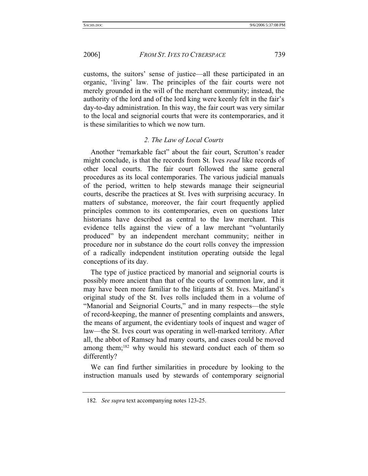customs, the suitors' sense of justice—all these participated in an organic, 'living' law. The principles of the fair courts were not merely grounded in the will of the merchant community; instead, the authority of the lord and of the lord king were keenly felt in the fair's day-to-day administration. In this way, the fair court was very similar to the local and seignorial courts that were its contemporaries, and it is these similarities to which we now turn.

## *2. The Law of Local Courts*

Another "remarkable fact" about the fair court, Scrutton's reader might conclude, is that the records from St. Ives *read* like records of other local courts. The fair court followed the same general procedures as its local contemporaries. The various judicial manuals of the period, written to help stewards manage their seigneurial courts, describe the practices at St. Ives with surprising accuracy. In matters of substance, moreover, the fair court frequently applied principles common to its contemporaries, even on questions later historians have described as central to the law merchant. This evidence tells against the view of a law merchant "voluntarily produced" by an independent merchant community; neither in procedure nor in substance do the court rolls convey the impression of a radically independent institution operating outside the legal conceptions of its day.

The type of justice practiced by manorial and seignorial courts is possibly more ancient than that of the courts of common law, and it may have been more familiar to the litigants at St. Ives. Maitland's original study of the St. Ives rolls included them in a volume of "Manorial and Seignorial Courts," and in many respects—the style of record-keeping, the manner of presenting complaints and answers, the means of argument, the evidentiary tools of inquest and wager of law—the St. Ives court was operating in well-marked territory. After all, the abbot of Ramsey had many courts, and cases could be moved among them;<sup>182</sup> why would his steward conduct each of them so differently?

We can find further similarities in procedure by looking to the instruction manuals used by stewards of contemporary seignorial

<sup>182</sup>*. See supra* text accompanying notes 123-25.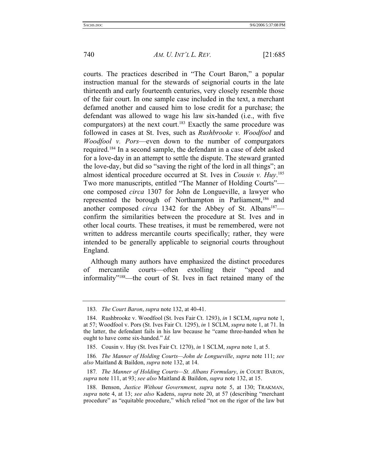courts. The practices described in "The Court Baron," a popular instruction manual for the stewards of seignorial courts in the late thirteenth and early fourteenth centuries, very closely resemble those of the fair court. In one sample case included in the text, a merchant defamed another and caused him to lose credit for a purchase; the defendant was allowed to wage his law six-handed (i.e., with five compurgators) at the next court.<sup>183</sup> Exactly the same procedure was followed in cases at St. Ives, such as *Rushbrooke v. Woodfool* and *Woodfool v. Pors*—even down to the number of compurgators required.184 In a second sample, the defendant in a case of debt asked for a love-day in an attempt to settle the dispute. The steward granted the love-day, but did so "saving the right of the lord in all things"; an almost identical procedure occurred at St. Ives in *Cousin v. Huy*. 185 Two more manuscripts, entitled "The Manner of Holding Courts" one composed *circa* 1307 for John de Longueville, a lawyer who represented the borough of Northampton in Parliament,<sup>186</sup> and another composed *circa* 1342 for the Abbey of St. Albans<sup>187</sup> confirm the similarities between the procedure at St. Ives and in other local courts. These treatises, it must be remembered, were not written to address mercantile courts specifically; rather, they were intended to be generally applicable to seignorial courts throughout England.

Although many authors have emphasized the distinct procedures of mercantile courts—often extolling their "speed and informality"188—the court of St. Ives in fact retained many of the

<sup>183</sup>*. The Court Baron*, *supra* note 132, at 40-41.

 <sup>184.</sup> Rushbrooke v. Woodfool (St. Ives Fair Ct. 1293), *in* 1 SCLM, *supra* note 1, at 57; Woodfool v. Pors (St. Ives Fair Ct. 1295), *in* 1 SCLM, *supra* note 1, at 71. In the latter, the defendant fails in his law because he "came three-handed when he ought to have come six-handed." *Id.*

 <sup>185.</sup> Cousin v. Huy (St. Ives Fair Ct. 1270), *in* 1 SCLM, *supra* note 1, at 5.

<sup>186</sup>*. The Manner of Holding Courts—John de Longueville*, *supra* note 111; *see also* Maitland & Baildon, *supra* note 132, at 14.

<sup>187</sup>*. The Manner of Holding Courts—St. Albans Formulary*, *in* COURT BARON, *supra* note 111, at 93; *see also* Maitland & Baildon, *supra* note 132, at 15.

 <sup>188.</sup> Benson, *Justice Without Government*, *supra* note 5, at 130; TRAKMAN, *supra* note 4, at 13; *see also* Kadens, *supra* note 20, at 57 (describing "merchant procedure" as "equitable procedure," which relied "not on the rigor of the law but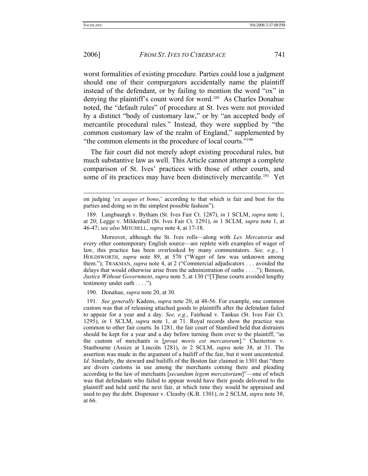## 2006] *FROM ST. IVES TO CYBERSPACE* 741

worst formalities of existing procedure. Parties could lose a judgment should one of their compurgators accidentally name the plaintiff instead of the defendant, or by failing to mention the word "ox" in denying the plaintiff's count word for word.<sup>189</sup> As Charles Donahue noted, the "default rules" of procedure at St. Ives were not provided by a distinct "body of customary law," or by "an accepted body of mercantile procedural rules." Instead, they were supplied by "the common customary law of the realm of England," supplemented by "the common elements in the procedure of local courts."190

The fair court did not merely adopt existing procedural rules, but much substantive law as well. This Article cannot attempt a complete comparison of St. Ives' practices with those of other courts, and some of its practices may have been distinctively mercantile.<sup>191</sup> Yet

 Moreover, although the St. Ives rolls—along with *Lex Mercatoria* and every other contemporary English source—are replete with examples of wager of law, this practice has been overlooked by many commentators. *See, e.g.*, 1 HOLDSWORTH, *supra* note 89, at 570 ("Wager of law was unknown among them."); TRAKMAN, *supra* note 4, at 2 ("Commercial adjudicators . . . avoided the delays that would otherwise arise from the administration of oaths . . . ."); Benson, *Justice Without Government*, *supra* note 5, at 130 ("[T]hese courts avoided lengthy testimony under oath . . . .").

190. Donahue, *supra* note 20, at 30.

191*. See generally* Kadens, *supra* note 20, at 48-56. For example, one common custom was that of releasing attached goods to plaintiffs after the defendant failed to appear for a year and a day. *See, e.g.*, Fairhead v. Tankus (St. Ives Fair Ct. 1295), *in* 1 SCLM, *supra* note 1, at 71. Royal records show the practice was common to other fair courts. In 1281, the fair court of Stamford held that distraints should be kept for a year and a day before turning them over to the plaintiff, "as the custom of merchants is [*prout moris est mercatorum*]." Chesterton v. Stanbourne (Assize at Lincoln 1281), *in* 2 SCLM, *supra* note 38, at 31. The assertion was made in the argument of a bailiff of the fair, but it went uncontested. *Id*. Similarly, the steward and bailiffs of the Boston fair claimed in 1301 that "there are divers customs in use among the merchants coming there and pleading according to the law of merchants [*secundum legem mercatoriam*]"—one of which was that defendants who failed to appear would have their goods delivered to the plaintiff and held until the next fair, at which time they would be appraised and used to pay the debt. Dispenser v. Cleasby (K.B. 1301), *in* 2 SCLM, *supra* note 38, at 66.

on judging '*ex aequo et bono*,' according to that which is fair and best for the parties and doing so in the simplest possible fashion").

 <sup>189.</sup> Langbaurgh v. Bytham (St. Ives Fair Ct. 1287), *in* 1 SCLM, *supra* note 1, at 20; Legge v. Mildenhall (St. Ives Fair Ct. 1291), *in* 1 SCLM, *supra* note 1, at 46-47; *see also* MITCHELL, *supra* note 4, at 17-18.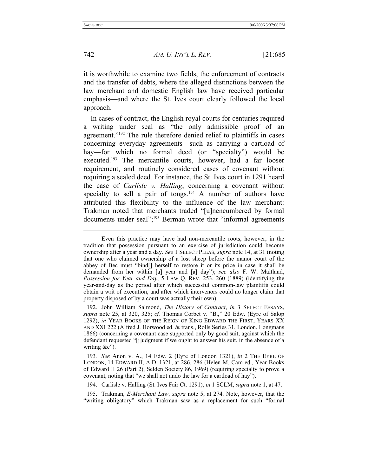742 *AM. U. INT'L L. REV.* [21:685

it is worthwhile to examine two fields, the enforcement of contracts and the transfer of debts, where the alleged distinctions between the law merchant and domestic English law have received particular emphasis—and where the St. Ives court clearly followed the local approach.

In cases of contract, the English royal courts for centuries required a writing under seal as "the only admissible proof of an agreement."192 The rule therefore denied relief to plaintiffs in cases concerning everyday agreements—such as carrying a cartload of hay—for which no formal deed (or "specialty") would be executed.<sup>193</sup> The mercantile courts, however, had a far looser requirement, and routinely considered cases of covenant without requiring a sealed deed. For instance, the St. Ives court in 1291 heard the case of *Carlisle v. Halling*, concerning a covenant without specialty to sell a pair of tongs.<sup>194</sup> A number of authors have attributed this flexibility to the influence of the law merchant: Trakman noted that merchants traded "[u]nencumbered by formal documents under seal";<sup>195</sup> Berman wrote that "informal agreements

 192. John William Salmond, *The History of Contract*, *in* 3 SELECT ESSAYS, *supra* note 25, at 320, 325; *cf.* Thomas Corbet v. "B.," 20 Edw. (Eyre of Salop 1292), *in* YEAR BOOKS OF THE REIGN OF KING EDWARD THE FIRST, YEARS XX AND XXI 222 (Alfred J. Horwood ed. & trans., Rolls Series 31, London, Longmans 1866) (concerning a covenant case supported only by good suit, against which the defendant requested "[j]udgment if we ought to answer his suit, in the absence of a writing &c").

193*. See* Anon v. A., 14 Edw. 2 (Eyre of London 1321), *in* 2 THE EYRE OF LONDON, 14 EDWARD II, A.D. 1321, at 286, 286 (Helen M. Cam ed., Year Books of Edward II 26 (Part 2), Selden Society 86, 1969) (requiring specialty to prove a covenant, noting that "we shall not undo the law for a cartload of hay").

194. Carlisle v. Halling (St. Ives Fair Ct. 1291), *in* 1 SCLM, *supra* note 1, at 47.

 195. Trakman, *E-Merchant Law*, *supra* note 5, at 274. Note, however, that the "writing obligatory" which Trakman saw as a replacement for such "formal

Even this practice may have had non-mercantile roots, however, in the tradition that possession pursuant to an exercise of jurisdiction could become ownership after a year and a day. *See* 1 SELECT PLEAS, *supra* note 14, at 31 (noting that one who claimed ownership of a lost sheep before the manor court of the abbey of Bec must "bind[] herself to restore it or its price in case it shall be demanded from her within [a] year and [a] day"); *see also* F. W. Maitland, *Possession for Year and Day*, 5 LAW Q. REV. 253, 260 (1889) (identifying the year-and-day as the period after which successful common-law plaintiffs could obtain a writ of execution, and after which intervenors could no longer claim that property disposed of by a court was actually their own).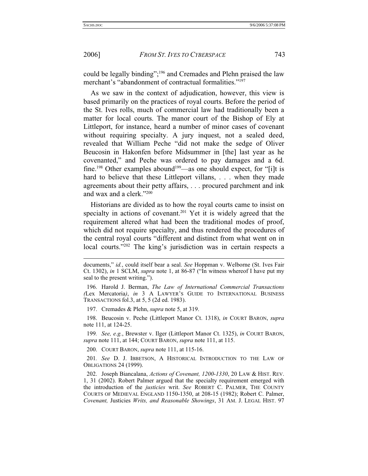2006] *FROM ST. IVES TO CYBERSPACE* 743

could be legally binding";196 and Cremades and Plehn praised the law merchant's "abandonment of contractual formalities."197

As we saw in the context of adjudication, however, this view is based primarily on the practices of royal courts. Before the period of the St. Ives rolls, much of commercial law had traditionally been a matter for local courts. The manor court of the Bishop of Ely at Littleport, for instance, heard a number of minor cases of covenant without requiring specialty. A jury inquest, not a sealed deed, revealed that William Peche "did not make the sedge of Oliver Beucosin in Hakonfen before Midsummer in [the] last year as he covenanted," and Peche was ordered to pay damages and a 6d. fine.<sup>198</sup> Other examples abound<sup>199</sup>—as one should expect, for "[i]t is hard to believe that these Littleport villans, . . . when they made agreements about their petty affairs, . . . procured parchment and ink and wax and a clerk."200

Historians are divided as to how the royal courts came to insist on specialty in actions of covenant.<sup>201</sup> Yet it is widely agreed that the requirement altered what had been the traditional modes of proof, which did not require specialty, and thus rendered the procedures of the central royal courts "different and distinct from what went on in local courts."<sup>202</sup> The king's jurisdiction was in certain respects a

197. Cremades & Plehn, *supra* note 5, at 319.

 198. Beucosin v. Peche (Littleport Manor Ct. 1318), *in* COURT BARON, *supra* note 111, at 124-25.

199*. See, e.g.*, Brewster v. Ilger (Littleport Manor Ct. 1325), *in* COURT BARON, *supra* note 111, at 144; COURT BARON, *supra* note 111, at 115.

200. COURT BARON, *supra* note 111, at 115-16.

201*. See* D. J. IBBETSON, A HISTORICAL INTRODUCTION TO THE LAW OF OBLIGATIONS 24 (1999).

 202. Joseph Biancalana, *Actions of Covenant, 1200-1330*, 20 LAW & HIST. REV. 1, 31 (2002). Robert Palmer argued that the specialty requirement emerged with the introduction of the *justicies* writ. *See* ROBERT C. PALMER, THE COUNTY COURTS OF MEDIEVAL ENGLAND 1150-1350, at 208-15 (1982); Robert C. Palmer, *Covenant,* Justicies *Writs, and Reasonable Showings*, 31 AM. J. LEGAL HIST. 97

documents," *id.*, could itself bear a seal. *See* Hoppman v. Welborne (St. Ives Fair Ct. 1302), *in* 1 SCLM, *supra* note 1, at 86-87 ("In witness whereof I have put my seal to the present writing.").

 <sup>196.</sup> Harold J. Berman, *The Law of International Commercial Transactions (*Lex Mercatoria*)*, *in* 3 A LAWYER'S GUIDE TO INTERNATIONAL BUSINESS TRANSACTIONS fol.3, at 5, 5 (2d ed. 1983).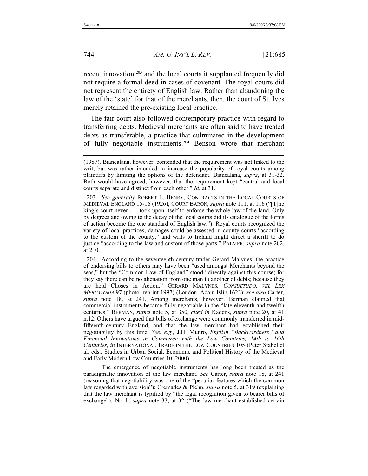recent innovation,<sup>203</sup> and the local courts it supplanted frequently did not require a formal deed in cases of covenant. The royal courts did not represent the entirety of English law. Rather than abandoning the law of the 'state' for that of the merchants, then, the court of St. Ives merely retained the pre-existing local practice.

The fair court also followed contemporary practice with regard to transferring debts. Medieval merchants are often said to have treated debts as transferable, a practice that culminated in the development of fully negotiable instruments.204 Benson wrote that merchant

 204. According to the seventeenth-century trader Gerard Malynes, the practice of endorsing bills to others may have been "used amongst Merchants beyond the seas," but the "Common Law of England" stood "directly against this course; for they say there can be no alienation from one man to another of debts; because they are held Choses in Action." GERARD MALYNES, *CONSUETUDO*, *VEL LEX MERCATORIA* 97 (photo. reprint 1997) (London, Adam Islip 1622); *see also* Carter, *supra* note 18, at 241. Among merchants, however, Berman claimed that commercial instruments became fully negotiable in the "late eleventh and twelfth centuries." BERMAN, *supra* note 5, at 350, *cited in* Kadens, *supra* note 20, at 41 n.12. Others have argued that bills of exchange were commonly transferred in midfifteenth-century England, and that the law merchant had established their negotiability by this time. *See, e.g.*, J.H. Munro, *English "Backwardness" and Financial Innovations in Commerce with the Low Countries, 14th to 16th Centuries*, *in* INTERNATIONAL TRADE IN THE LOW COUNTRIES 105 (Peter Stabel et al. eds., Studies in Urban Social, Economic and Political History of the Medieval and Early Modern Low Countries 10, 2000).

 The emergence of negotiable instruments has long been treated as the paradigmatic innovation of the law merchant. *See* Carter, *supra* note 18, at 241 (reasoning that negotiability was one of the "peculiar features which the common law regarded with aversion"); Cremades & Plehn, *supra* note 5, at 319 (explaining that the law merchant is typified by "the legal recognition given to bearer bills of exchange"); North, *supra* note 33, at 32 ("The law merchant established certain

l

<sup>(1987).</sup> Biancalana, however, contended that the requirement was not linked to the writ, but was rather intended to increase the popularity of royal courts among plaintiffs by limiting the options of the defendant. Biancalana, *supra*, at 31-32. Both would have agreed, however, that the requirement kept "central and local courts separate and distinct from each other." *Id.* at 31.

<sup>203</sup>*. See generally* ROBERT L. HENRY, CONTRACTS IN THE LOCAL COURTS OF MEDIEVAL ENGLAND 15-16 (1926); COURT BARON, *supra* note 111, at 116 ("[T]he king's court never . . . took upon itself to enforce the whole law of the land. Only by degrees and owing to the decay of the local courts did its catalogue of the forms of action become the one standard of English law."). Royal courts recognized the variety of local practices; damages could be assessed in county courts "according to the custom of the county," and writs to Ireland might direct a sheriff to do justice "according to the law and custom of those parts." PALMER, *supra* note 202, at 210.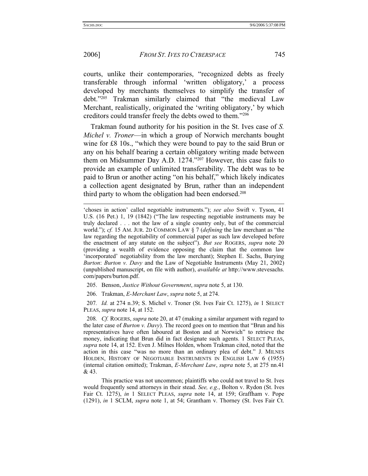## 2006] *FROM ST. IVES TO CYBERSPACE* 745

courts, unlike their contemporaries, "recognized debts as freely transferable through informal 'written obligatory,' a process developed by merchants themselves to simplify the transfer of debt."205 Trakman similarly claimed that "the medieval Law Merchant, realistically, originated the 'writing obligatory,' by which creditors could transfer freely the debts owed to them."206

Trakman found authority for his position in the St. Ives case of *S. Michel v. Troner*—in which a group of Norwich merchants bought wine for £8 10s., "which they were bound to pay to the said Brun or any on his behalf bearing a certain obligatory writing made between them on Midsummer Day A.D. 1274."207 However, this case fails to provide an example of unlimited transferability. The debt was to be paid to Brun or another acting "on his behalf," which likely indicates a collection agent designated by Brun, rather than an independent third party to whom the obligation had been endorsed.<sup>208</sup>

- 205. Benson, *Justice Without Government*, *supra* note 5, at 130.
- 206. Trakman, *E-Merchant Law*, *supra* note 5, at 274.

207*. Id.* at 274 n.39; S. Michel v. Troner (St. Ives Fair Ct. 1275), *in* 1 SELECT PLEAS, *supra* note 14, at 152.

208*. Cf.* ROGERS, *supra* note 20, at 47 (making a similar argument with regard to the later case of *Burton v. Davy*). The record goes on to mention that "Brun and his representatives have often laboured at Boston and at Norwich" to retrieve the money, indicating that Brun did in fact designate such agents. 1 SELECT PLEAS, *supra* note 14, at 152. Even J. Milnes Holden, whom Trakman cited, noted that the action in this case "was no more than an ordinary plea of debt." J. MILNES HOLDEN, HISTORY OF NEGOTIABLE INSTRUMENTS IN ENGLISH LAW 6 (1955) (internal citation omitted); Trakman, *E-Merchant Law*, *supra* note 5, at 275 nn.41  $& 43.$ 

 This practice was not uncommon; plaintiffs who could not travel to St. Ives would frequently send attorneys in their stead. *See, e.g*., Bolton v. Rydon (St. Ives Fair Ct. 1275), *in* 1 SELECT PLEAS, *supra* note 14, at 159; Graffham v. Pope (1291), *in* 1 SCLM, *supra* note 1, at 54; Grantham v. Thorney (St. Ives Fair Ct.

<sup>&#</sup>x27;choses in action' called negotiable instruments."); *see also* Swift v. Tyson, 41 U.S. (16 Pet.) 1, 19 (1842) ("The law respecting negotiable instruments may be truly declared . . . not the law of a single country only, but of the commercial world."); *cf.* 15 AM. JUR. 2D COMMON LAW § 7 (*defining* the law merchant as "the law regarding the negotiability of commercial paper as such law developed before the enactment of any statute on the subject"). *But see* ROGERS, *supra* note 20 (providing a wealth of evidence opposing the claim that the common law 'incorporated' negotiability from the law merchant); Stephen E. Sachs, Burying *Burton*: *Burton v. Davy* and the Law of Negotiable Instruments (May 21, 2002) (unpublished manuscript, on file with author), *available at* http://www.stevesachs. com/papers/burton.pdf.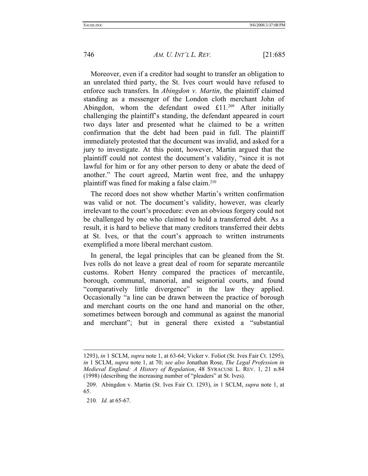Moreover, even if a creditor had sought to transfer an obligation to an unrelated third party, the St. Ives court would have refused to enforce such transfers. In *Abingdon v. Martin*, the plaintiff claimed standing as a messenger of the London cloth merchant John of Abingdon, whom the defendant owed  $£11.^{209}$  After initially challenging the plaintiff's standing, the defendant appeared in court two days later and presented what he claimed to be a written confirmation that the debt had been paid in full. The plaintiff immediately protested that the document was invalid, and asked for a jury to investigate. At this point, however, Martin argued that the plaintiff could not contest the document's validity, "since it is not lawful for him or for any other person to deny or abate the deed of another." The court agreed, Martin went free, and the unhappy plaintiff was fined for making a false claim.210

The record does not show whether Martin's written confirmation was valid or not. The document's validity, however, was clearly irrelevant to the court's procedure: even an obvious forgery could not be challenged by one who claimed to hold a transferred debt. As a result, it is hard to believe that many creditors transferred their debts at St. Ives, or that the court's approach to written instruments exemplified a more liberal merchant custom.

In general, the legal principles that can be gleaned from the St. Ives rolls do not leave a great deal of room for separate mercantile customs. Robert Henry compared the practices of mercantile, borough, communal, manorial, and seignorial courts, and found "comparatively little divergence" in the law they applied. Occasionally "a line can be drawn between the practice of borough and merchant courts on the one hand and manorial on the other, sometimes between borough and communal as against the manorial and merchant"; but in general there existed a "substantial

l

<sup>1293),</sup> *in* 1 SCLM, *supra* note 1, at 63-64; Vicker v. Foliot (St. Ives Fair Ct. 1295), *in* 1 SCLM, *supra* note 1, at 70; *see also* Jonathan Rose, *The Legal Profession in Medieval England: A History of Regulation*, 48 SYRACUSE L. REV. 1, 21 n.84 (1998) (describing the increasing number of "pleaders" at St. Ives).

 <sup>209.</sup> Abingdon v. Martin (St. Ives Fair Ct. 1293), *in* 1 SCLM, *supra* note 1, at 65.

<sup>210</sup>*. Id.* at 65-67.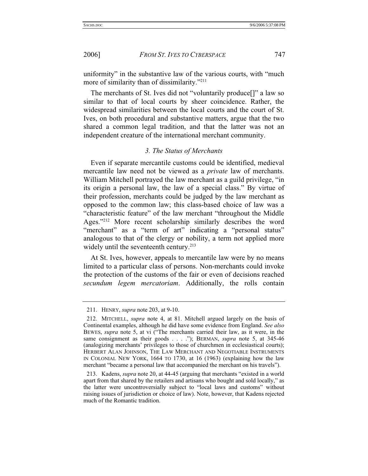uniformity" in the substantive law of the various courts, with "much more of similarity than of dissimilarity."<sup>211</sup>

The merchants of St. Ives did not "voluntarily produce[]" a law so similar to that of local courts by sheer coincidence. Rather, the widespread similarities between the local courts and the court of St. Ives, on both procedural and substantive matters, argue that the two shared a common legal tradition, and that the latter was not an independent creature of the international merchant community.

## *3. The Status of Merchants*

Even if separate mercantile customs could be identified, medieval mercantile law need not be viewed as a *private* law of merchants. William Mitchell portrayed the law merchant as a guild privilege, "in its origin a personal law, the law of a special class." By virtue of their profession, merchants could be judged by the law merchant as opposed to the common law; this class-based choice of law was a "characteristic feature" of the law merchant "throughout the Middle Ages."212 More recent scholarship similarly describes the word "merchant" as a "term of art" indicating a "personal status" analogous to that of the clergy or nobility, a term not applied more widely until the seventeenth century.<sup>213</sup>

At St. Ives, however, appeals to mercantile law were by no means limited to a particular class of persons. Non-merchants could invoke the protection of the customs of the fair or even of decisions reached *secundum legem mercatoriam*. Additionally, the rolls contain

 <sup>211.</sup> HENRY, *supra* note 203, at 9-10.

 <sup>212.</sup> MITCHELL, *supra* note 4, at 81. Mitchell argued largely on the basis of Continental examples, although he did have some evidence from England. *See also*  BEWES, *supra* note 5, at vi ("The merchants carried their law, as it were, in the same consignment as their goods . . . ."); BERMAN, *supra* note 5, at 345-46 (analogizing merchants' privileges to those of churchmen in ecclesiastical courts); HERBERT ALAN JOHNSON, THE LAW MERCHANT AND NEGOTIABLE INSTRUMENTS IN COLONIAL NEW YORK, 1664 TO 1730, at 16 (1963) (explaining how the law merchant "became a personal law that accompanied the merchant on his travels").

 <sup>213.</sup> Kadens, *supra* note 20, at 44-45 (arguing that merchants "existed in a world apart from that shared by the retailers and artisans who bought and sold locally," as the latter were uncontroversially subject to "local laws and customs" without raising issues of jurisdiction or choice of law). Note, however, that Kadens rejected much of the Romantic tradition.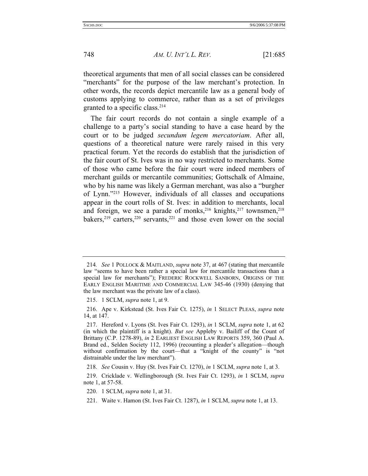theoretical arguments that men of all social classes can be considered "merchants" for the purpose of the law merchant's protection. In other words, the records depict mercantile law as a general body of customs applying to commerce, rather than as a set of privileges granted to a specific class.214

The fair court records do not contain a single example of a challenge to a party's social standing to have a case heard by the court or to be judged *secundum legem mercatoriam*. After all, questions of a theoretical nature were rarely raised in this very practical forum. Yet the records do establish that the jurisdiction of the fair court of St. Ives was in no way restricted to merchants. Some of those who came before the fair court were indeed members of merchant guilds or mercantile communities; Gottschalk of Almaine, who by his name was likely a German merchant, was also a "burgher of Lynn."215 However, individuals of all classes and occupations appear in the court rolls of St. Ives: in addition to merchants, local and foreign, we see a parade of monks,  $216$  knights,  $217$  townsmen,  $218$ bakers, $2^{19}$  carters, $2^{20}$  servants, $2^{21}$  and those even lower on the social

<sup>214</sup>*. See* 1 POLLOCK & MAITLAND, *supra* note 37, at 467 (stating that mercantile law "seems to have been rather a special law for mercantile transactions than a special law for merchants"); FREDERIC ROCKWELL SANBORN, ORIGINS OF THE EARLY ENGLISH MARITIME AND COMMERCIAL LAW 345-46 (1930) (denying that the law merchant was the private law of a class).

 <sup>215. 1</sup> SCLM, *supra* note 1, at 9.

 <sup>216.</sup> Ape v. Kirkstead (St. Ives Fair Ct. 1275), *in* 1 SELECT PLEAS, *supra* note 14, at 147.

 <sup>217.</sup> Hereford v. Lyons (St. Ives Fair Ct. 1293), *in* 1 SCLM, *supra* note 1, at 62 (in which the plaintiff is a knight). *But see* Appleby v. Bailiff of the Count of Brittany (C.P. 1278-89), *in* 2 EARLIEST ENGLISH LAW REPORTS 359, 360 (Paul A. Brand ed., Selden Society 112, 1996) (recounting a pleader's allegation—though without confirmation by the court—that a "knight of the county" is "not distrainable under the law merchant").

 <sup>218.</sup> *See* Cousin v. Huy (St. Ives Fair Ct. 1270), *in* 1 SCLM, *supra* note 1, at 3.

 <sup>219.</sup> Cricklade v. Wellingborough (St. Ives Fair Ct. 1293), *in* 1 SCLM, *supra* note 1, at 57-58.

 <sup>220. 1</sup> SCLM, *supra* note 1, at 31.

 <sup>221.</sup> Waite v. Hamon (St. Ives Fair Ct. 1287), *in* 1 SCLM, *supra* note 1, at 13.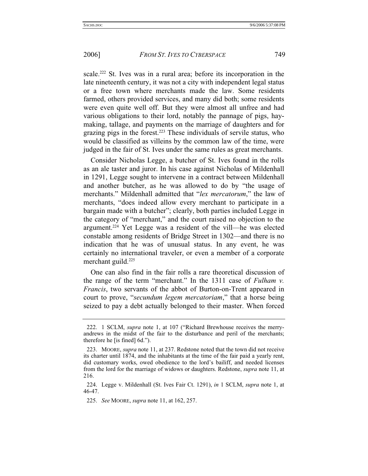scale.<sup>222</sup> St. Ives was in a rural area; before its incorporation in the late nineteenth century, it was not a city with independent legal status or a free town where merchants made the law. Some residents farmed, others provided services, and many did both; some residents were even quite well off. But they were almost all unfree and had various obligations to their lord, notably the pannage of pigs, haymaking, tallage, and payments on the marriage of daughters and for grazing pigs in the forest.223 These individuals of servile status, who would be classified as villeins by the common law of the time, were judged in the fair of St. Ives under the same rules as great merchants.

Consider Nicholas Legge, a butcher of St. Ives found in the rolls as an ale taster and juror. In his case against Nicholas of Mildenhall in 1291, Legge sought to intervene in a contract between Mildenhall and another butcher, as he was allowed to do by "the usage of merchants." Mildenhall admitted that "*lex mercatorum*," the law of merchants, "does indeed allow every merchant to participate in a bargain made with a butcher"; clearly, both parties included Legge in the category of "merchant," and the court raised no objection to the argument.224 Yet Legge was a resident of the vill—he was elected constable among residents of Bridge Street in 1302—and there is no indication that he was of unusual status. In any event, he was certainly no international traveler, or even a member of a corporate merchant guild.<sup>225</sup>

One can also find in the fair rolls a rare theoretical discussion of the range of the term "merchant." In the 1311 case of *Fulham v. Francis*, two servants of the abbot of Burton-on-Trent appeared in court to prove, "*secundum legem mercatoriam*," that a horse being seized to pay a debt actually belonged to their master. When forced

 <sup>222. 1</sup> SCLM, *supra* note 1, at 107 ("Richard Brewhouse receives the merryandrews in the midst of the fair to the disturbance and peril of the merchants; therefore he [is fined] 6d.").

 <sup>223.</sup> MOORE, *supra* note 11, at 237. Redstone noted that the town did not receive its charter until 1874, and the inhabitants at the time of the fair paid a yearly rent, did customary works, owed obedience to the lord's bailiff, and needed licenses from the lord for the marriage of widows or daughters. Redstone, *supra* note 11, at 216.

 <sup>224.</sup> Legge v. Mildenhall (St. Ives Fair Ct. 1291), *in* 1 SCLM, *supra* note 1, at 46-47.

 <sup>225.</sup> *See* MOORE, *supra* note 11, at 162, 257.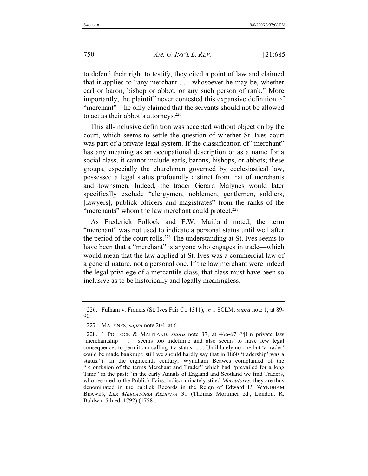to defend their right to testify, they cited a point of law and claimed that it applies to "any merchant . . . whosoever he may be, whether earl or baron, bishop or abbot, or any such person of rank." More importantly, the plaintiff never contested this expansive definition of "merchant"—he only claimed that the servants should not be allowed to act as their abbot's attorneys.<sup>226</sup>

This all-inclusive definition was accepted without objection by the court, which seems to settle the question of whether St. Ives court was part of a private legal system. If the classification of "merchant" has any meaning as an occupational description or as a name for a social class, it cannot include earls, barons, bishops, or abbots; these groups, especially the churchmen governed by ecclesiastical law, possessed a legal status profoundly distinct from that of merchants and townsmen. Indeed, the trader Gerard Malynes would later specifically exclude "clergymen, noblemen, gentlemen, soldiers, [lawyers], publick officers and magistrates" from the ranks of the "merchants" whom the law merchant could protect.<sup>227</sup>

As Frederick Pollock and F.W. Maitland noted, the term "merchant" was not used to indicate a personal status until well after the period of the court rolls.<sup>228</sup> The understanding at St. Ives seems to have been that a "merchant" is anyone who engages in trade—which would mean that the law applied at St. Ives was a commercial law of a general nature, not a personal one. If the law merchant were indeed the legal privilege of a mercantile class, that class must have been so inclusive as to be historically and legally meaningless.

 <sup>226.</sup> Fulham v. Francis (St. Ives Fair Ct. 1311), *in* 1 SCLM, *supra* note 1, at 89- 90.

 <sup>227.</sup> MALYNES, *supra* note 204, at 6.

 <sup>228. 1</sup> POLLOCK & MAITLAND, *supra* note 37, at 466-67 ("[I]n private law 'merchantship' . . . seems too indefinite and also seems to have few legal consequences to permit our calling it a status . . . . Until lately no one but 'a trader' could be made bankrupt; still we should hardly say that in 1860 'tradership' was a status."). In the eighteenth century, Wyndham Beawes complained of the "[c]onfusion of the terms Merchant and Trader" which had "prevailed for a long Time" in the past: "in the early Annals of England and Scotland we find Traders, who resorted to the Publick Fairs, indiscriminately stiled *Mercatores*; they are thus denominated in the publick Records in the Reign of Edward I." WYNDHAM BEAWES, *LEX MERCATORIA REDIVIVA* 31 (Thomas Mortimer ed., London, R. Baldwin 5th ed. 1792) (1758).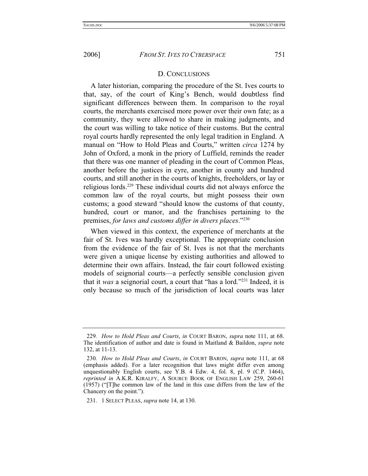## D. CONCLUSIONS

A later historian, comparing the procedure of the St. Ives courts to that, say, of the court of King's Bench, would doubtless find significant differences between them. In comparison to the royal courts, the merchants exercised more power over their own fate; as a community, they were allowed to share in making judgments, and the court was willing to take notice of their customs. But the central royal courts hardly represented the only legal tradition in England. A manual on "How to Hold Pleas and Courts," written *circa* 1274 by John of Oxford, a monk in the priory of Luffield, reminds the reader that there was one manner of pleading in the court of Common Pleas, another before the justices in eyre, another in county and hundred courts, and still another in the courts of knights, freeholders, or lay or religious lords.229 These individual courts did not always enforce the common law of the royal courts, but might possess their own customs; a good steward "should know the customs of that county, hundred, court or manor, and the franchises pertaining to the premises, *for laws and customs differ in divers places*."230

When viewed in this context, the experience of merchants at the fair of St. Ives was hardly exceptional. The appropriate conclusion from the evidence of the fair of St. Ives is not that the merchants were given a unique license by existing authorities and allowed to determine their own affairs. Instead, the fair court followed existing models of seignorial courts—a perfectly sensible conclusion given that it *was* a seignorial court, a court that "has a lord."231 Indeed, it is only because so much of the jurisdiction of local courts was later

<sup>229</sup>*. How to Hold Pleas and Courts*, *in* COURT BARON, *supra* note 111, at 68. The identification of author and date is found in Maitland & Baildon, *supra* note 132, at 11-13.

<sup>230</sup>*. How to Hold Pleas and Courts*, *in* COURT BARON, *supra* note 111, at 68 (emphasis added). For a later recognition that laws might differ even among unquestionably English courts, see Y.B. 4 Edw. 4, fol. 8, pl. 9 (C.P. 1464), *reprinted in* A.K.R. KIRALFY, A SOURCE BOOK OF ENGLISH LAW 259, 260-61 (1957) ("[T]he common law of the land in this case differs from the law of the Chancery on the point.").

 <sup>231. 1</sup> SELECT PLEAS, *supra* note 14, at 130.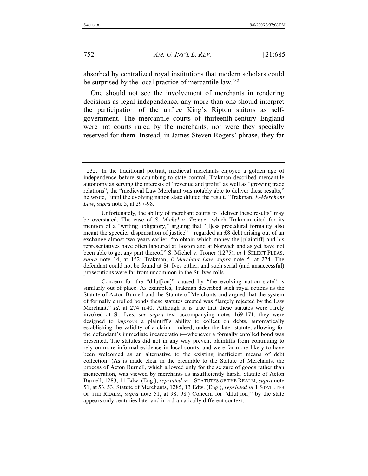absorbed by centralized royal institutions that modern scholars could be surprised by the local practice of mercantile law.<sup>232</sup>

One should not see the involvement of merchants in rendering decisions as legal independence, any more than one should interpret the participation of the unfree King's Ripton suitors as selfgovernment. The mercantile courts of thirteenth-century England were not courts ruled by the merchants, nor were they specially reserved for them. Instead, in James Steven Rogers' phrase, they far

 <sup>232.</sup> In the traditional portrait, medieval merchants enjoyed a golden age of independence before succumbing to state control. Trakman described mercantile autonomy as serving the interests of "revenue and profit" as well as "growing trade relations"; the "medieval Law Merchant was notably able to deliver these results," he wrote, "until the evolving nation state diluted the result." Trakman, *E-Merchant Law*, *supra* note 5, at 297-98.

Unfortunately, the ability of merchant courts to "deliver these results" may be overstated. The case of *S. Michel v. Troner*—which Trakman cited for its mention of a "writing obligatory," arguing that "[l]ess procedural formality also meant the speedier dispensation of justice"—regarded an £8 debt arising out of an exchange almost two years earlier, "to obtain which money the [plaintiff] and his representatives have often laboured at Boston and at Norwich and as yet have not been able to get any part thereof." S. Michel v. Troner (1275), *in* 1 SELECT PLEAS, *supra* note 14, at 152; Trakman, *E-Merchant Law*, *supra* note 5, at 274. The defendant could not be found at St. Ives either, and such serial (and unsuccessful) prosecutions were far from uncommon in the St. Ives rolls.

Concern for the "diluteral" caused by "the evolving nation state" is similarly out of place. As examples, Trakman described such royal actions as the Statute of Acton Burnell and the Statute of Merchants and argued that the system of formally enrolled bonds these statutes created was "largely rejected by the Law Merchant." *Id*. at 274 n.40. Although it is true that these statutes were rarely invoked at St. Ives, *see supra* text accompanying notes 169-171, they were designed to *improve* a plaintiff's ability to collect on debts, automatically establishing the validity of a claim—indeed, under the later statute, allowing for the defendant's immediate incarceration—whenever a formally enrolled bond was presented. The statutes did not in any way prevent plaintiffs from continuing to rely on more informal evidence in local courts, and were far more likely to have been welcomed as an alternative to the existing inefficient means of debt collection. (As is made clear in the preamble to the Statute of Merchants, the process of Acton Burnell, which allowed only for the seizure of goods rather than incarceration, was viewed by merchants as insufficiently harsh. Statute of Acton Burnell, 1283, 11 Edw. (Eng.), *reprinted in* 1 STATUTES OF THE REALM, *supra* note 51, at 53, 53; Statute of Merchants, 1285, 13 Edw. (Eng.), *reprinted in* 1 STATUTES OF THE REALM, *supra* note 51, at 98, 98.) Concern for "dilut[ion]" by the state appears only centuries later and in a dramatically different context.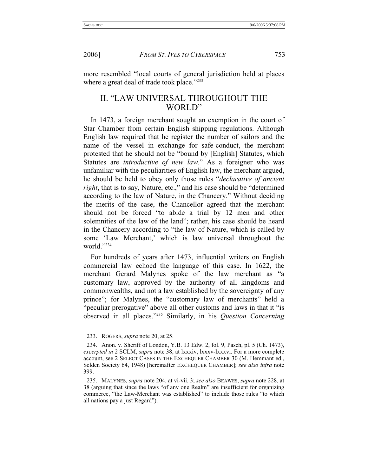more resembled "local courts of general jurisdiction held at places where a great deal of trade took place."<sup>233</sup>

# II. "LAW UNIVERSAL THROUGHOUT THE WORLD"

In 1473, a foreign merchant sought an exemption in the court of Star Chamber from certain English shipping regulations. Although English law required that he register the number of sailors and the name of the vessel in exchange for safe-conduct, the merchant protested that he should not be "bound by [English] Statutes, which Statutes are *introductive of new law*." As a foreigner who was unfamiliar with the peculiarities of English law, the merchant argued, he should be held to obey only those rules "*declarative of ancient right*, that is to say, Nature, etc.," and his case should be "determined according to the law of Nature, in the Chancery." Without deciding the merits of the case, the Chancellor agreed that the merchant should not be forced "to abide a trial by 12 men and other solemnities of the law of the land"; rather, his case should be heard in the Chancery according to "the law of Nature, which is called by some 'Law Merchant,' which is law universal throughout the world."234

For hundreds of years after 1473, influential writers on English commercial law echoed the language of this case. In 1622, the merchant Gerard Malynes spoke of the law merchant as "a customary law, approved by the authority of all kingdoms and commonwealths, and not a law established by the sovereignty of any prince"; for Malynes, the "customary law of merchants" held a "peculiar prerogative" above all other customs and laws in that it "is observed in all places."235 Similarly, in his *Question Concerning* 

 <sup>233.</sup> ROGERS, *supra* note 20, at 25.

 <sup>234.</sup> Anon. v. Sheriff of London, Y.B. 13 Edw. 2, fol. 9, Pasch, pl. 5 (Ch. 1473), *excerpted in* 2 SCLM, *supra* note 38, at lxxxiv, lxxxv-lxxxvi. For a more complete account, see 2 SELECT CASES IN THE EXCHEQUER CHAMBER 30 (M. Hemmant ed., Selden Society 64, 1948) [hereinafter EXCHEQUER CHAMBER]; *see also infra* note 399.

 <sup>235.</sup> MALYNES, *supra* note 204, at vi-vii, 3; *see also* BEAWES, *supra* note 228, at 38 (arguing that since the laws "of any one Realm" are insufficient for organizing commerce, "the Law-Merchant was established" to include those rules "to which all nations pay a just Regard").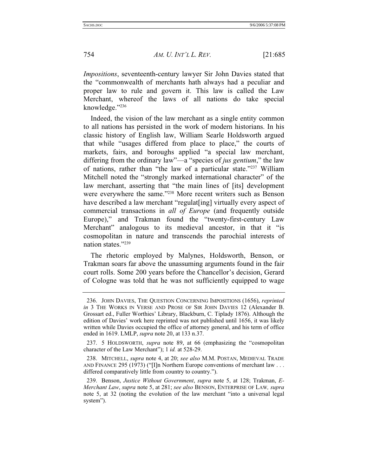*Impositions*, seventeenth-century lawyer Sir John Davies stated that the "commonwealth of merchants hath always had a peculiar and proper law to rule and govern it. This law is called the Law Merchant, whereof the laws of all nations do take special knowledge."236

Indeed, the vision of the law merchant as a single entity common to all nations has persisted in the work of modern historians. In his classic history of English law, William Searle Holdsworth argued that while "usages differed from place to place," the courts of markets, fairs, and boroughs applied "a special law merchant, differing from the ordinary law"—a "species of *jus gentium*," the law of nations, rather than "the law of a particular state."237 William Mitchell noted the "strongly marked international character" of the law merchant, asserting that "the main lines of [its] development were everywhere the same."238 More recent writers such as Benson have described a law merchant "regulat [ing] virtually every aspect of commercial transactions in *all of Europe* (and frequently outside Europe)," and Trakman found the "twenty-first-century Law Merchant" analogous to its medieval ancestor, in that it "is cosmopolitan in nature and transcends the parochial interests of nation states."239

The rhetoric employed by Malynes, Holdsworth, Benson, or Trakman soars far above the unassuming arguments found in the fair court rolls. Some 200 years before the Chancellor's decision, Gerard of Cologne was told that he was not sufficiently equipped to wage

 <sup>236.</sup> JOHN DAVIES, THE QUESTION CONCERNING IMPOSITIONS (1656), *reprinted in* 3 THE WORKS IN VERSE AND PROSE OF SIR JOHN DAVIES 12 (Alexander B. Grossart ed., Fuller Worthies' Library, Blackburn, C. Tiplady 1876). Although the edition of Davies' work here reprinted was not published until 1656, it was likely written while Davies occupied the office of attorney general, and his term of office ended in 1619. LMLP, *supra* note 20, at 133 n.37.

 <sup>237. 5</sup> HOLDSWORTH, *supra* note 89, at 66 (emphasizing the "cosmopolitan character of the Law Merchant"); 1 *id.* at 528-29.

 <sup>238.</sup> MITCHELL, *supra* note 4, at 20; *see also* M.M. POSTAN, MEDIEVAL TRADE AND FINANCE 295 (1973) ("[I]n Northern Europe conventions of merchant law . . . differed comparatively little from country to country.").

 <sup>239.</sup> Benson, *Justice Without Government*, *supra* note 5, at 128; Trakman, *E-Merchant Law*, *supra* note 5, at 281; *see also* BENSON, ENTERPRISE OF LAW*, supra* note 5, at 32 (noting the evolution of the law merchant "into a universal legal system").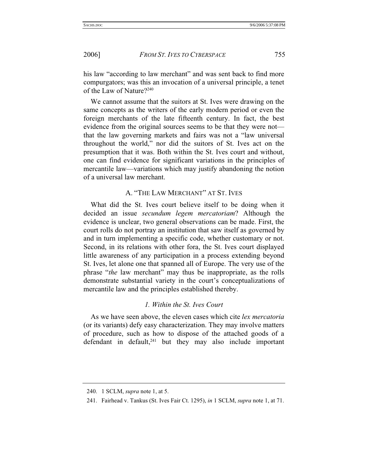his law "according to law merchant" and was sent back to find more compurgators; was this an invocation of a universal principle, a tenet of the Law of Nature?240

We cannot assume that the suitors at St. Ives were drawing on the same concepts as the writers of the early modern period or even the foreign merchants of the late fifteenth century. In fact, the best evidence from the original sources seems to be that they were not that the law governing markets and fairs was not a "law universal throughout the world," nor did the suitors of St. Ives act on the presumption that it was. Both within the St. Ives court and without, one can find evidence for significant variations in the principles of mercantile law—variations which may justify abandoning the notion of a universal law merchant.

## A. "THE LAW MERCHANT" AT ST. IVES

What did the St. Ives court believe itself to be doing when it decided an issue *secundum legem mercatoriam*? Although the evidence is unclear, two general observations can be made. First, the court rolls do not portray an institution that saw itself as governed by and in turn implementing a specific code, whether customary or not. Second, in its relations with other fora, the St. Ives court displayed little awareness of any participation in a process extending beyond St. Ives, let alone one that spanned all of Europe. The very use of the phrase "*the* law merchant" may thus be inappropriate, as the rolls demonstrate substantial variety in the court's conceptualizations of mercantile law and the principles established thereby.

## *1. Within the St. Ives Court*

As we have seen above, the eleven cases which cite *lex mercatoria* (or its variants) defy easy characterization. They may involve matters of procedure, such as how to dispose of the attached goods of a defendant in default, $241$  but they may also include important

 <sup>240. 1</sup> SCLM, *supra* note 1, at 5.

 <sup>241.</sup> Fairhead v. Tankus (St. Ives Fair Ct. 1295), *in* 1 SCLM, *supra* note 1, at 71.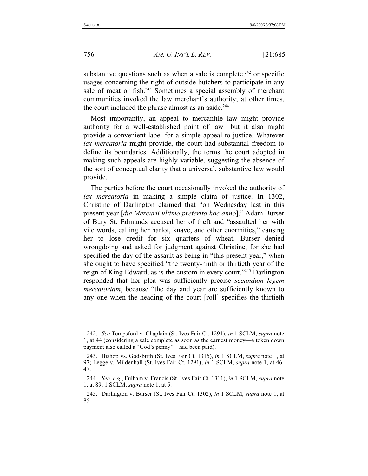substantive questions such as when a sale is complete,  $242$  or specific usages concerning the right of outside butchers to participate in any sale of meat or fish.<sup>243</sup> Sometimes a special assembly of merchant communities invoked the law merchant's authority; at other times, the court included the phrase almost as an aside.<sup>244</sup>

Most importantly, an appeal to mercantile law might provide authority for a well-established point of law—but it also might provide a convenient label for a simple appeal to justice. Whatever *lex mercatoria* might provide, the court had substantial freedom to define its boundaries. Additionally, the terms the court adopted in making such appeals are highly variable, suggesting the absence of the sort of conceptual clarity that a universal, substantive law would provide.

The parties before the court occasionally invoked the authority of *lex mercatoria* in making a simple claim of justice. In 1302, Christine of Darlington claimed that "on Wednesday last in this present year [*die Mercurii ultimo preterita hoc anno*]," Adam Burser of Bury St. Edmunds accused her of theft and "assaulted her with vile words, calling her harlot, knave, and other enormities," causing her to lose credit for six quarters of wheat. Burser denied wrongdoing and asked for judgment against Christine, for she had specified the day of the assault as being in "this present year," when she ought to have specified "the twenty-ninth or thirtieth year of the reign of King Edward, as is the custom in every court."245 Darlington responded that her plea was sufficiently precise *secundum legem mercatoriam*, because "the day and year are sufficiently known to any one when the heading of the court [roll] specifies the thirtieth

 <sup>242.</sup> *See* Tempsford v. Chaplain (St. Ives Fair Ct. 1291), *in* 1 SCLM, *supra* note 1, at 44 (considering a sale complete as soon as the earnest money—a token down payment also called a "God's penny"—had been paid).

 <sup>243.</sup> Bishop vs. Godsbirth (St. Ives Fair Ct. 1315), *in* 1 SCLM, *supra* note 1, at 97; Legge v. Mildenhall (St. Ives Fair Ct. 1291), *in* 1 SCLM, *supra* note 1, at 46- 47.

<sup>244</sup>*. See, e.g.*, Fulham v. Francis (St. Ives Fair Ct. 1311), *in* 1 SCLM, *supra* note 1, at 89; 1 SCLM, *supra* note 1, at 5.

 <sup>245.</sup> Darlington v. Burser (St. Ives Fair Ct. 1302), *in* 1 SCLM, *supra* note 1, at 85.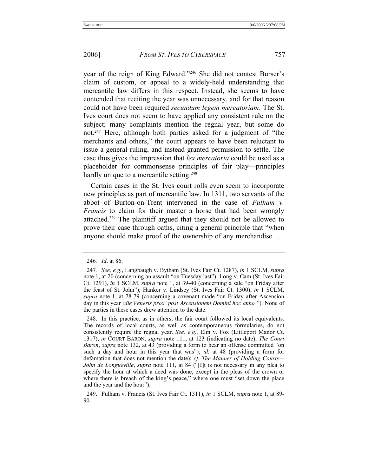year of the reign of King Edward."246 She did not contest Burser's claim of custom, or appeal to a widely-held understanding that mercantile law differs in this respect. Instead, she seems to have contended that reciting the year was unnecessary, and for that reason could not have been required *secundum legem mercatoriam*. The St. Ives court does not seem to have applied any consistent rule on the subject; many complaints mention the regnal year, but some do not.247 Here, although both parties asked for a judgment of "the merchants and others," the court appears to have been reluctant to issue a general ruling, and instead granted permission to settle. The case thus gives the impression that *lex mercatoria* could be used as a placeholder for commonsense principles of fair play—principles hardly unique to a mercantile setting.<sup>248</sup>

Certain cases in the St. Ives court rolls even seem to incorporate new principles as part of mercantile law. In 1311, two servants of the abbot of Burton-on-Trent intervened in the case of *Fulham v. Francis* to claim for their master a horse that had been wrongly attached.249 The plaintiff argued that they should not be allowed to prove their case through oaths, citing a general principle that "when anyone should make proof of the ownership of any merchandise . . .

<sup>246</sup>*. Id*. at 86.

<sup>247</sup>*. See, e.g.*, Langbaugh v. Bytham (St. Ives Fair Ct. 1287), *in* 1 SCLM, *supra* note 1, at 20 (concerning an assault "on Tuesday last"); Long v. Cam (St. Ives Fair Ct. 1291), *in* 1 SCLM, *supra* note 1, at 39-40 (concerning a sale "on Friday after the feast of St. John"); Hanker v. Lindsey (St. Ives Fair Ct. 1300), *in* 1 SCLM, *supra* note 1, at 78-79 (concerning a covenant made "on Friday after Ascension day in this year [*die Veneris prox' post Ascensionem Domini hoc anno*]"). None of the parties in these cases drew attention to the date.

 <sup>248.</sup> In this practice, as in others, the fair court followed its local equivalents. The records of local courts, as well as contemporaneous formularies, do not consistently require the regnal year. *See, e.g.*, Elm v. Fox (Littleport Manor Ct. 1317), *in* COURT BARON, *supra* note 111, at 123 (indicating no date); *The Court Baron*, *supra* note 132, at 43 (providing a form to hear an offense committed "on such a day and hour in this year that was"); *id.* at 48 (providing a form for defamation that does not mention the date); *cf. The Manner of Holding Courts— John de Longueville*, *supra* note 111, at 84 ("[I]t is not necessary in any plea to specify the hour at which a deed was done, except in the pleas of the crown or where there is breach of the king's peace," where one must "set down the place and the year and the hour").

 <sup>249.</sup> Fulham v. Francis (St. Ives Fair Ct. 1311), *in* 1 SCLM, *supra* note 1, at 89- 90.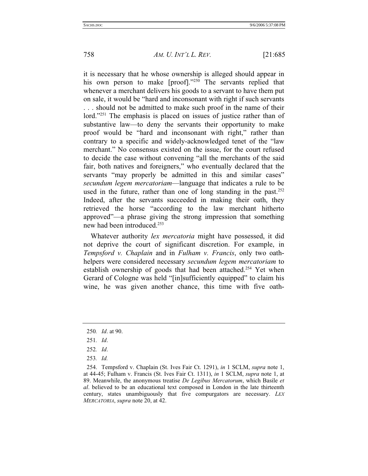it is necessary that he whose ownership is alleged should appear in his own person to make [proof]."250 The servants replied that whenever a merchant delivers his goods to a servant to have them put on sale, it would be "hard and inconsonant with right if such servants . . . should not be admitted to make such proof in the name of their lord."<sup>251</sup> The emphasis is placed on issues of justice rather than of substantive law—to deny the servants their opportunity to make proof would be "hard and inconsonant with right," rather than contrary to a specific and widely-acknowledged tenet of the "law merchant." No consensus existed on the issue, for the court refused to decide the case without convening "all the merchants of the said fair, both natives and foreigners," who eventually declared that the servants "may properly be admitted in this and similar cases" *secundum legem mercatoriam*—language that indicates a rule to be used in the future, rather than one of long standing in the past. $252$ Indeed, after the servants succeeded in making their oath, they retrieved the horse "according to the law merchant hitherto approved"—a phrase giving the strong impression that something new had been introduced.253

Whatever authority *lex mercatoria* might have possessed, it did not deprive the court of significant discretion. For example, in *Tempsford v. Chaplain* and in *Fulham v. Francis*, only two oathhelpers were considered necessary *secundum legem mercatoriam* to establish ownership of goods that had been attached.<sup>254</sup> Yet when Gerard of Cologne was held "[in]sufficiently equipped" to claim his wine, he was given another chance, this time with five oath-

<sup>250</sup>*. Id*. at 90.

<sup>251</sup>*. Id*.

<sup>252</sup>*. Id*.

<sup>253</sup>*. Id.*

 <sup>254.</sup> Tempsford v. Chaplain (St. Ives Fair Ct. 1291), *in* 1 SCLM, *supra* note 1, at 44-45; Fulham v. Francis (St. Ives Fair Ct. 1311), *in* 1 SCLM, *supra* note 1, at 89. Meanwhile, the anonymous treatise *De Legibus Mercatorum*, which Basile *et al*. believed to be an educational text composed in London in the late thirteenth century, states unambiguously that five compurgators are necessary. *LEX MERCATORIA*, *supra* note 20, at 42.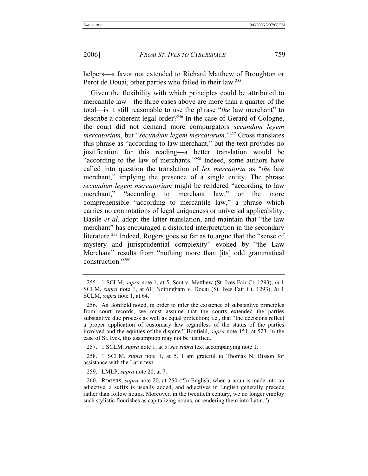helpers—a favor not extended to Richard Matthew of Broughton or Perot de Douai, other parties who failed in their law.<sup>255</sup>

Given the flexibility with which principles could be attributed to mercantile law—the three cases above are more than a quarter of the total—is it still reasonable to use the phrase "*the* law merchant" to describe a coherent legal order?256 In the case of Gerard of Cologne, the court did not demand more compurgators *secundum legem mercatoriam*, but "*secundum legem mercatorum*."257 Gross translates this phrase as "according to law merchant," but the text provides no justification for this reading—a better translation would be "according to the law of merchants."258 Indeed, some authors have called into question the translation of *lex mercatoria* as "*the* law merchant," implying the presence of a single entity. The phrase *secundum legem mercatoriam* might be rendered "according to law merchant," "according to merchant law," or the more comprehensible "according to mercantile law," a phrase which carries no connotations of legal uniqueness or universal applicability. Basile *et al*. adopt the latter translation, and maintain that "the law merchant" has encouraged a distorted interpretation in the secondary literature.<sup>259</sup> Indeed, Rogers goes so far as to argue that the "sense of mystery and jurisprudential complexity" evoked by "the Law Merchant" results from "nothing more than [its] odd grammatical construction."260

257. 1 SCLM, *supra* note 1, at 5; *see supra* text accompanying note 1.

 258. 1 SCLM, *supra* note 1, at 5. I am grateful to Thomas N. Bisson for assistance with the Latin text.

259. LMLP, *supra* note 20, at 7.

<sup>255</sup>*.* 1 SCLM, *supra* note 1, at 5; Scot v. Matthew (St. Ives Fair Ct. 1293), *in* 1 SCLM, *supra* note 1, at 61; Nottingham v. Douai (St. Ives Fair Ct. 1293), *in* 1 SCLM, *supra* note 1, at 64.

 <sup>256.</sup> As Bonfield noted, in order to infer the existence of substantive principles from court records, we must assume that the courts extended the parties substantive due process as well as equal protection; i.e., that "the decisions reflect a proper application of customary law regardless of the status of the parties involved and the equities of the dispute." Bonfield, *supra* note 151, at 523. In the case of St. Ives, this assumption may not be justified.

 <sup>260.</sup> ROGERS, *supra* note 20, at 250 ("In English, when a noun is made into an adjective, a suffix is usually added, and adjectives in English generally precede rather than follow nouns. Moreover, in the twentieth century, we no longer employ such stylistic flourishes as capitalizing nouns, or rendering them into Latin.").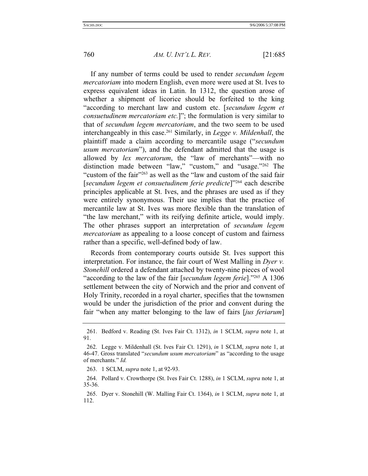If any number of terms could be used to render *secundum legem mercatoriam* into modern English, even more were used at St. Ives to express equivalent ideas in Latin. In 1312, the question arose of whether a shipment of licorice should be forfeited to the king "according to merchant law and custom etc. [*secundum legem et consuetudinem mercatoriam etc.*]"; the formulation is very similar to that of *secundum legem mercatoriam*, and the two seem to be used interchangeably in this case.261 Similarly, in *Legge v. Mildenhall*, the plaintiff made a claim according to mercantile usage ("*secundum usum mercatoriam*"), and the defendant admitted that the usage is allowed by *lex mercatorum*, the "law of merchants"—with no distinction made between "law," "custom," and "usage."262 The "custom of the fair"<sup>263</sup> as well as the "law and custom of the said fair" [*secundum legem et consuetudinem ferie predicte*]"264 each describe principles applicable at St. Ives, and the phrases are used as if they were entirely synonymous. Their use implies that the practice of mercantile law at St. Ives was more flexible than the translation of "the law merchant," with its reifying definite article, would imply. The other phrases support an interpretation of *secundum legem mercatoriam* as appealing to a loose concept of custom and fairness rather than a specific, well-defined body of law.

Records from contemporary courts outside St. Ives support this interpretation. For instance, the fair court of West Malling in *Dyer v. Stonehill* ordered a defendant attached by twenty-nine pieces of wool "according to the law of the fair [*secundum legem ferie*]."265 A 1306 settlement between the city of Norwich and the prior and convent of Holy Trinity, recorded in a royal charter, specifies that the townsmen would be under the jurisdiction of the prior and convent during the fair "when any matter belonging to the law of fairs [*jus feriarum*]

 <sup>261.</sup> Bedford v. Reading (St. Ives Fair Ct. 1312), *in* 1 SCLM, *supra* note 1, at 91.

 <sup>262.</sup> Legge v. Mildenhall (St. Ives Fair Ct. 1291), *in* 1 SCLM, *supra* note 1, at 46-47. Gross translated "*secundum usum mercatoriam*" as "according to the usage of merchants." *Id.* 

 <sup>263. 1</sup> SCLM, *supra* note 1, at 92-93.

 <sup>264.</sup> Pollard v. Crowthorpe (St. Ives Fair Ct. 1288), *in* 1 SCLM, *supra* note 1, at 35-36.

 <sup>265.</sup> Dyer v. Stonehill (W. Malling Fair Ct. 1364), *in* 1 SCLM, *supra* note 1, at 112.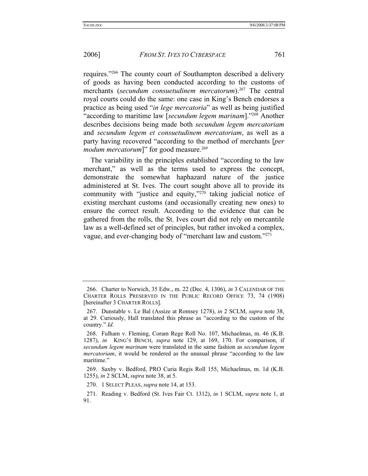requires."266 The county court of Southampton described a delivery of goods as having been conducted according to the customs of merchants (*secundum consuetudinem mercatorum*).<sup>267</sup> The central royal courts could do the same: one case in King's Bench endorses a practice as being used "*in lege mercatoria*" as well as being justified "according to maritime law [*secundum legem marinam*]."268 Another describes decisions being made both *secundum legem mercatoriam* and *secundum legem et consuetudinem mercatoriam*, as well as a party having recovered "according to the method of merchants [*per modum mercatorum*]" for good measure.<sup>269</sup>

The variability in the principles established "according to the law merchant," as well as the terms used to express the concept, demonstrate the somewhat haphazard nature of the justice administered at St. Ives. The court sought above all to provide its community with "justice and equity,"270 taking judicial notice of existing merchant customs (and occasionally creating new ones) to ensure the correct result. According to the evidence that can be gathered from the rolls, the St. Ives court did not rely on mercantile law as a well-defined set of principles, but rather invoked a complex, vague, and ever-changing body of "merchant law and custom."271

270. 1 SELECT PLEAS, *supra* note 14, at 153.

 <sup>266.</sup> Charter to Norwich, 35 Edw., m. 22 (Dec. 4, 1306), *in* 3 CALENDAR OF THE CHARTER ROLLS PRESERVED IN THE PUBLIC RECORD OFFICE 73, 74 (1908) [hereinafter 3 CHARTER ROLLS].

 <sup>267.</sup> Dunstable v. Le Bal (Assize at Romsey 1278), *in* 2 SCLM, *supra* note 38, at 29. Curiously, Hall translated this phrase as "according to the custom of the country." *Id.*

 <sup>268.</sup> Fulham v. Fleming, Coram Rege Roll No. 107, Michaelmas, m. 46 (K.B. 1287), *in* KING'S BENCH, *supra* note 129, at 169, 170. For comparison, if *secundum legem marinam* were translated in the same fashion as *secundum legem mercatoriam*, it would be rendered as the unusual phrase "according to the law maritime."

 <sup>269.</sup> Saxby v. Bedford, PRO Curia Regis Roll 155, Michaelmas, m. 1d (K.B. 1255), *in* 2 SCLM, *supra* note 38, at 5.

 <sup>271.</sup> Reading v. Bedford (St. Ives Fair Ct. 1312), *in* 1 SCLM, *supra* note 1, at 91.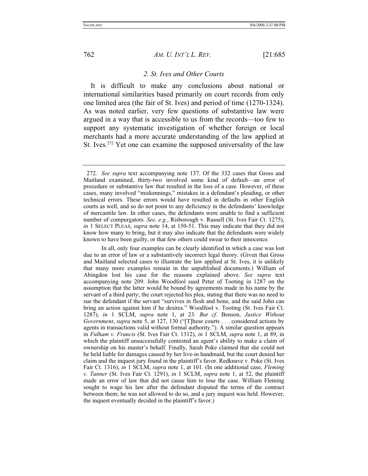### *2. St. Ives and Other Courts*

It is difficult to make any conclusions about national or international similarities based primarily on court records from only one limited area (the fair of St. Ives) and period of time (1270-1324). As was noted earlier, very few questions of substantive law were argued in a way that is accessible to us from the records—too few to support any systematic investigation of whether foreign or local merchants had a more accurate understanding of the law applied at St. Ives.<sup>272</sup> Yet one can examine the supposed universality of the law

<sup>272</sup>*. See supra* text accompanying note 137. Of the 332 cases that Gross and Maitland examined, thirty-two involved some kind of default—an error of procedure or substantive law that resulted in the loss of a case. However, of these cases, many involved "miskennings," mistakes in a defendant's pleading, or other technical errors. These errors would have resulted in defaults in other English courts as well, and so do not point to any deficiency in the defendants' knowledge of mercantile law. In other cases, the defendants were unable to find a sufficient number of compurgators. *See, e.g.*, Risborough v. Russell (St. Ives Fair Ct. 1275), *in* 1 SELECT PLEAS, *supra* note 14, at 150-51. This may indicate that they did not know how many to bring, but it may also indicate that the defendants were widely known to have been guilty, or that few others could swear to their innocence.

In all, only four examples can be clearly identified in which a case was lost due to an error of law or a substantively incorrect legal theory. (Given that Gross and Maitland selected cases to illustrate the law applied at St. Ives, it is unlikely that many more examples remain in the unpublished documents.) William of Abingdon lost his case for the reasons explained above. *See supra* text accompanying note 209. John Woodfool sued Peter of Tooting in 1287 on the assumption that the latter would be bound by agreements made in his name by the servant of a third party; the court rejected his plea, stating that there was no need to sue the defendant if the servant "survives in flesh and bone, and the said John can bring an action against him if he desires." Woodfool v. Tooting (St. Ives Fair Ct. 1287), *in* 1 SCLM, *supra* note 1, at 23. *But cf.* Benson, *Justice Without Government*, *supra* note 5, at 127, 130 ("[T]hese courts . . . considered actions by agents in transactions valid without formal authority."). A similar question appears in *Fulham v. Francis* (St. Ives Fair Ct. 1312), *in* 1 SCLM, *supra* note 1, at 89, in which the plaintiff unsuccessfully contested an agent's ability to make a claim of ownership on his master's behalf. Finally, Sarah Poke claimed that she could not be held liable for damages caused by her live-in handmaid, but the court denied her claim and the inquest jury found in the plaintiff's favor. Redknave v. Poke (St. Ives Fair Ct. 1316), *in* 1 SCLM, *supra* note 1, at 101. (In one additional case, *Fleming v. Tanner* (St. Ives Fair Ct. 1291), *in* 1 SCLM, *supra* note 1, at 52, the plaintiff made an error of law that did not cause him to lose the case. William Fleming sought to wage his law after the defendant disputed the terms of the contract between them; he was not allowed to do so, and a jury inquest was held. However, the inquest eventually decided in the plaintiff's favor.)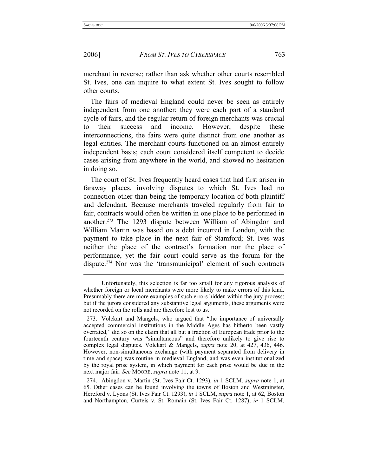#### 2006] *FROM ST. IVES TO CYBERSPACE* 763

merchant in reverse; rather than ask whether other courts resembled St. Ives, one can inquire to what extent St. Ives sought to follow other courts.

The fairs of medieval England could never be seen as entirely independent from one another; they were each part of a standard cycle of fairs, and the regular return of foreign merchants was crucial to their success and income. However, despite these interconnections, the fairs were quite distinct from one another as legal entities. The merchant courts functioned on an almost entirely independent basis; each court considered itself competent to decide cases arising from anywhere in the world, and showed no hesitation in doing so.

The court of St. Ives frequently heard cases that had first arisen in faraway places, involving disputes to which St. Ives had no connection other than being the temporary location of both plaintiff and defendant. Because merchants traveled regularly from fair to fair, contracts would often be written in one place to be performed in another.273 The 1293 dispute between William of Abingdon and William Martin was based on a debt incurred in London, with the payment to take place in the next fair of Stamford; St. Ives was neither the place of the contract's formation nor the place of performance, yet the fair court could serve as the forum for the dispute.274 Nor was the 'transmunicipal' element of such contracts

Unfortunately, this selection is far too small for any rigorous analysis of whether foreign or local merchants were more likely to make errors of this kind. Presumably there are more examples of such errors hidden within the jury process; but if the jurors considered any substantive legal arguments, these arguments were not recorded on the rolls and are therefore lost to us.

 <sup>273.</sup> Volckart and Mangels, who argued that "the importance of universally accepted commercial institutions in the Middle Ages has hitherto been vastly overrated," did so on the claim that all but a fraction of European trade prior to the fourteenth century was "simultaneous" and therefore unlikely to give rise to complex legal disputes. Volckart & Mangels, *supra* note 20, at 427, 436, 446. However, non-simultaneous exchange (with payment separated from delivery in time and space) was routine in medieval England, and was even institutionalized by the royal prise system, in which payment for each prise would be due in the next major fair. *See* MOORE, *supra* note 11, at 9.

 <sup>274.</sup> Abingdon v. Martin (St. Ives Fair Ct. 1293), *in* 1 SCLM, *supra* note 1, at 65. Other cases can be found involving the towns of Boston and Westminster, Hereford v. Lyons (St. Ives Fair Ct. 1293), *in* 1 SCLM, *supra* note 1, at 62, Boston and Northampton, Curteis v. St. Romain (St. Ives Fair Ct. 1287), *in* 1 SCLM,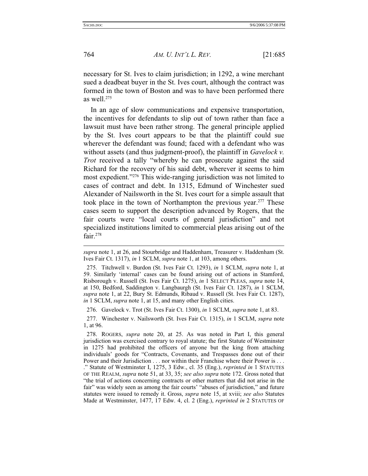764 *AM. U. INT'L L. REV.* [21:685

necessary for St. Ives to claim jurisdiction; in 1292, a wine merchant sued a deadbeat buyer in the St. Ives court, although the contract was formed in the town of Boston and was to have been performed there as well.275

In an age of slow communications and expensive transportation, the incentives for defendants to slip out of town rather than face a lawsuit must have been rather strong. The general principle applied by the St. Ives court appears to be that the plaintiff could sue wherever the defendant was found; faced with a defendant who was without assets (and thus judgment-proof), the plaintiff in *Gavelock v. Trot* received a tally "whereby he can prosecute against the said Richard for the recovery of his said debt, wherever it seems to him most expedient."276 This wide-ranging jurisdiction was not limited to cases of contract and debt. In 1315, Edmund of Winchester sued Alexander of Nailsworth in the St. Ives court for a simple assault that took place in the town of Northampton the previous year.<sup>277</sup> These cases seem to support the description advanced by Rogers, that the fair courts were "local courts of general jurisdiction" and not specialized institutions limited to commercial pleas arising out of the fair.<sup>278</sup>

276. Gavelock v. Trot (St. Ives Fair Ct. 1300), *in* 1 SCLM, *supra* note 1, at 83.

 277. Winchester v. Nailsworth (St. Ives Fair Ct. 1315), *in* 1 SCLM, *supra* note 1, at 96.

*supra* note 1, at 26, and Stourbridge and Haddenham, Treasurer v. Haddenham (St. Ives Fair Ct. 1317), *in* 1 SCLM, *supra* note 1, at 103, among others.

 <sup>275.</sup> Titchwell v. Burdon (St. Ives Fair Ct. 1293), *in* 1 SCLM, *supra* note 1, at 59. Similarly 'internal' cases can be found arising out of actions in Stamford, Risborough v. Russell (St. Ives Fair Ct. 1275), *in* 1 SELECT PLEAS, *supra* note 14, at 150, Bedford, Saddington v. Langbaurgh (St. Ives Fair Ct. 1287), *in* 1 SCLM, *supra* note 1, at 22, Bury St. Edmunds, Ribaud v. Russell (St. Ives Fair Ct. 1287), *in* 1 SCLM, *supra* note 1, at 15, and many other English cities.

 <sup>278.</sup> ROGERS, *supra* note 20, at 25. As was noted in Part I, this general jurisdiction was exercised contrary to royal statute; the first Statute of Westminster in 1275 had prohibited the officers of anyone but the king from attaching individuals' goods for "Contracts, Covenants, and Trespasses done out of their Power and their Jurisdiction . . . nor within their Franchise where their Power is . . . ." Statute of Westminster I, 1275, 3 Edw., cl. 35 (Eng.), *reprinted in* 1 STATUTES OF THE REALM, *supra* note 51, at 33, 35; *see also supra* note 172. Gross noted that "the trial of actions concerning contracts or other matters that did not arise in the fair" was widely seen as among the fair courts' "abuses of jurisdiction," and future statutes were issued to remedy it. Gross, *supra* note 15, at xviii; *see also* Statutes Made at Westminster, 1477, 17 Edw. 4, cl. 2 (Eng.), *reprinted in* 2 STATUTES OF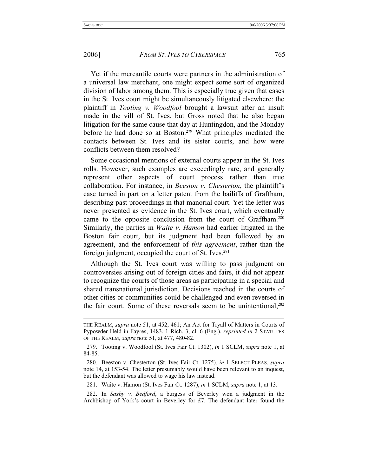### 2006] *FROM ST. IVES TO CYBERSPACE* 765

Yet if the mercantile courts were partners in the administration of a universal law merchant, one might expect some sort of organized division of labor among them. This is especially true given that cases in the St. Ives court might be simultaneously litigated elsewhere: the plaintiff in *Tooting v. Woodfool* brought a lawsuit after an insult made in the vill of St. Ives, but Gross noted that he also began litigation for the same cause that day at Huntingdon, and the Monday before he had done so at Boston.<sup>279</sup> What principles mediated the contacts between St. Ives and its sister courts, and how were conflicts between them resolved?

Some occasional mentions of external courts appear in the St. Ives rolls. However, such examples are exceedingly rare, and generally represent other aspects of court process rather than true collaboration. For instance, in *Beeston v. Chesterton*, the plaintiff's case turned in part on a letter patent from the bailiffs of Graffham, describing past proceedings in that manorial court. Yet the letter was never presented as evidence in the St. Ives court, which eventually came to the opposite conclusion from the court of Graffham.<sup>280</sup> Similarly, the parties in *Waite v. Hamon* had earlier litigated in the Boston fair court, but its judgment had been followed by an agreement, and the enforcement of *this agreement*, rather than the foreign judgment, occupied the court of St. Ives.<sup>281</sup>

Although the St. Ives court was willing to pass judgment on controversies arising out of foreign cities and fairs, it did not appear to recognize the courts of those areas as participating in a special and shared transnational jurisdiction. Decisions reached in the courts of other cities or communities could be challenged and even reversed in the fair court. Some of these reversals seem to be unintentional,<sup>282</sup>

281. Waite v. Hamon (St. Ives Fair Ct. 1287), *in* 1 SCLM, *supra* note 1, at 13.

 282. In *Saxby v. Bedford*, a burgess of Beverley won a judgment in the Archbishop of York's court in Beverley for £7. The defendant later found the

THE REALM, *supra* note 51, at 452, 461; An Act for Tryall of Matters in Courts of Pypowder Held in Fayres, 1483, 1 Rich. 3, cl. 6 (Eng.), *reprinted in* 2 STATUTES OF THE REALM, *supra* note 51, at 477, 480-82.

 <sup>279.</sup> Tooting v. Woodfool (St. Ives Fair Ct. 1302), *in* 1 SCLM, *supra* note 1, at 84-85.

 <sup>280.</sup> Beeston v. Chesterton (St. Ives Fair Ct. 1275), *in* 1 SELECT PLEAS, *supra* note 14, at 153-54. The letter presumably would have been relevant to an inquest, but the defendant was allowed to wage his law instead.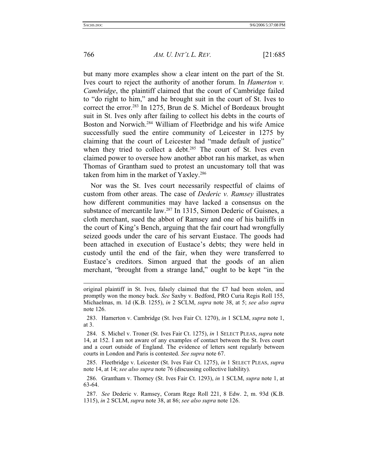766 *AM. U. INT'L L. REV.* [21:685

but many more examples show a clear intent on the part of the St. Ives court to reject the authority of another forum. In *Hamerton v. Cambridge*, the plaintiff claimed that the court of Cambridge failed to "do right to him," and he brought suit in the court of St. Ives to correct the error.283 In 1275, Brun de S. Michel of Bordeaux brought suit in St. Ives only after failing to collect his debts in the courts of Boston and Norwich.284 William of Fleetbridge and his wife Amice successfully sued the entire community of Leicester in 1275 by claiming that the court of Leicester had "made default of justice" when they tried to collect a debt. $285$  The court of St. Ives even claimed power to oversee how another abbot ran his market, as when Thomas of Grantham sued to protest an uncustomary toll that was taken from him in the market of Yaxley.<sup>286</sup>

Nor was the St. Ives court necessarily respectful of claims of custom from other areas. The case of *Dederic v. Ramsey* illustrates how different communities may have lacked a consensus on the substance of mercantile law.<sup>287</sup> In 1315, Simon Dederic of Guisnes, a cloth merchant, sued the abbot of Ramsey and one of his bailiffs in the court of King's Bench, arguing that the fair court had wrongfully seized goods under the care of his servant Eustace. The goods had been attached in execution of Eustace's debts; they were held in custody until the end of the fair, when they were transferred to Eustace's creditors. Simon argued that the goods of an alien merchant, "brought from a strange land," ought to be kept "in the

original plaintiff in St. Ives, falsely claimed that the £7 had been stolen, and promptly won the money back. *See* Saxby v. Bedford, PRO Curia Regis Roll 155, Michaelmas, m. 1d (K.B. 1255), *in* 2 SCLM, *supra* note 38, at 5; *see also supra* note 126.

 <sup>283.</sup> Hamerton v. Cambridge (St. Ives Fair Ct. 1270), *in* 1 SCLM, *supra* note 1, at 3.

 <sup>284.</sup> S. Michel v. Troner (St. Ives Fair Ct. 1275), *in* 1 SELECT PLEAS, *supra* note 14, at 152. I am not aware of any examples of contact between the St. Ives court and a court outside of England. The evidence of letters sent regularly between courts in London and Paris is contested. *See supra* note 67.

 <sup>285.</sup> Fleetbridge v. Leicester (St. Ives Fair Ct. 1275), *in* 1 SELECT PLEAS, *supra* note 14, at 14; *see also supra* note 76 (discussing collective liability).

 <sup>286.</sup> Grantham v. Thorney (St. Ives Fair Ct. 1293), *in* 1 SCLM, *supra* note 1, at 63-64.

 <sup>287.</sup> *See* Dederic v. Ramsey, Coram Rege Roll 221, 8 Edw. 2, m. 93d (K.B. 1315), *in* 2 SCLM, *supra* note 38, at 86; *see also supra* note 126.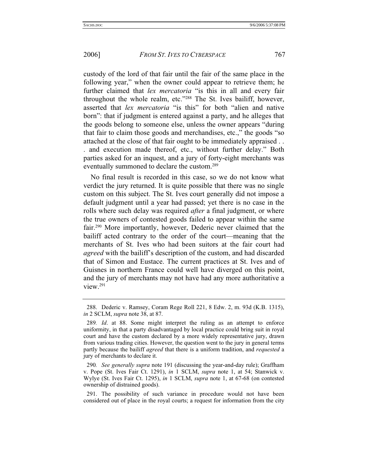custody of the lord of that fair until the fair of the same place in the following year," when the owner could appear to retrieve them; he further claimed that *lex mercatoria* "is this in all and every fair throughout the whole realm, etc."288 The St. Ives bailiff, however, asserted that *lex mercatoria* "is this" for both "alien and native born": that if judgment is entered against a party, and he alleges that the goods belong to someone else, unless the owner appears "during that fair to claim those goods and merchandises, etc.," the goods "so attached at the close of that fair ought to be immediately appraised . . . and execution made thereof, etc., without further delay." Both parties asked for an inquest, and a jury of forty-eight merchants was eventually summoned to declare the custom.289

No final result is recorded in this case, so we do not know what verdict the jury returned. It is quite possible that there was no single custom on this subject. The St. Ives court generally did not impose a default judgment until a year had passed; yet there is no case in the rolls where such delay was required *after* a final judgment, or where the true owners of contested goods failed to appear within the same fair.290 More importantly, however, Dederic never claimed that the bailiff acted contrary to the order of the court—meaning that the merchants of St. Ives who had been suitors at the fair court had *agreed* with the bailiff's description of the custom, and had discarded that of Simon and Eustace. The current practices at St. Ives and of Guisnes in northern France could well have diverged on this point, and the jury of merchants may not have had any more authoritative a view.291

 <sup>288.</sup> Dederic v. Ramsey, Coram Rege Roll 221, 8 Edw. 2, m. 93d (K.B. 1315), *in* 2 SCLM, *supra* note 38, at 87.

<sup>289</sup>*. Id*. at 88. Some might interpret the ruling as an attempt to enforce uniformity, in that a party disadvantaged by local practice could bring suit in royal court and have the custom declared by a more widely representative jury, drawn from various trading cities. However, the question went to the jury in general terms partly because the bailiff *agreed* that there is a uniform tradition, and *requested* a jury of merchants to declare it.

<sup>290</sup>*. See generally supra* note 191 (discussing the year-and-day rule); Graffham v. Pope (St. Ives Fair Ct. 1291), *in* 1 SCLM, *supra* note 1, at 54; Stanwick v. Wylye (St. Ives Fair Ct. 1295), *in* 1 SCLM, *supra* note 1, at 67-68 (on contested ownership of distrained goods).

 <sup>291.</sup> The possibility of such variance in procedure would not have been considered out of place in the royal courts; a request for information from the city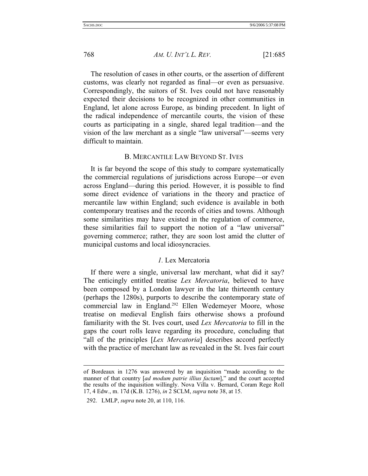The resolution of cases in other courts, or the assertion of different customs, was clearly not regarded as final—or even as persuasive. Correspondingly, the suitors of St. Ives could not have reasonably expected their decisions to be recognized in other communities in England, let alone across Europe, as binding precedent. In light of the radical independence of mercantile courts, the vision of these courts as participating in a single, shared legal tradition—and the vision of the law merchant as a single "law universal"—seems very difficult to maintain.

### B. MERCANTILE LAW BEYOND ST. IVES

It is far beyond the scope of this study to compare systematically the commercial regulations of jurisdictions across Europe—or even across England—during this period. However, it is possible to find some direct evidence of variations in the theory and practice of mercantile law within England; such evidence is available in both contemporary treatises and the records of cities and towns. Although some similarities may have existed in the regulation of commerce, these similarities fail to support the notion of a "law universal" governing commerce; rather, they are soon lost amid the clutter of municipal customs and local idiosyncracies.

## *1.* Lex Mercatoria

If there were a single, universal law merchant, what did it say? The enticingly entitled treatise *Lex Mercatoria*, believed to have been composed by a London lawyer in the late thirteenth century (perhaps the 1280s), purports to describe the contemporary state of commercial law in England.292 Ellen Wedemeyer Moore, whose treatise on medieval English fairs otherwise shows a profound familiarity with the St. Ives court, used *Lex Mercatoria* to fill in the gaps the court rolls leave regarding its procedure, concluding that "all of the principles [*Lex Mercatoria*] describes accord perfectly with the practice of merchant law as revealed in the St. Ives fair court

l

of Bordeaux in 1276 was answered by an inquisition "made according to the manner of that country [*ad modum patrie illius factam*]," and the court accepted the results of the inquisition willingly. Nova Villa v. Bernard, Coram Rege Roll 17, 4 Edw., m. 17d (K.B. 1276), *in* 2 SCLM, *supra* note 38, at 15.

 <sup>292.</sup> LMLP, *supra* note 20, at 110, 116.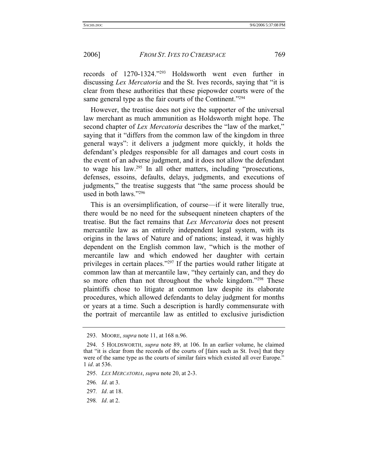records of 1270-1324."293 Holdsworth went even further in discussing *Lex Mercatoria* and the St. Ives records, saying that "it is clear from these authorities that these piepowder courts were of the same general type as the fair courts of the Continent."<sup>294</sup>

However, the treatise does not give the supporter of the universal law merchant as much ammunition as Holdsworth might hope. The second chapter of *Lex Mercatoria* describes the "law of the market," saying that it "differs from the common law of the kingdom in three general ways": it delivers a judgment more quickly, it holds the defendant's pledges responsible for all damages and court costs in the event of an adverse judgment, and it does not allow the defendant to wage his law.295 In all other matters, including "prosecutions, defenses, essoins, defaults, delays, judgments, and executions of judgments," the treatise suggests that "the same process should be used in both laws."296

This is an oversimplification, of course—if it were literally true, there would be no need for the subsequent nineteen chapters of the treatise. But the fact remains that *Lex Mercatoria* does not present mercantile law as an entirely independent legal system, with its origins in the laws of Nature and of nations; instead, it was highly dependent on the English common law, "which is the mother of mercantile law and which endowed her daughter with certain privileges in certain places."297 If the parties would rather litigate at common law than at mercantile law, "they certainly can, and they do so more often than not throughout the whole kingdom."<sup>298</sup> These plaintiffs chose to litigate at common law despite its elaborate procedures, which allowed defendants to delay judgment for months or years at a time. Such a description is hardly commensurate with the portrait of mercantile law as entitled to exclusive jurisdiction

 <sup>293.</sup> MOORE, *supra* note 11, at 168 n.96.

 <sup>294. 5</sup> HOLDSWORTH, *supra* note 89, at 106. In an earlier volume, he claimed that "it is clear from the records of the courts of [fairs such as St. Ives] that they were of the same type as the courts of similar fairs which existed all over Europe." 1 *id*. at 536.

 <sup>295.</sup> *LEX MERCATORIA*, *supra* note 20, at 2-3.

<sup>296</sup>*. Id*. at 3.

<sup>297</sup>*. Id*. at 18.

<sup>298</sup>*. Id*. at 2.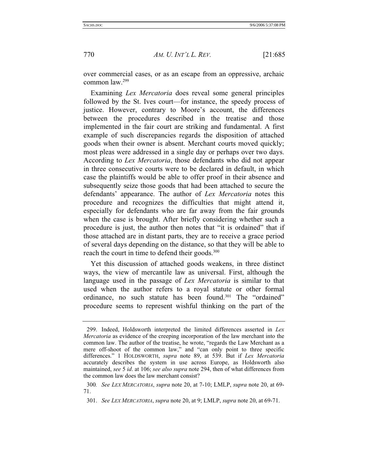over commercial cases, or as an escape from an oppressive, archaic common law.299

Examining *Lex Mercatoria* does reveal some general principles followed by the St. Ives court—for instance, the speedy process of justice. However, contrary to Moore's account, the differences between the procedures described in the treatise and those implemented in the fair court are striking and fundamental. A first example of such discrepancies regards the disposition of attached goods when their owner is absent. Merchant courts moved quickly; most pleas were addressed in a single day or perhaps over two days. According to *Lex Mercatoria*, those defendants who did not appear in three consecutive courts were to be declared in default, in which case the plaintiffs would be able to offer proof in their absence and subsequently seize those goods that had been attached to secure the defendants' appearance. The author of *Lex Mercatoria* notes this procedure and recognizes the difficulties that might attend it, especially for defendants who are far away from the fair grounds when the case is brought. After briefly considering whether such a procedure is just, the author then notes that "it is ordained" that if those attached are in distant parts, they are to receive a grace period of several days depending on the distance, so that they will be able to reach the court in time to defend their goods.<sup>300</sup>

Yet this discussion of attached goods weakens, in three distinct ways, the view of mercantile law as universal. First, although the language used in the passage of *Lex Mercatoria* is similar to that used when the author refers to a royal statute or other formal ordinance, no such statute has been found.<sup>301</sup> The "ordained" procedure seems to represent wishful thinking on the part of the

 <sup>299.</sup> Indeed, Holdsworth interpreted the limited differences asserted in *Lex Mercatoria* as evidence of the creeping incorporation of the law merchant into the common law. The author of the treatise, he wrote, "regards the Law Merchant as a mere off-shoot of the common law," and "can only point to three specific differences." 1 HOLDSWORTH, *supra* note 89, at 539. But if *Lex Mercatoria* accurately describes the system in use across Europe, as Holdsworth also maintained, *see* 5 *id*. at 106; *see also supra* note 294, then of what differences from the common law does the law merchant consist?

<sup>300</sup>*. See LEX MERCATORIA*, *supra* note 20, at 7-10; LMLP, *supra* note 20, at 69- 71.

 <sup>301.</sup> *See LEX MERCATORIA*, *supra* note 20, at 9; LMLP, *supra* note 20, at 69-71.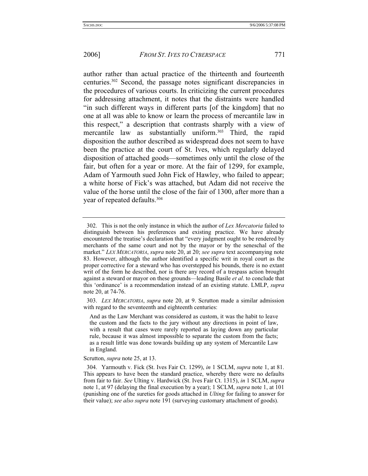author rather than actual practice of the thirteenth and fourteenth centuries.302 Second, the passage notes significant discrepancies in the procedures of various courts. In criticizing the current procedures for addressing attachment, it notes that the distraints were handled "in such different ways in different parts [of the kingdom] that no one at all was able to know or learn the process of mercantile law in this respect," a description that contrasts sharply with a view of mercantile law as substantially uniform.303 Third, the rapid disposition the author described as widespread does not seem to have been the practice at the court of St. Ives, which regularly delayed disposition of attached goods—sometimes only until the close of the fair, but often for a year or more. At the fair of 1299, for example, Adam of Yarmouth sued John Fick of Hawley, who failed to appear; a white horse of Fick's was attached, but Adam did not receive the value of the horse until the close of the fair of 1300, after more than a year of repeated defaults.<sup>304</sup>

 303. *LEX MERCATORIA*, *supra* note 20, at 9. Scrutton made a similar admission with regard to the seventeenth and eighteenth centuries:

And as the Law Merchant was considered as custom, it was the habit to leave the custom and the facts to the jury without any directions in point of law, with a result that cases were rarely reported as laying down any particular rule, because it was almost impossible to separate the custom from the facts; as a result little was done towards building up any system of Mercantile Law in England.

Scrutton, *supra* note 25, at 13.

 304. Yarmouth v. Fick (St. Ives Fair Ct. 1299), *in* 1 SCLM, *supra* note 1, at 81. This appears to have been the standard practice, whereby there were no defaults from fair to fair. *See* Ulting v. Hardwick (St. Ives Fair Ct. 1315), *in* 1 SCLM, *supra* note 1, at 97 (delaying the final execution by a year); 1 SCLM, *supra* note 1, at 101 (punishing one of the sureties for goods attached in *Ulting* for failing to answer for their value); *see also supra* note 191 (surveying customary attachment of goods).

 <sup>302.</sup> This is not the only instance in which the author of *Lex Mercatoria* failed to distinguish between his preferences and existing practice. We have already encountered the treatise's declaration that "every judgment ought to be rendered by merchants of the same court and not by the mayor or by the seneschal of the market." *LEX MERCATORIA*, *supra* note 20, at 20; *see supra* text accompanying note 83. However, although the author identified a specific writ in royal court as the proper corrective for a steward who has overstepped his bounds, there is no extant writ of the form he described, nor is there any record of a trespass action brought against a steward or mayor on these grounds—leading Basile *et al*. to conclude that this 'ordinance' is a recommendation instead of an existing statute. LMLP, *supra* note 20, at 74-76.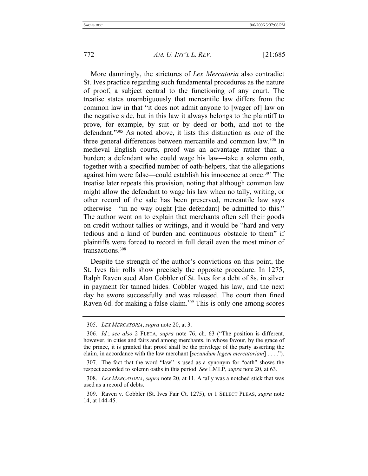More damningly, the strictures of *Lex Mercatoria* also contradict St. Ives practice regarding such fundamental procedures as the nature of proof, a subject central to the functioning of any court. The treatise states unambiguously that mercantile law differs from the common law in that "it does not admit anyone to [wager of] law on the negative side, but in this law it always belongs to the plaintiff to prove, for example, by suit or by deed or both, and not to the defendant."305 As noted above, it lists this distinction as one of the three general differences between mercantile and common law.306 In medieval English courts, proof was an advantage rather than a burden; a defendant who could wage his law—take a solemn oath, together with a specified number of oath-helpers, that the allegations against him were false—could establish his innocence at once.<sup>307</sup> The treatise later repeats this provision, noting that although common law might allow the defendant to wage his law when no tally, writing, or other record of the sale has been preserved, mercantile law says otherwise—"in no way ought [the defendant] be admitted to this." The author went on to explain that merchants often sell their goods on credit without tallies or writings, and it would be "hard and very tedious and a kind of burden and continuous obstacle to them" if plaintiffs were forced to record in full detail even the most minor of transactions.<sup>308</sup>

Despite the strength of the author's convictions on this point, the St. Ives fair rolls show precisely the opposite procedure. In 1275, Ralph Raven sued Alan Cobbler of St. Ives for a debt of 8s. in silver in payment for tanned hides. Cobbler waged his law, and the next day he swore successfully and was released. The court then fined Raven 6d. for making a false claim.<sup>309</sup> This is only one among scores

 <sup>305.</sup> *LEX MERCATORIA*, *supra* note 20, at 3.

<sup>306</sup>*. Id.*; *see also* 2 FLETA, *supra* note 76, ch. 63 ("The position is different, however, in cities and fairs and among merchants, in whose favour, by the grace of the prince, it is granted that proof shall be the privilege of the party asserting the claim, in accordance with the law merchant [*secundum legem mercatoriam*] . . . .").

 <sup>307.</sup> The fact that the word "law" is used as a synonym for "oath" shows the respect accorded to solemn oaths in this period. *See* LMLP, *supra* note 20, at 63.

 <sup>308.</sup> *LEX MERCATORIA*, *supra* note 20, at 11. A tally was a notched stick that was used as a record of debts.

 <sup>309.</sup> Raven v. Cobbler (St. Ives Fair Ct. 1275), *in* 1 SELECT PLEAS, *supra* note 14, at 144-45.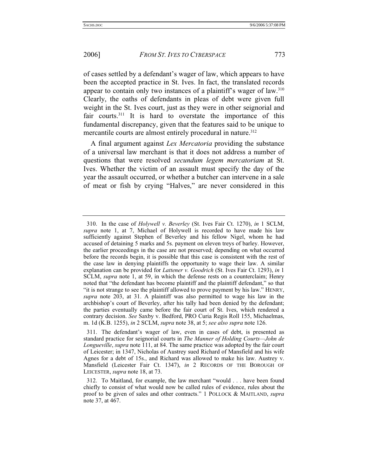of cases settled by a defendant's wager of law, which appears to have been the accepted practice in St. Ives. In fact, the translated records appear to contain only two instances of a plaintiff's wager of law.<sup>310</sup> Clearly, the oaths of defendants in pleas of debt were given full weight in the St. Ives court, just as they were in other seignorial and fair courts.<sup>311</sup> It is hard to overstate the importance of this fundamental discrepancy, given that the features said to be unique to mercantile courts are almost entirely procedural in nature.<sup>312</sup>

A final argument against *Lex Mercatoria* providing the substance of a universal law merchant is that it does not address a number of questions that were resolved *secundum legem mercatoriam* at St. Ives. Whether the victim of an assault must specify the day of the year the assault occurred, or whether a butcher can intervene in a sale of meat or fish by crying "Halves," are never considered in this

 <sup>310.</sup> In the case of *Holywell v. Beverley* (St. Ives Fair Ct. 1270), *in* 1 SCLM, *supra* note 1, at 7, Michael of Holywell is recorded to have made his law sufficiently against Stephen of Beverley and his fellow Nigel, whom he had accused of detaining 5 marks and 5s. payment on eleven treys of barley. However, the earlier proceedings in the case are not preserved; depending on what occurred before the records begin, it is possible that this case is consistent with the rest of the case law in denying plaintiffs the opportunity to wage their law. A similar explanation can be provided for *Lattener v. Goodrich* (St. Ives Fair Ct. 1293), *in* 1 SCLM, *supra* note 1, at 59, in which the defense rests on a counterclaim; Henry noted that "the defendant has become plaintiff and the plaintiff defendant," so that "it is not strange to see the plaintiff allowed to prove payment by his law." HENRY, *supra* note 203, at 31. A plaintiff was also permitted to wage his law in the archbishop's court of Beverley, after his tally had been denied by the defendant; the parties eventually came before the fair court of St. Ives, which rendered a contrary decision. *See* Saxby v. Bedford, PRO Curia Regis Roll 155, Michaelmas, m. 1d (K.B. 1255), *in* 2 SCLM, *supra* note 38, at 5; *see also supra* note 126.

 <sup>311.</sup> The defendant's wager of law, even in cases of debt, is presented as standard practice for seignorial courts in *The Manner of Holding Courts—John de Longueville*, *supra* note 111, at 84. The same practice was adopted by the fair court of Leicester; in 1347, Nicholas of Austrey sued Richard of Mansfield and his wife Agnes for a debt of 15s., and Richard was allowed to make his law. Austrey v. Mansfield (Leicester Fair Ct. 1347), *in* 2 RECORDS OF THE BOROUGH OF LEICESTER, *supra* note 18, at 73.

 <sup>312.</sup> To Maitland, for example, the law merchant "would . . . have been found chiefly to consist of what would now be called rules of evidence, rules about the proof to be given of sales and other contracts." 1 POLLOCK & MAITLAND, *supra* note 37, at 467.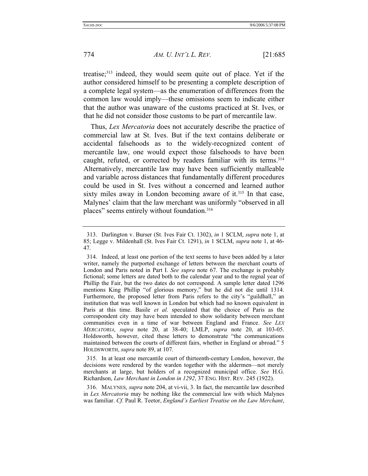treatise;313 indeed, they would seem quite out of place. Yet if the author considered himself to be presenting a complete description of a complete legal system—as the enumeration of differences from the common law would imply—these omissions seem to indicate either that the author was unaware of the customs practiced at St. Ives, or that he did not consider those customs to be part of mercantile law.

Thus, *Lex Mercatoria* does not accurately describe the practice of commercial law at St. Ives. But if the text contains deliberate or accidental falsehoods as to the widely-recognized content of mercantile law, one would expect those falsehoods to have been caught, refuted, or corrected by readers familiar with its terms.<sup>314</sup> Alternatively, mercantile law may have been sufficiently malleable and variable across distances that fundamentally different procedures could be used in St. Ives without a concerned and learned author sixty miles away in London becoming aware of it.<sup>315</sup> In that case, Malynes' claim that the law merchant was uniformly "observed in all places" seems entirely without foundation.316

 315. In at least one mercantile court of thirteenth-century London, however, the decisions were rendered by the warden together with the aldermen—not merely merchants at large, but holders of a recognized municipal office. *See* H.G. Richardson, *Law Merchant in London in 1292*, 37 ENG. HIST. REV. 245 (1922).

 316. MALYNES, *supra* note 204, at vi-vii, 3. In fact, the mercantile law described in *Lex Mercatoria* may be nothing like the commercial law with which Malynes was familiar. *Cf.* Paul R. Teetor, *England's Earliest Treatise on the Law Merchant*,

 <sup>313.</sup> Darlington v. Burser (St. Ives Fair Ct. 1302), *in* 1 SCLM, *supra* note 1, at 85; Legge v. Mildenhall (St. Ives Fair Ct. 1291), *in* 1 SCLM, *supra* note 1, at 46- 47.

 <sup>314.</sup> Indeed, at least one portion of the text seems to have been added by a later writer, namely the purported exchange of letters between the merchant courts of London and Paris noted in Part I. *See supra* note 67. The exchange is probably fictional; some letters are dated both to the calendar year and to the regnal year of Phillip the Fair, but the two dates do not correspond. A sample letter dated 1296 mentions King Phillip "of glorious memory," but he did not die until 1314. Furthermore, the proposed letter from Paris refers to the city's "guildhall," an institution that was well known in London but which had no known equivalent in Paris at this time. Basile *et al*. speculated that the choice of Paris as the correspondent city may have been intended to show solidarity between merchant communities even in a time of war between England and France. *See LEX MERCATORIA*, *supra* note 20, at 38-40; LMLP, *supra* note 20, at 103-05. Holdsworth, however, cited these letters to demonstrate "the communications maintained between the courts of different fairs, whether in England or abroad." 5 HOLDSWORTH, *supra* note 89, at 107.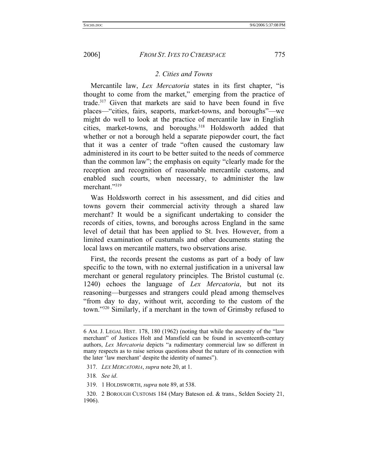## *2. Cities and Towns*

Mercantile law, *Lex Mercatoria* states in its first chapter, "is thought to come from the market," emerging from the practice of trade.317 Given that markets are said to have been found in five places—"cities, fairs, seaports, market-towns, and boroughs"—we might do well to look at the practice of mercantile law in English cities, market-towns, and boroughs.318 Holdsworth added that whether or not a borough held a separate piepowder court, the fact that it was a center of trade "often caused the customary law administered in its court to be better suited to the needs of commerce than the common law"; the emphasis on equity "clearly made for the reception and recognition of reasonable mercantile customs, and enabled such courts, when necessary, to administer the law merchant."319

Was Holdsworth correct in his assessment, and did cities and towns govern their commercial activity through a shared law merchant? It would be a significant undertaking to consider the records of cities, towns, and boroughs across England in the same level of detail that has been applied to St. Ives. However, from a limited examination of custumals and other documents stating the local laws on mercantile matters, two observations arise.

First, the records present the customs as part of a body of law specific to the town, with no external justification in a universal law merchant or general regulatory principles. The Bristol custumal (c. 1240) echoes the language of *Lex Mercatoria*, but not its reasoning—burgesses and strangers could plead among themselves "from day to day, without writ, according to the custom of the town."320 Similarly, if a merchant in the town of Grimsby refused to

l

<sup>6</sup> AM. J. LEGAL HIST. 178, 180 (1962) (noting that while the ancestry of the "law merchant" of Justices Holt and Mansfield can be found in seventeenth-century authors, *Lex Mercatoria* depicts "a rudimentary commercial law so different in many respects as to raise serious questions about the nature of its connection with the later 'law merchant' despite the identity of names").

 <sup>317.</sup> *LEX MERCATORIA*, *supra* note 20, at 1.

<sup>318</sup>*. See id*.

 <sup>319. 1</sup> HOLDSWORTH, *supra* note 89, at 538.

 <sup>320. 2</sup> BOROUGH CUSTOMS 184 (Mary Bateson ed. & trans., Selden Society 21, 1906).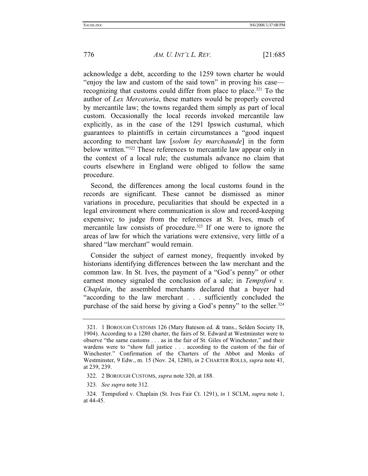acknowledge a debt, according to the 1259 town charter he would "enjoy the law and custom of the said town" in proving his case recognizing that customs could differ from place to place.<sup>321</sup> To the author of *Lex Mercatoria*, these matters would be properly covered by mercantile law; the towns regarded them simply as part of local custom. Occasionally the local records invoked mercantile law explicitly, as in the case of the 1291 Ipswich custumal, which guarantees to plaintiffs in certain circumstances a "good inquest according to merchant law [*solom ley marchaunde*] in the form below written."322 These references to mercantile law appear only in the context of a local rule; the custumals advance no claim that courts elsewhere in England were obliged to follow the same procedure.

Second, the differences among the local customs found in the records are significant. These cannot be dismissed as minor variations in procedure, peculiarities that should be expected in a legal environment where communication is slow and record-keeping expensive; to judge from the references at St. Ives, much of mercantile law consists of procedure.<sup>323</sup> If one were to ignore the areas of law for which the variations were extensive, very little of a shared "law merchant" would remain.

Consider the subject of earnest money, frequently invoked by historians identifying differences between the law merchant and the common law. In St. Ives, the payment of a "God's penny" or other earnest money signaled the conclusion of a sale; in *Tempsford v. Chaplain*, the assembled merchants declared that a buyer had "according to the law merchant . . . sufficiently concluded the purchase of the said horse by giving a God's penny" to the seller.<sup>324</sup>

323*. See supra* note 312.

 <sup>321. 1</sup> BOROUGH CUSTOMS 126 (Mary Bateson ed. & trans., Selden Society 18, 1904). According to a 1280 charter, the fairs of St. Edward at Westminster were to observe "the same customs . . . as in the fair of St. Giles of Winchester," and their wardens were to "show full justice . . . according to the custom of the fair of Winchester." Confirmation of the Charters of the Abbot and Monks of Westminster, 9 Edw., m. 15 (Nov. 24, 1280), *in* 2 CHARTER ROLLS, *supra* note 41, at 239, 239.

 <sup>322. 2</sup> BOROUGH CUSTOMS, *supra* note 320, at 188.

 <sup>324.</sup> Tempsford v. Chaplain (St. Ives Fair Ct. 1291), *in* 1 SCLM, *supra* note 1, at 44-45.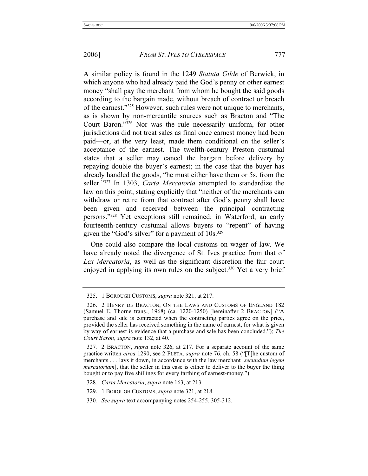A similar policy is found in the 1249 *Statuta Gilde* of Berwick, in which anyone who had already paid the God's penny or other earnest money "shall pay the merchant from whom he bought the said goods according to the bargain made, without breach of contract or breach of the earnest."325 However, such rules were not unique to merchants, as is shown by non-mercantile sources such as Bracton and "The Court Baron."326 Nor was the rule necessarily uniform, for other jurisdictions did not treat sales as final once earnest money had been paid—or, at the very least, made them conditional on the seller's acceptance of the earnest. The twelfth-century Preston custumal states that a seller may cancel the bargain before delivery by repaying double the buyer's earnest; in the case that the buyer has already handled the goods, "he must either have them or 5s. from the seller."327 In 1303, *Carta Mercatoria* attempted to standardize the law on this point, stating explicitly that "neither of the merchants can withdraw or retire from that contract after God's penny shall have been given and received between the principal contracting persons."328 Yet exceptions still remained; in Waterford, an early fourteenth-century custumal allows buyers to "repent" of having given the "God's silver" for a payment of 10s.<sup>329</sup>

One could also compare the local customs on wager of law. We have already noted the divergence of St. Ives practice from that of *Lex Mercatoria*, as well as the significant discretion the fair court enjoyed in applying its own rules on the subject.<sup>330</sup> Yet a very brief

 <sup>325. 1</sup> BOROUGH CUSTOMS, *supra* note 321, at 217.

 <sup>326. 2</sup> HENRY DE BRACTON, ON THE LAWS AND CUSTOMS OF ENGLAND 182 (Samuel E. Thorne trans., 1968) (ca. 1220-1250) [hereinafter 2 BRACTON] ("A purchase and sale is contracted when the contracting parties agree on the price, provided the seller has received something in the name of earnest, for what is given by way of earnest is evidence that a purchase and sale has been concluded."); *The Court Baron*, *supra* note 132, at 40.

<sup>327</sup>*.* 2 BRACTON, *supra* note 326, at 217. For a separate account of the same practice written *circa* 1290, see 2 FLETA, *supra* note 76, ch. 58 ("[T]he custom of merchants . . . lays it down, in accordance with the law merchant [*secundum legem mercatoriam*], that the seller in this case is either to deliver to the buyer the thing bought or to pay five shillings for every farthing of earnest-money.").

<sup>328</sup>*. Carta Mercatoria*, *supra* note 163, at 213.

 <sup>329. 1</sup> BOROUGH CUSTOMS, *supra* note 321, at 218.

<sup>330</sup>*. See supra* text accompanying notes 254-255, 305-312.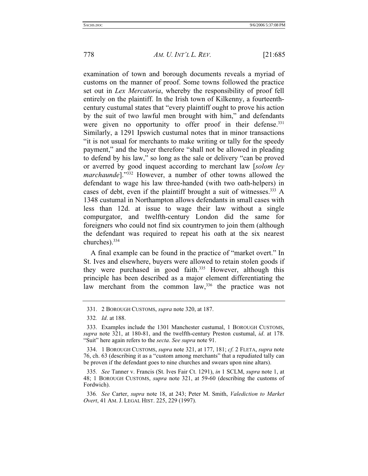examination of town and borough documents reveals a myriad of customs on the manner of proof. Some towns followed the practice set out in *Lex Mercatoria*, whereby the responsibility of proof fell entirely on the plaintiff. In the Irish town of Kilkenny, a fourteenthcentury custumal states that "every plaintiff ought to prove his action by the suit of two lawful men brought with him," and defendants were given no opportunity to offer proof in their defense.<sup>331</sup> Similarly, a 1291 Ipswich custumal notes that in minor transactions "it is not usual for merchants to make writing or tally for the speedy payment," and the buyer therefore "shall not be allowed in pleading to defend by his law," so long as the sale or delivery "can be proved or averred by good inquest according to merchant law [*solom ley marchaunde*]."332 However, a number of other towns allowed the defendant to wage his law three-handed (with two oath-helpers) in cases of debt, even if the plaintiff brought a suit of witnesses.<sup>333</sup> A 1348 custumal in Northampton allows defendants in small cases with less than 12d. at issue to wage their law without a single compurgator, and twelfth-century London did the same for foreigners who could not find six countrymen to join them (although the defendant was required to repeat his oath at the six nearest churches).334

A final example can be found in the practice of "market overt." In St. Ives and elsewhere, buyers were allowed to retain stolen goods if they were purchased in good faith.<sup>335</sup> However, although this principle has been described as a major element differentiating the law merchant from the common law,<sup>336</sup> the practice was not

 <sup>331. 2</sup> BOROUGH CUSTOMS, *supra* note 320, at 187.

<sup>332</sup>*. Id*. at 188.

 <sup>333.</sup> Examples include the 1301 Manchester custumal, 1 BOROUGH CUSTOMS, *supra* note 321, at 180-81, and the twelfth-century Preston custumal, *id*. at 178. "Suit" here again refers to the *secta*. *See supra* note 91.

 <sup>334. 1</sup> BOROUGH CUSTOMS, *supra* note 321, at 177, 181; *cf.* 2 FLETA, *supra* note 76, ch. 63 (describing it as a "custom among merchants" that a repudiated tally can be proven if the defendant goes to nine churches and swears upon nine altars).

<sup>335</sup>*. See* Tanner v. Francis (St. Ives Fair Ct. 1291), *in* 1 SCLM, *supra* note 1, at 48; 1 BOROUGH CUSTOMS, *supra* note 321, at 59-60 (describing the customs of Fordwich).

<sup>336</sup>*. See* Carter, *supra* note 18, at 243; Peter M. Smith, *Valediction to Market Overt*, 41 AM. J. LEGAL HIST. 225, 229 (1997).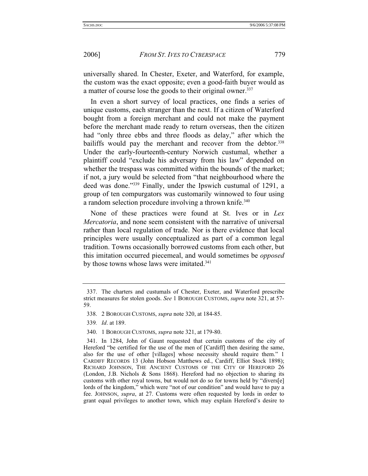universally shared. In Chester, Exeter, and Waterford, for example, the custom was the exact opposite; even a good-faith buyer would as a matter of course lose the goods to their original owner.<sup>337</sup>

In even a short survey of local practices, one finds a series of unique customs, each stranger than the next. If a citizen of Waterford bought from a foreign merchant and could not make the payment before the merchant made ready to return overseas, then the citizen had "only three ebbs and three floods as delay," after which the bailiffs would pay the merchant and recover from the debtor.<sup>338</sup> Under the early-fourteenth-century Norwich custumal, whether a plaintiff could "exclude his adversary from his law" depended on whether the trespass was committed within the bounds of the market; if not, a jury would be selected from "that neighbourhood where the deed was done."339 Finally, under the Ipswich custumal of 1291, a group of ten compurgators was customarily winnowed to four using a random selection procedure involving a thrown knife.<sup>340</sup>

None of these practices were found at St. Ives or in *Lex Mercatoria*, and none seem consistent with the narrative of universal rather than local regulation of trade. Nor is there evidence that local principles were usually conceptualized as part of a common legal tradition. Towns occasionally borrowed customs from each other, but this imitation occurred piecemeal, and would sometimes be *opposed* by those towns whose laws were imitated.<sup>341</sup>

339*. Id*. at 189.

 <sup>337.</sup> The charters and custumals of Chester, Exeter, and Waterford prescribe strict measures for stolen goods. *See* 1 BOROUGH CUSTOMS, *supra* note 321, at 57- 59.

 <sup>338. 2</sup> BOROUGH CUSTOMS, *supra* note 320, at 184-85.

 <sup>340. 1</sup> BOROUGH CUSTOMS, *supra* note 321, at 179-80.

 <sup>341.</sup> In 1284, John of Gaunt requested that certain customs of the city of Hereford "be certified for the use of the men of [Cardiff] then desiring the same, also for the use of other [villages] whose necessity should require them." 1 CARDIFF RECORDS 13 (John Hobson Matthews ed., Cardiff, Elliot Stock 1898); RICHARD JOHNSON, THE ANCIENT CUSTOMS OF THE CITY OF HEREFORD 26 (London, J.B. Nichols & Sons 1868). Hereford had no objection to sharing its customs with other royal towns, but would not do so for towns held by "divers[e] lords of the kingdom," which were "not of our condition" and would have to pay a fee. JOHNSON, *supra*, at 27. Customs were often requested by lords in order to grant equal privileges to another town, which may explain Hereford's desire to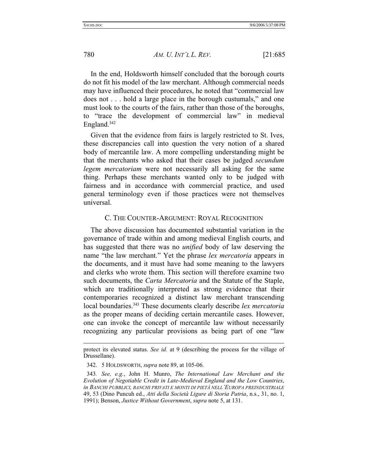In the end, Holdsworth himself concluded that the borough courts do not fit his model of the law merchant. Although commercial needs may have influenced their procedures, he noted that "commercial law does not . . . hold a large place in the borough custumals," and one must look to the courts of the fairs, rather than those of the boroughs, to "trace the development of commercial law" in medieval England.<sup>342</sup>

Given that the evidence from fairs is largely restricted to St. Ives, these discrepancies call into question the very notion of a shared body of mercantile law. A more compelling understanding might be that the merchants who asked that their cases be judged *secundum legem mercatoriam* were not necessarily all asking for the same thing. Perhaps these merchants wanted only to be judged with fairness and in accordance with commercial practice, and used general terminology even if those practices were not themselves universal.

# C. THE COUNTER-ARGUMENT: ROYAL RECOGNITION

The above discussion has documented substantial variation in the governance of trade within and among medieval English courts, and has suggested that there was no *unified* body of law deserving the name "the law merchant." Yet the phrase *lex mercatoria* appears in the documents, and it must have had some meaning to the lawyers and clerks who wrote them. This section will therefore examine two such documents, the *Carta Mercatoria* and the Statute of the Staple, which are traditionally interpreted as strong evidence that their contemporaries recognized a distinct law merchant transcending local boundaries.343 These documents clearly describe *lex mercatoria* as the proper means of deciding certain mercantile cases. However, one can invoke the concept of mercantile law without necessarily recognizing any particular provisions as being part of one "law

l

protect its elevated status. *See id.* at 9 (describing the process for the village of Drussellane).

 <sup>342. 5</sup> HOLDSWORTH, *supra* note 89, at 105-06.

<sup>343</sup>*. See, e.g.*, John H. Munro, *The International Law Merchant and the Evolution of Negotiable Credit in Late-Medieval England and the Low Countries*, *in BANCHI PUBBLICI, BANCHI PRIVATI E MONTI DI PIETÀ NELL'EUROPA PREINDUSTRIALE* 49, 53 (Dino Puncuh ed., *Atti della Società Ligure di Storia Patria*, n.s., 31, no. 1, 1991); Benson, *Justice Without Government*, *supra* note 5, at 131.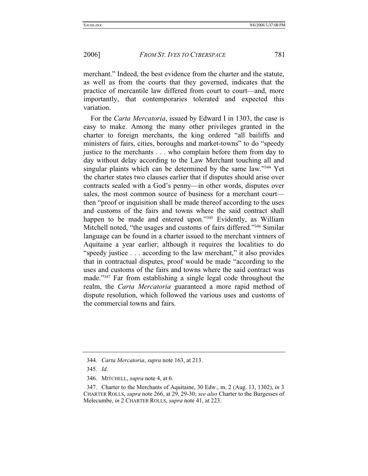merchant." Indeed, the best evidence from the charter and the statute, as well as from the courts that they governed, indicates that the practice of mercantile law differed from court to court—and, more importantly, that contemporaries tolerated and expected this variation.

For the *Carta Mercatoria*, issued by Edward I in 1303, the case is easy to make. Among the many other privileges granted in the charter to foreign merchants, the king ordered "all bailiffs and ministers of fairs, cities, boroughs and market-towns" to do "speedy justice to the merchants . . . who complain before them from day to day without delay according to the Law Merchant touching all and singular plaints which can be determined by the same law."344 Yet the charter states two clauses earlier that if disputes should arise over contracts sealed with a God's penny—in other words, disputes over sales, the most common source of business for a merchant court then "proof or inquisition shall be made thereof according to the uses and customs of the fairs and towns where the said contract shall happen to be made and entered upon."<sup>345</sup> Evidently, as William Mitchell noted, "the usages and customs of fairs differed."346 Similar language can be found in a charter issued to the merchant vintners of Aquitaine a year earlier; although it requires the localities to do "speedy justice . . . according to the law merchant," it also provides that in contractual disputes, proof would be made "according to the uses and customs of the fairs and towns where the said contract was made."347 Far from establishing a single legal code throughout the realm, the *Carta Mercatoria* guaranteed a more rapid method of dispute resolution, which followed the various uses and customs of the commercial towns and fairs.

<sup>344</sup>*. Carta Mercatoria*, *supra* note 163, at 213.

<sup>345</sup>*. Id*.

 <sup>346.</sup> MITCHELL, *supra* note 4, at 6.

 <sup>347.</sup> Charter to the Merchants of Aquitaine, 30 Edw., m. 2 (Aug. 13, 1302), *in* 3 CHARTER ROLLS, *supra* note 266, at 29, 29-30; *see also* Charter to the Burgesses of Melecumbe, *in* 2 CHARTER ROLLS, *supra* note 41, at 223.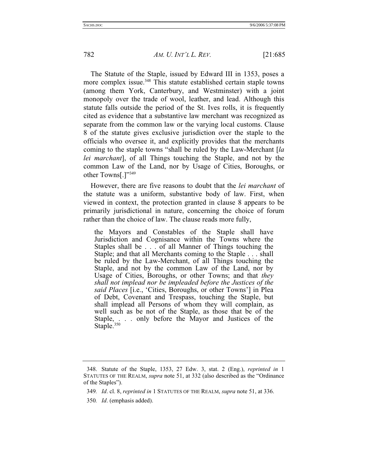The Statute of the Staple, issued by Edward III in 1353, poses a more complex issue.<sup>348</sup> This statute established certain staple towns (among them York, Canterbury, and Westminster) with a joint monopoly over the trade of wool, leather, and lead. Although this statute falls outside the period of the St. Ives rolls, it is frequently cited as evidence that a substantive law merchant was recognized as separate from the common law or the varying local customs. Clause 8 of the statute gives exclusive jurisdiction over the staple to the officials who oversee it, and explicitly provides that the merchants coming to the staple towns "shall be ruled by the Law-Merchant [*la lei marchant*], of all Things touching the Staple, and not by the common Law of the Land, nor by Usage of Cities, Boroughs, or other Towns[.]"349

However, there are five reasons to doubt that the *lei marchant* of the statute was a uniform, substantive body of law. First, when viewed in context, the protection granted in clause 8 appears to be primarily jurisdictional in nature, concerning the choice of forum rather than the choice of law. The clause reads more fully,

the Mayors and Constables of the Staple shall have Jurisdiction and Cognisance within the Towns where the Staples shall be . . . of all Manner of Things touching the Staple; and that all Merchants coming to the Staple . . . shall be ruled by the Law-Merchant, of all Things touching the Staple, and not by the common Law of the Land, nor by Usage of Cities, Boroughs, or other Towns; and that *they shall not implead nor be impleaded before the Justices of the said Places* [i.e., 'Cities, Boroughs, or other Towns'] in Plea of Debt, Covenant and Trespass, touching the Staple, but shall implead all Persons of whom they will complain, as well such as be not of the Staple, as those that be of the Staple, . . . only before the Mayor and Justices of the Staple.<sup>350</sup>

350*. Id*. (emphasis added).

 <sup>348.</sup> Statute of the Staple, 1353, 27 Edw. 3, stat. 2 (Eng.), *reprinted in* 1 STATUTES OF THE REALM, *supra* note 51, at 332 (also described as the "Ordinance of the Staples").

<sup>349</sup>*. Id*. cl. 8, *reprinted in* 1 STATUTES OF THE REALM, *supra* note 51, at 336.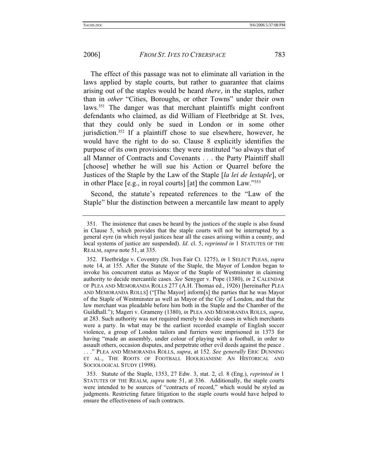The effect of this passage was not to eliminate all variation in the laws applied by staple courts, but rather to guarantee that claims arising out of the staples would be heard *there*, in the staples, rather than in *other* "Cities, Boroughs, or other Towns" under their own laws.351 The danger was that merchant plaintiffs might confront defendants who claimed, as did William of Fleetbridge at St. Ives, that they could only be sued in London or in some other jurisdiction.352 If a plaintiff chose to sue elsewhere, however, he would have the right to do so. Clause 8 explicitly identifies the purpose of its own provisions: they were instituted "so always that of all Manner of Contracts and Covenants . . . the Party Plaintiff shall [choose] whether he will sue his Action or Quarrel before the Justices of the Staple by the Law of the Staple [*la lei de lestaple*], or in other Place [e.g., in royal courts] [at] the common Law."353

Second, the statute's repeated references to the "Law of the Staple" blur the distinction between a mercantile law meant to apply

 <sup>351.</sup> The insistence that cases be heard by the justices of the staple is also found in Clause 5, which provides that the staple courts will not be interrupted by a general eyre (in which royal justices hear all the cases arising within a county, and local systems of justice are suspended). *Id*. cl. 5, *reprinted in* 1 STATUTES OF THE REALM, *supra* note 51, at 335.

 <sup>352.</sup> Fleetbridge v. Coventry (St. Ives Fair Ct. 1275), *in* 1 SELECT PLEAS, *supra* note 14, at 155. After the Statute of the Staple, the Mayor of London began to invoke his concurrent status as Mayor of the Staple of Westminster in claiming authority to decide mercantile cases. *See* Senyger v. Pope (1380), *in* 2 CALENDAR OF PLEA AND MEMORANDA ROLLS 277 (A.H. Thomas ed., 1926) [hereinafter PLEA AND MEMORANDA ROLLS] ("[The Mayor] inform[s] the parties that he was Mayor of the Staple of Westminster as well as Mayor of the City of London, and that the law merchant was pleadable before him both in the Staple and the Chamber of the Guildhall."); Mageri v. Grameny (1380), *in* PLEA AND MEMORANDA ROLLS, *supra*, at 283. Such authority was not required merely to decide cases in which merchants were a party. In what may be the earliest recorded example of English soccer violence, a group of London tailors and furriers were imprisoned in 1373 for having "made an assembly, under colour of playing with a football, in order to assault others, occasion disputes, and perpetrate other evil deeds against the peace . . . ." PLEA AND MEMORANDA ROLLS, *supra*, at 152. *See generally* ERIC DUNNING ET AL., THE ROOTS OF FOOTBALL HOOLIGANISM: AN HISTORICAL AND SOCIOLOGICAL STUDY (1998).

 <sup>353.</sup> Statute of the Staple, 1353, 27 Edw. 3, stat. 2, cl. 8 (Eng.), *reprinted in* 1 STATUTES OF THE REALM, *supra* note 51, at 336. Additionally, the staple courts were intended to be sources of "contracts of record," which would be styled as judgments. Restricting future litigation to the staple courts would have helped to ensure the effectiveness of such contracts.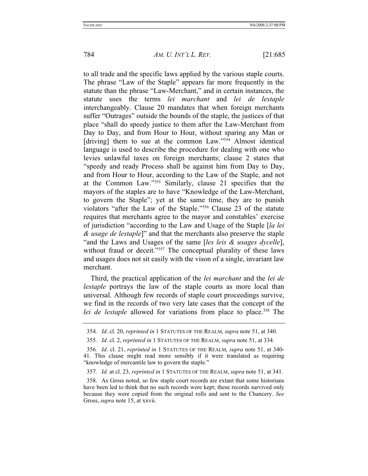to all trade and the specific laws applied by the various staple courts. The phrase "Law of the Staple" appears far more frequently in the statute than the phrase "Law-Merchant," and in certain instances, the statute uses the terms *lei marchant* and *lei de lestaple*  interchangeably. Clause 20 mandates that when foreign merchants suffer "Outrages" outside the bounds of the staple, the justices of that place "shall do speedy justice to them after the Law-Merchant from Day to Day, and from Hour to Hour, without sparing any Man or [driving] them to sue at the common Law."<sup>354</sup> Almost identical language is used to describe the procedure for dealing with one who levies unlawful taxes on foreign merchants; clause 2 states that "speedy and ready Process shall be against him from Day to Day, and from Hour to Hour, according to the Law of the Staple, and not at the Common Law."355 Similarly, clause 21 specifies that the mayors of the staples are to have "Knowledge of the Law-Merchant, to govern the Staple"; yet at the same time, they are to punish violators "after the Law of the Staple."356 Clause 23 of the statute requires that merchants agree to the mayor and constables' exercise of jurisdiction "according to the Law and Usage of the Staple [*la lei & usage de lestaple*]" and that the merchants also preserve the staple "and the Laws and Usages of the same [*les leis & usages dycelle*], without fraud or deceit."<sup>357</sup> The conceptual plurality of these laws and usages does not sit easily with the vison of a single, invariant law merchant.

Third, the practical application of the *lei marchant* and the *lei de lestaple* portrays the law of the staple courts as more local than universal. Although few records of staple court proceedings survive, we find in the records of two very late cases that the concept of the *lei de lestaple* allowed for variations from place to place.<sup>358</sup> The

<sup>354</sup>*. Id*. cl. 20, *reprinted in* 1 STATUTES OF THE REALM, *supra* note 51, at 340.

<sup>355</sup>*. Id*. cl. 2, *reprinted in* 1 STATUTES OF THE REALM, *supra* note 51, at 334.

<sup>356</sup>*. Id*. cl. 21, *reprinted in* 1 STATUTES OF THE REALM, *supra* note 51, at 340- 41. This clause might read more sensibly if it were translated as requiring "knowledge of mercantile law to govern the staple."

<sup>357</sup>*. Id.* at cl. 23, *reprinted in* 1 STATUTES OF THE REALM, *supra* note 51, at 341.

 <sup>358.</sup> As Gross noted, so few staple court records are extant that some historians have been led to think that no such records were kept; these records survived only because they were copied from the original rolls and sent to the Chancery. *See* Gross, *supra* note 15, at xxvii.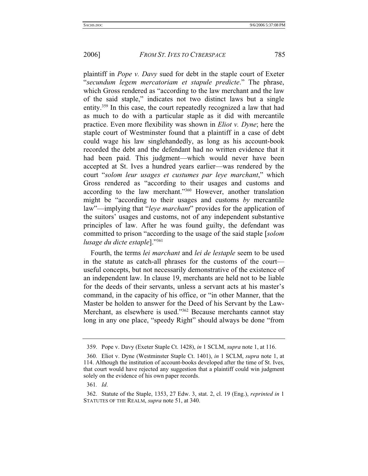plaintiff in *Pope v. Davy* sued for debt in the staple court of Exeter "*secundum legem mercatoriam et stapule predicte*." The phrase, which Gross rendered as "according to the law merchant and the law of the said staple," indicates not two distinct laws but a single entity.359 In this case, the court repeatedly recognized a law that had as much to do with a particular staple as it did with mercantile practice. Even more flexibility was shown in *Eliot v. Dyne*; here the staple court of Westminster found that a plaintiff in a case of debt could wage his law singlehandedly, as long as his account-book recorded the debt and the defendant had no written evidence that it had been paid. This judgment—which would never have been accepted at St. Ives a hundred years earlier—was rendered by the court "*solom leur usages et custumes par leye marchant*," which Gross rendered as "according to their usages and customs and according to the law merchant."360 However, another translation might be "according to their usages and customs *by* mercantile law"—implying that "*leye marchant*" provides for the application of the suitors' usages and customs, not of any independent substantive principles of law. After he was found guilty, the defendant was committed to prison "according to the usage of the said staple [*solom lusage du dicte estaple*]."361

Fourth, the terms *lei marchant* and *lei de lestaple* seem to be used in the statute as catch-all phrases for the customs of the court useful concepts, but not necessarily demonstrative of the existence of an independent law. In clause 19, merchants are held not to be liable for the deeds of their servants, unless a servant acts at his master's command, in the capacity of his office, or "in other Manner, that the Master be holden to answer for the Deed of his Servant by the Law-Merchant, as elsewhere is used."362 Because merchants cannot stay long in any one place, "speedy Right" should always be done "from

 <sup>359.</sup> Pope v. Davy (Exeter Staple Ct. 1428), *in* 1 SCLM, *supra* note 1, at 116.

 <sup>360.</sup> Eliot v. Dyne (Westminster Staple Ct. 1401), *in* 1 SCLM, *supra* note 1, at 114. Although the institution of account-books developed after the time of St. Ives, that court would have rejected any suggestion that a plaintiff could win judgment solely on the evidence of his own paper records.

<sup>361</sup>*. Id*.

 <sup>362.</sup> Statute of the Staple, 1353, 27 Edw. 3, stat. 2, cl. 19 (Eng.), *reprinted in* 1 STATUTES OF THE REALM, *supra* note 51, at 340.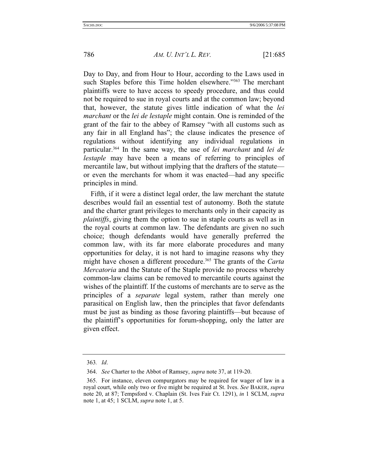Day to Day, and from Hour to Hour, according to the Laws used in such Staples before this Time holden elsewhere."<sup>363</sup> The merchant plaintiffs were to have access to speedy procedure, and thus could not be required to sue in royal courts and at the common law; beyond that, however, the statute gives little indication of what the *lei marchant* or the *lei de lestaple* might contain. One is reminded of the grant of the fair to the abbey of Ramsey "with all customs such as any fair in all England has"; the clause indicates the presence of regulations without identifying any individual regulations in particular.364 In the same way, the use of *lei marchant* and *lei de lestaple* may have been a means of referring to principles of mercantile law, but without implying that the drafters of the statute or even the merchants for whom it was enacted—had any specific principles in mind.

Fifth, if it were a distinct legal order, the law merchant the statute describes would fail an essential test of autonomy. Both the statute and the charter grant privileges to merchants only in their capacity as *plaintiffs*, giving them the option to sue in staple courts as well as in the royal courts at common law. The defendants are given no such choice; though defendants would have generally preferred the common law, with its far more elaborate procedures and many opportunities for delay, it is not hard to imagine reasons why they might have chosen a different procedure.<sup>365</sup> The grants of the *Carta Mercatoria* and the Statute of the Staple provide no process whereby common-law claims can be removed to mercantile courts against the wishes of the plaintiff. If the customs of merchants are to serve as the principles of a *separate* legal system, rather than merely one parasitical on English law, then the principles that favor defendants must be just as binding as those favoring plaintiffs—but because of the plaintiff's opportunities for forum-shopping, only the latter are given effect.

<sup>363</sup>*. Id*.

 <sup>364.</sup> *See* Charter to the Abbot of Ramsey, *supra* note 37, at 119-20.

 <sup>365.</sup> For instance, eleven compurgators may be required for wager of law in a royal court, while only two or five might be required at St. Ives. *See* BAKER, *supra* note 20, at 87; Tempsford v. Chaplain (St. Ives Fair Ct. 1291), *in* 1 SCLM, *supra* note 1, at 45; 1 SCLM, *supra* note 1, at 5.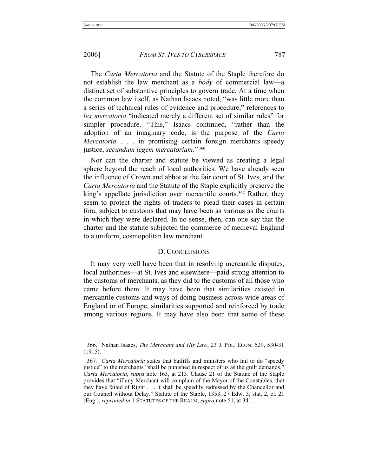The *Carta Mercatoria* and the Statute of the Staple therefore do not establish the law merchant as a *body* of commercial law—a distinct set of substantive principles to govern trade. At a time when the common law itself, as Nathan Isaacs noted, "was little more than a series of technical rules of evidence and procedure," references to *lex mercatoria* "indicated merely a different set of similar rules" for simpler procedure. "This," Isaacs continued, "rather than the adoption of an imaginary code, is the purpose of the *Carta Mercatoria* . . . in promising certain foreign merchants speedy justice, *secundum legem mercatoriam*." 366

Nor can the charter and statute be viewed as creating a legal sphere beyond the reach of local authorities. We have already seen the influence of Crown and abbot at the fair court of St. Ives, and the *Carta Mercatoria* and the Statute of the Staple explicitly preserve the king's appellate jurisdiction over mercantile courts.<sup>367</sup> Rather, they seem to protect the rights of traders to plead their cases in certain fora, subject to customs that may have been as various as the courts in which they were declared. In no sense, then, can one say that the charter and the statute subjected the commerce of medieval England to a uniform, cosmopolitan law merchant.

### D. CONCLUSIONS

It may very well have been that in resolving mercantile disputes, local authorities—at St. Ives and elsewhere—paid strong attention to the customs of merchants, as they did to the customs of all those who came before them. It may have been that similarities existed in mercantile customs and ways of doing business across wide areas of England or of Europe, similarities supported and reinforced by trade among various regions. It may have also been that some of these

 <sup>366.</sup> Nathan Isaacs, *The Merchant and His Law*, 23 J. POL. ECON. 529, 530-31 (1915).

<sup>367</sup>*. Carta Mercatoria* states that bailiffs and ministers who fail to do "speedy justice" to the merchants "shall be punished in respect of us as the guilt demands." *Carta Mercatoria*, *supra* note 163, at 213. Clause 21 of the Statute of the Staple provides that "if any Merchant will complain of the Mayor of the Constables, that they have failed of Right . . . it shall be speedily redressed by the Chancellor and our Council without Delay." Statute of the Staple, 1353, 27 Edw. 3, stat. 2, cl. 21 (Eng.), *reprinted in* 1 STATUTES OF THE REALM, *supra* note 51, at 341.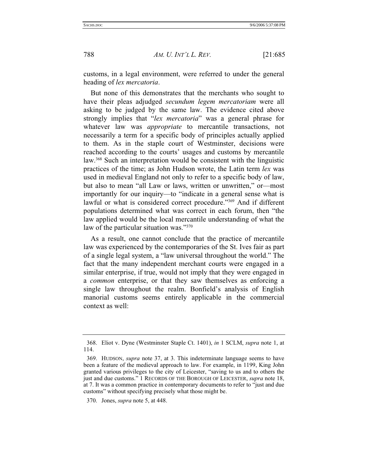customs, in a legal environment, were referred to under the general heading of *lex mercatoria*.

But none of this demonstrates that the merchants who sought to have their pleas adjudged *secundum legem mercatoriam* were all asking to be judged by the same law. The evidence cited above strongly implies that "*lex mercatoria*" was a general phrase for whatever law was *appropriate* to mercantile transactions, not necessarily a term for a specific body of principles actually applied to them. As in the staple court of Westminster, decisions were reached according to the courts' usages and customs by mercantile law.368 Such an interpretation would be consistent with the linguistic practices of the time; as John Hudson wrote, the Latin term *lex* was used in medieval England not only to refer to a specific body of law, but also to mean "all Law or laws, written or unwritten," or—most importantly for our inquiry—to "indicate in a general sense what is lawful or what is considered correct procedure."369 And if different populations determined what was correct in each forum, then "the law applied would be the local mercantile understanding of what the law of the particular situation was."<sup>370</sup>

As a result, one cannot conclude that the practice of mercantile law was experienced by the contemporaries of the St. Ives fair as part of a single legal system, a "law universal throughout the world." The fact that the many independent merchant courts were engaged in a similar enterprise, if true, would not imply that they were engaged in a *common* enterprise, or that they saw themselves as enforcing a single law throughout the realm. Bonfield's analysis of English manorial customs seems entirely applicable in the commercial context as well:

 <sup>368.</sup> Eliot v. Dyne (Westminster Staple Ct. 1401), *in* 1 SCLM, *supra* note 1, at 114.

 <sup>369.</sup> HUDSON, *supra* note 37, at 3. This indeterminate language seems to have been a feature of the medieval approach to law. For example, in 1199, King John granted various privileges to the city of Leicester, "saving to us and to others the just and due customs." 1 RECORDS OF THE BOROUGH OF LEICESTER, *supra* note 18, at 7. It was a common practice in contemporary documents to refer to "just and due customs" without specifying precisely what those might be.

 <sup>370.</sup> Jones, *supra* note 5, at 448.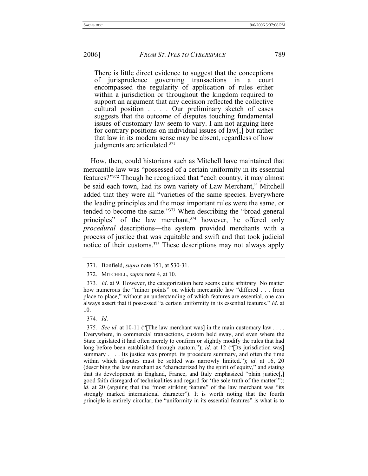There is little direct evidence to suggest that the conceptions of jurisprudence governing transactions in a court encompassed the regularity of application of rules either within a jurisdiction or throughout the kingdom required to support an argument that any decision reflected the collective cultural position . . . . Our preliminary sketch of cases suggests that the outcome of disputes touching fundamental issues of customary law seem to vary. I am not arguing here for contrary positions on individual issues of law[,] but rather that law in its modern sense may be absent, regardless of how judgments are articulated.371

How, then, could historians such as Mitchell have maintained that mercantile law was "possessed of a certain uniformity in its essential features?"372 Though he recognized that "each country, it may almost be said each town, had its own variety of Law Merchant," Mitchell added that they were all "varieties of the same species. Everywhere the leading principles and the most important rules were the same, or tended to become the same."373 When describing the "broad general principles" of the law merchant,<sup>374</sup> however, he offered only *procedural* descriptions—the system provided merchants with a process of justice that was equitable and swift and that took judicial notice of their customs.<sup>375</sup> These descriptions may not always apply

 <sup>371.</sup> Bonfield, *supra* note 151, at 530-31.

 <sup>372.</sup> MITCHELL, *supra* note 4, at 10.

<sup>373</sup>*. Id*. at 9. However, the categorization here seems quite arbitrary. No matter how numerous the "minor points" on which mercantile law "differed . . . from place to place," without an understanding of which features are essential, one can always assert that it possessed "a certain uniformity in its essential features." *Id*. at 10.

<sup>374</sup>*. Id*.

<sup>375</sup>*. See id*. at 10-11 ("[The law merchant was] in the main customary law . . . . Everywhere, in commercial transactions, custom held sway, and even where the State legislated it had often merely to confirm or slightly modify the rules that had long before been established through custom."); *id.* at 12 ("[Its jurisdiction was] summary . . . . Its justice was prompt, its procedure summary, and often the time within which disputes must be settled was narrowly limited."); *id*. at 16, 20 (describing the law merchant as "characterized by the spirit of equity," and stating that its development in England, France, and Italy emphasized "plain justice[,] good faith disregard of technicalities and regard for 'the sole truth of the matter'"); *id*. at 20 (arguing that the "most striking feature" of the law merchant was "its strongly marked international character"). It is worth noting that the fourth principle is entirely circular; the "uniformity in its essential features" is what is to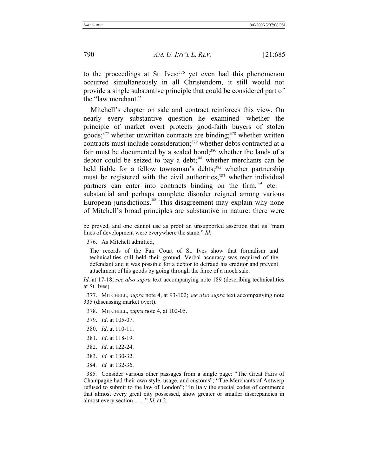790 *AM. U. INT'L L. REV.* [21:685

to the proceedings at St. Ives;<sup>376</sup> yet even had this phenomenon occurred simultaneously in all Christendom, it still would not provide a single substantive principle that could be considered part of the "law merchant."

Mitchell's chapter on sale and contract reinforces this view. On nearly every substantive question he examined—whether the principle of market overt protects good-faith buyers of stolen  $goods$ <sup>377</sup> whether unwritten contracts are binding;<sup>378</sup> whether written contracts must include consideration;<sup>379</sup> whether debts contracted at a fair must be documented by a sealed bond;<sup>380</sup> whether the lands of a debtor could be seized to pay a debt; $381$  whether merchants can be held liable for a fellow townsman's debts;<sup>382</sup> whether partnership must be registered with the civil authorities;<sup>383</sup> whether individual partners can enter into contracts binding on the firm;<sup>384</sup> etc. substantial and perhaps complete disorder reigned among various European jurisdictions.<sup>385</sup> This disagreement may explain why none of Mitchell's broad principles are substantive in nature: there were

The records of the Fair Court of St. Ives show that formalism and technicalities still held their ground. Verbal accuracy was required of the defendant and it was possible for a debtor to defraud his creditor and prevent attachment of his goods by going through the farce of a mock sale.

*Id*. at 17-18; *see also supra* text accompanying note 189 (describing technicalities at St. Ives).

 377. MITCHELL, *supra* note 4, at 93-102; *see also supra* text accompanying note 335 (discussing market overt).

378. MITCHELL, *supra* note 4, at 102-05.

- 379. *Id*. at 105-07.
- 380. *Id*. at 110-11.
- 381. *Id*. at 118-19.
- 382. *Id*. at 122-24.
- 383. *Id.* at 130-32.
- 384*. Id.* at 132-36.

 385*.* Consider various other passages from a single page: "The Great Fairs of Champagne had their own style, usage, and customs"; "The Merchants of Antwerp refused to submit to the law of London"; "In Italy the special codes of commerce that almost every great city possessed, show greater or smaller discrepancies in almost every section . . . ." *Id.* at 2.

be proved, and one cannot use as proof an unsupported assertion that its "main lines of development were everywhere the same." *Id*.

 <sup>376.</sup> As Mitchell admitted,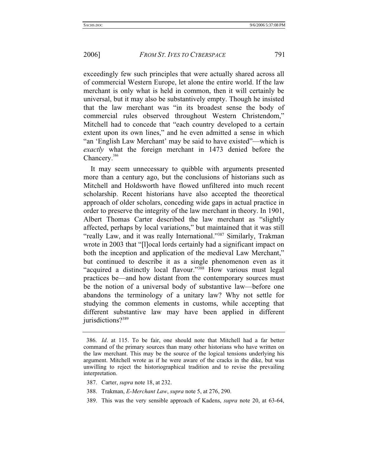exceedingly few such principles that were actually shared across all of commercial Western Europe, let alone the entire world. If the law merchant is only what is held in common, then it will certainly be universal, but it may also be substantively empty. Though he insisted that the law merchant was "in its broadest sense the body of commercial rules observed throughout Western Christendom," Mitchell had to concede that "each country developed to a certain extent upon its own lines," and he even admitted a sense in which "an 'English Law Merchant' may be said to have existed"—which is *exactly* what the foreign merchant in 1473 denied before the Chancery.<sup>386</sup>

It may seem unnecessary to quibble with arguments presented more than a century ago, but the conclusions of historians such as Mitchell and Holdsworth have flowed unfiltered into much recent scholarship. Recent historians have also accepted the theoretical approach of older scholars, conceding wide gaps in actual practice in order to preserve the integrity of the law merchant in theory. In 1901, Albert Thomas Carter described the law merchant as "slightly affected, perhaps by local variations," but maintained that it was still "really Law, and it was really International."387 Similarly, Trakman wrote in 2003 that "[l]ocal lords certainly had a significant impact on both the inception and application of the medieval Law Merchant," but continued to describe it as a single phenomenon even as it "acquired a distinctly local flavour."388 How various must legal practices be—and how distant from the contemporary sources must be the notion of a universal body of substantive law—before one abandons the terminology of a unitary law? Why not settle for studying the common elements in customs, while accepting that different substantive law may have been applied in different jurisdictions?<sup>389</sup>

<sup>386</sup>*. Id*. at 115. To be fair, one should note that Mitchell had a far better command of the primary sources than many other historians who have written on the law merchant. This may be the source of the logical tensions underlying his argument. Mitchell wrote as if he were aware of the cracks in the dike, but was unwilling to reject the historiographical tradition and to revise the prevailing interpretation.

 <sup>387.</sup> Carter, *supra* note 18, at 232.

 <sup>388.</sup> Trakman, *E-Merchant Law*, *supra* note 5, at 276, 290.

 <sup>389.</sup> This was the very sensible approach of Kadens, *supra* note 20, at 63-64,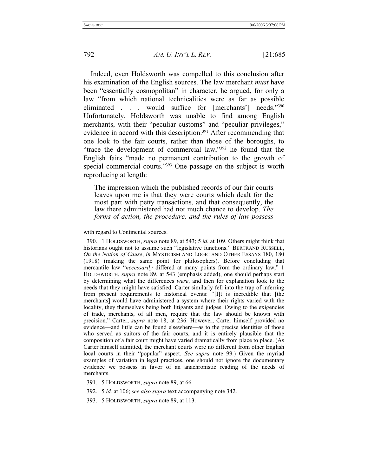792 *AM. U. INT'L L. REV.* [21:685

Indeed, even Holdsworth was compelled to this conclusion after his examination of the English sources. The law merchant *must* have been "essentially cosmopolitan" in character, he argued, for only a law "from which national technicalities were as far as possible eliminated . . . would suffice for [merchants'] needs."390 Unfortunately, Holdsworth was unable to find among English merchants, with their "peculiar customs" and "peculiar privileges," evidence in accord with this description.<sup>391</sup> After recommending that one look to the fair courts, rather than those of the boroughs, to "trace the development of commercial law,"392 he found that the English fairs "made no permanent contribution to the growth of special commercial courts."<sup>393</sup> One passage on the subject is worth reproducing at length:

The impression which the published records of our fair courts leaves upon me is that they were courts which dealt for the most part with petty transactions, and that consequently, the law there administered had not much chance to develop. *The forms of action, the procedure, and the rules of law possess* 

 390. 1 HOLDSWORTH, *supra* note 89, at 543; 5 *id.* at 109. Others might think that historians ought not to assume such "legislative functions." BERTRAND RUSSELL, *On the Notion of Cause*, *in* MYSTICISM AND LOGIC AND OTHER ESSAYS 180, 180 (1918) (making the same point for philosophers). Before concluding that mercantile law "*necessarily* differed at many points from the ordinary law," 1 HOLDSWORTH, *supra* note 89, at 543 (emphasis added), one should perhaps start by determining what the differences *were*, and then for explanation look to the needs that they might have satisfied. Carter similarly fell into the trap of inferring from present requirements to historical events: "[I]t is incredible that [the merchants] would have administered a system where their rights varied with the locality, they themselves being both litigants and judges. Owing to the exigencies of trade, merchants, of all men, require that the law should be known with precision." Carter, *supra* note 18, at 236. However, Carter himself provided no evidence—and little can be found elsewhere—as to the precise identities of those who served as suitors of the fair courts, and it is entirely plausible that the composition of a fair court might have varied dramatically from place to place. (As Carter himself admitted, the merchant courts were no different from other English local courts in their "popular" aspect. *See supra* note 99.) Given the myriad examples of variation in legal practices, one should not ignore the documentary evidence we possess in favor of an anachronistic reading of the needs of merchants.

393. 5 HOLDSWORTH, *supra* note 89, at 113.

with regard to Continental sources.

 <sup>391. 5</sup> HOLDSWORTH, *supra* note 89, at 66.

 <sup>392. 5</sup> *id.* at 106; *see also supra* text accompanying note 342.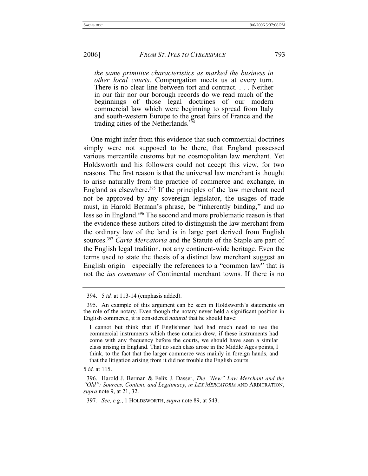*the same primitive characteristics as marked the business in other local courts*. Compurgation meets us at every turn. There is no clear line between tort and contract. . . . Neither in our fair nor our borough records do we read much of the beginnings of those legal doctrines of our modern commercial law which were beginning to spread from Italy and south-western Europe to the great fairs of France and the trading cities of the Netherlands. $3\overline{9}$ 

One might infer from this evidence that such commercial doctrines simply were not supposed to be there, that England possessed various mercantile customs but no cosmopolitan law merchant. Yet Holdsworth and his followers could not accept this view, for two reasons. The first reason is that the universal law merchant is thought to arise naturally from the practice of commerce and exchange, in England as elsewhere.<sup>395</sup> If the principles of the law merchant need not be approved by any sovereign legislator, the usages of trade must, in Harold Berman's phrase, be "inherently binding," and no less so in England.396 The second and more problematic reason is that the evidence these authors cited to distinguish the law merchant from the ordinary law of the land is in large part derived from English sources.397 *Carta Mercatoria* and the Statute of the Staple are part of the English legal tradition, not any continent-wide heritage. Even the terms used to state the thesis of a distinct law merchant suggest an English origin—especially the references to a "common law" that is not the *ius commune* of Continental merchant towns. If there is no

 <sup>394. 5</sup> *id.* at 113-14 (emphasis added).

 <sup>395.</sup> An example of this argument can be seen in Holdsworth's statements on the role of the notary. Even though the notary never held a significant position in English commerce, it is considered *natural* that he should have:

I cannot but think that if Englishmen had had much need to use the commercial instruments which these notaries drew, if these instruments had come with any frequency before the courts, we should have seen a similar class arising in England. That no such class arose in the Middle Ages points, I think, to the fact that the larger commerce was mainly in foreign hands, and that the litigation arising from it did not trouble the English courts.

<sup>5</sup> *id.* at 115.

 <sup>396.</sup> Harold J. Berman & Felix J. Dasser, *The "New" Law Merchant and the "Old": Sources, Content, and Legitimacy*, *in LEX MERCATORIA* AND ARBITRATION, *supra* note 9, at 21, 32.

<sup>397</sup>*. See, e.g.*, 1 HOLDSWORTH, *supra* note 89, at 543.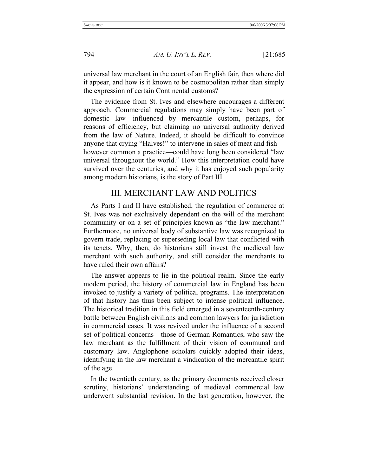universal law merchant in the court of an English fair, then where did it appear, and how is it known to be cosmopolitan rather than simply the expression of certain Continental customs?

The evidence from St. Ives and elsewhere encourages a different approach. Commercial regulations may simply have been part of domestic law—influenced by mercantile custom, perhaps, for reasons of efficiency, but claiming no universal authority derived from the law of Nature. Indeed, it should be difficult to convince anyone that crying "Halves!" to intervene in sales of meat and fish however common a practice—could have long been considered "law universal throughout the world." How this interpretation could have survived over the centuries, and why it has enjoyed such popularity among modern historians, is the story of Part III.

# III. MERCHANT LAW AND POLITICS

As Parts I and II have established, the regulation of commerce at St. Ives was not exclusively dependent on the will of the merchant community or on a set of principles known as "the law merchant." Furthermore, no universal body of substantive law was recognized to govern trade, replacing or superseding local law that conflicted with its tenets. Why, then, do historians still invest the medieval law merchant with such authority, and still consider the merchants to have ruled their own affairs?

The answer appears to lie in the political realm. Since the early modern period, the history of commercial law in England has been invoked to justify a variety of political programs. The interpretation of that history has thus been subject to intense political influence. The historical tradition in this field emerged in a seventeenth-century battle between English civilians and common lawyers for jurisdiction in commercial cases. It was revived under the influence of a second set of political concerns—those of German Romantics, who saw the law merchant as the fulfillment of their vision of communal and customary law. Anglophone scholars quickly adopted their ideas, identifying in the law merchant a vindication of the mercantile spirit of the age.

In the twentieth century, as the primary documents received closer scrutiny, historians' understanding of medieval commercial law underwent substantial revision. In the last generation, however, the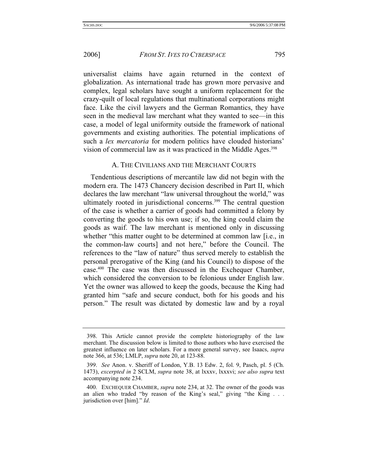universalist claims have again returned in the context of globalization. As international trade has grown more pervasive and complex, legal scholars have sought a uniform replacement for the crazy-quilt of local regulations that multinational corporations might face. Like the civil lawyers and the German Romantics, they have seen in the medieval law merchant what they wanted to see—in this case, a model of legal uniformity outside the framework of national governments and existing authorities. The potential implications of such a *lex mercatoria* for modern politics have clouded historians' vision of commercial law as it was practiced in the Middle Ages.<sup>398</sup>

# A. THE CIVILIANS AND THE MERCHANT COURTS

Tendentious descriptions of mercantile law did not begin with the modern era. The 1473 Chancery decision described in Part II, which declares the law merchant "law universal throughout the world," was ultimately rooted in jurisdictional concerns.<sup>399</sup> The central question of the case is whether a carrier of goods had committed a felony by converting the goods to his own use; if so, the king could claim the goods as waif. The law merchant is mentioned only in discussing whether "this matter ought to be determined at common law [i.e., in the common-law courts] and not here," before the Council. The references to the "law of nature" thus served merely to establish the personal prerogative of the King (and his Council) to dispose of the case.400 The case was then discussed in the Exchequer Chamber, which considered the conversion to be felonious under English law. Yet the owner was allowed to keep the goods, because the King had granted him "safe and secure conduct, both for his goods and his person." The result was dictated by domestic law and by a royal

 <sup>398.</sup> This Article cannot provide the complete historiography of the law merchant. The discussion below is limited to those authors who have exercised the greatest influence on later scholars. For a more general survey, see Isaacs, *supra* note 366, at 536; LMLP, *supra* note 20, at 123-88.

 <sup>399.</sup> *See* Anon. v. Sheriff of London, Y.B. 13 Edw. 2, fol. 9, Pasch, pl. 5 (Ch. 1473), *excerpted in* 2 SCLM, *supra* note 38, at lxxxv, lxxxvi; *see also supra* text accompanying note 234.

 <sup>400.</sup> EXCHEQUER CHAMBER, *supra* note 234, at 32. The owner of the goods was an alien who traded "by reason of the King's seal," giving "the King . . . jurisdiction over [him]." *Id*.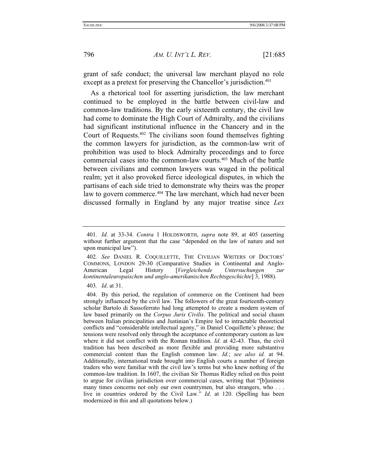grant of safe conduct; the universal law merchant played no role except as a pretext for preserving the Chancellor's jurisdiction.<sup>401</sup>

As a rhetorical tool for asserting jurisdiction, the law merchant continued to be employed in the battle between civil-law and common-law traditions. By the early sixteenth century, the civil law had come to dominate the High Court of Admiralty, and the civilians had significant institutional influence in the Chancery and in the Court of Requests.402 The civilians soon found themselves fighting the common lawyers for jurisdiction, as the common-law writ of prohibition was used to block Admiralty proceedings and to force commercial cases into the common-law courts.403 Much of the battle between civilians and common lawyers was waged in the political realm; yet it also provoked fierce ideological disputes, in which the partisans of each side tried to demonstrate why theirs was the proper law to govern commerce.<sup>404</sup> The law merchant, which had never been discussed formally in England by any major treatise since *Lex* 

403*. Id*. at 31.

<sup>401</sup>*. Id*. at 33-34. *Contra* 1 HOLDSWORTH, *supra* note 89, at 405 (asserting without further argument that the case "depended on the law of nature and not upon municipal law").

<sup>402</sup>*. See* DANIEL R. COQUILLETTE, THE CIVILIAN WRITERS OF DOCTORS' COMMONS, LONDON 29-30 (Comparative Studies in Continental and Anglo-American Legal History [*Vergleichende Untersuchungen zur kontinentaleuropaischen und anglo-amerikanischen Rechtsgeschichte*] 3, 1988).

 <sup>404.</sup> By this period, the regulation of commerce on the Continent had been strongly influenced by the civil law. The followers of the great fourteenth-century scholar Bartolo di Sassoferrato had long attempted to create a modern system of law based primarily on the *Corpus Juris Civilis*. The political and social chasm between Italian principalities and Justinian's Empire led to intractable theoretical conflicts and "considerable intellectual agony," in Daniel Coquillette's phrase; the tensions were resolved only through the acceptance of contemporary custom as law where it did not conflict with the Roman tradition. *Id*. at 42-43. Thus, the civil tradition has been described as more flexible and providing more substantive commercial content than the English common law. *Id.*; *see also id.* at 94. Additionally, international trade brought into English courts a number of foreign traders who were familiar with the civil law's terms but who knew nothing of the common-law tradition. In 1607, the civilian Sir Thomas Ridley relied on this point to argue for civilian jurisdiction over commercial cases, writing that "[b]usiness many times concerns not only our own countrymen, but also strangers, who . . . live in countries ordered by the Civil Law." *Id*. at 120. (Spelling has been modernized in this and all quotations below.)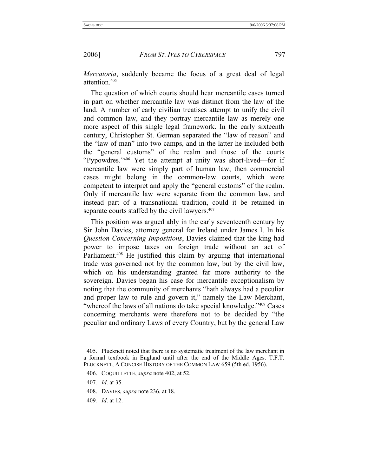*Mercatoria*, suddenly became the focus of a great deal of legal attention.405

The question of which courts should hear mercantile cases turned in part on whether mercantile law was distinct from the law of the land. A number of early civilian treatises attempt to unify the civil and common law, and they portray mercantile law as merely one more aspect of this single legal framework. In the early sixteenth century, Christopher St. German separated the "law of reason" and the "law of man" into two camps, and in the latter he included both the "general customs" of the realm and those of the courts "Pypowdres."406 Yet the attempt at unity was short-lived—for if mercantile law were simply part of human law, then commercial cases might belong in the common-law courts, which were competent to interpret and apply the "general customs" of the realm. Only if mercantile law were separate from the common law, and instead part of a transnational tradition, could it be retained in separate courts staffed by the civil lawyers.<sup>407</sup>

This position was argued ably in the early seventeenth century by Sir John Davies, attorney general for Ireland under James I. In his *Question Concerning Impositions*, Davies claimed that the king had power to impose taxes on foreign trade without an act of Parliament.<sup>408</sup> He justified this claim by arguing that international trade was governed not by the common law, but by the civil law, which on his understanding granted far more authority to the sovereign. Davies began his case for mercantile exceptionalism by noting that the community of merchants "hath always had a peculiar and proper law to rule and govern it," namely the Law Merchant, "whereof the laws of all nations do take special knowledge."<sup>409</sup> Cases concerning merchants were therefore not to be decided by "the peculiar and ordinary Laws of every Country, but by the general Law

 <sup>405.</sup> Plucknett noted that there is no systematic treatment of the law merchant in a formal textbook in England until after the end of the Middle Ages. T.F.T. PLUCKNETT, A CONCISE HISTORY OF THE COMMON LAW 659 (5th ed. 1956).

 <sup>406.</sup> COQUILLETTE, *supra* note 402, at 52.

<sup>407</sup>*. Id*. at 35.

 <sup>408.</sup> DAVIES, *supra* note 236, at 18.

<sup>409</sup>*. Id*. at 12.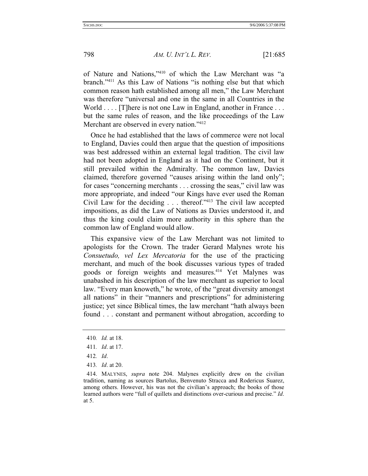of Nature and Nations,"410 of which the Law Merchant was "a branch."411 As this Law of Nations "is nothing else but that which common reason hath established among all men," the Law Merchant was therefore "universal and one in the same in all Countries in the World . . . . [T] here is not one Law in England, another in France . . . but the same rules of reason, and the like proceedings of the Law Merchant are observed in every nation."412

Once he had established that the laws of commerce were not local to England, Davies could then argue that the question of impositions was best addressed within an external legal tradition. The civil law had not been adopted in England as it had on the Continent, but it still prevailed within the Admiralty. The common law, Davies claimed, therefore governed "causes arising within the land only"; for cases "concerning merchants . . . crossing the seas," civil law was more appropriate, and indeed "our Kings have ever used the Roman Civil Law for the deciding . . . thereof."413 The civil law accepted impositions, as did the Law of Nations as Davies understood it, and thus the king could claim more authority in this sphere than the common law of England would allow.

This expansive view of the Law Merchant was not limited to apologists for the Crown. The trader Gerard Malynes wrote his *Consuetudo, vel Lex Mercatoria* for the use of the practicing merchant, and much of the book discusses various types of traded goods or foreign weights and measures.<sup>414</sup> Yet Malynes was unabashed in his description of the law merchant as superior to local law. "Every man knoweth," he wrote, of the "great diversity amongst all nations" in their "manners and prescriptions" for administering justice; yet since Biblical times, the law merchant "hath always been found . . . constant and permanent without abrogation, according to

- 412*. Id*.
- 413*. Id*. at 20.

<sup>410</sup>*. Id.* at 18.

<sup>411</sup>*. Id*. at 17.

 <sup>414.</sup> MALYNES, *supra* note 204. Malynes explicitly drew on the civilian tradition, naming as sources Bartolus, Benvenuto Stracca and Rodericus Suarez, among others. However, his was not the civilian's approach; the books of those learned authors were "full of quillets and distinctions over-curious and precise." *Id*. at 5.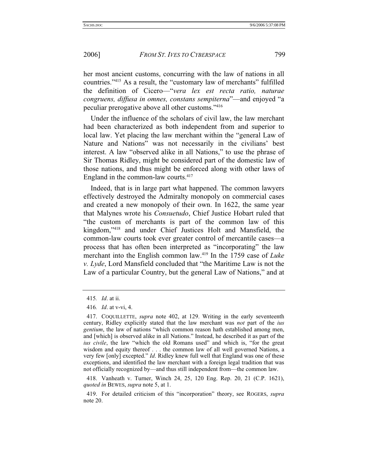her most ancient customs, concurring with the law of nations in all countries."415 As a result, the "customary law of merchants" fulfilled the definition of Cicero—"*vera lex est recta ratio, naturae congruens, diffusa in omnes, constans sempiterna*"—and enjoyed "a peculiar prerogative above all other customs."416

Under the influence of the scholars of civil law, the law merchant had been characterized as both independent from and superior to local law. Yet placing the law merchant within the "general Law of Nature and Nations" was not necessarily in the civilians' best interest. A law "observed alike in all Nations," to use the phrase of Sir Thomas Ridley, might be considered part of the domestic law of those nations, and thus might be enforced along with other laws of England in the common-law courts. $417$ 

Indeed, that is in large part what happened. The common lawyers effectively destroyed the Admiralty monopoly on commercial cases and created a new monopoly of their own. In 1622, the same year that Malynes wrote his *Consuetudo*, Chief Justice Hobart ruled that "the custom of merchants is part of the common law of this kingdom,"418 and under Chief Justices Holt and Mansfield, the common-law courts took ever greater control of mercantile cases—a process that has often been interpreted as "incorporating" the law merchant into the English common law.419 In the 1759 case of *Luke v. Lyde*, Lord Mansfield concluded that "the Maritime Law is not the Law of a particular Country, but the general Law of Nations," and at

<sup>415</sup>*. Id*. at ii.

<sup>416</sup>*. Id*. at v-vi, 4.

 <sup>417.</sup> COQUILLETTE, *supra* note 402, at 129. Writing in the early seventeenth century, Ridley explicitly stated that the law merchant was *not* part of the *ius gentium*, the law of nations "which common reason hath established among men, and [which] is observed alike in all Nations." Instead, he described it as part of the *ius civile*, the law "which the old Romans used" and which is, "for the great wisdom and equity thereof . . . the common law of all well governed Nations, a very few [only] excepted." *Id*. Ridley knew full well that England was one of these exceptions, and identified the law merchant with a foreign legal tradition that was not officially recognized by—and thus still independent from—the common law.

 <sup>418.</sup> Vanheath v. Turner, Winch 24, 25, 120 Eng. Rep. 20, 21 (C.P. 1621), *quoted in* BEWES, *supra* note 5, at 1.

 <sup>419.</sup> For detailed criticism of this "incorporation" theory, see ROGERS, *supra* note 20.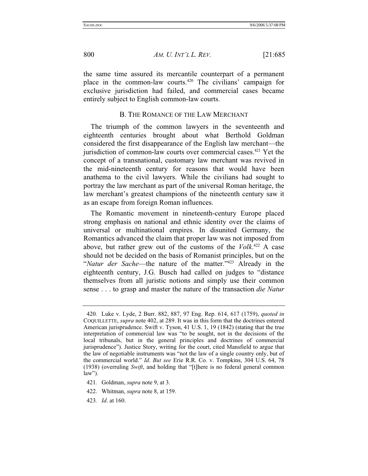the same time assured its mercantile counterpart of a permanent place in the common-law courts.420 The civilians' campaign for exclusive jurisdiction had failed, and commercial cases became entirely subject to English common-law courts.

#### B. THE ROMANCE OF THE LAW MERCHANT

The triumph of the common lawyers in the seventeenth and eighteenth centuries brought about what Berthold Goldman considered the first disappearance of the English law merchant—the jurisdiction of common-law courts over commercial cases.<sup>421</sup> Yet the concept of a transnational, customary law merchant was revived in the mid-nineteenth century for reasons that would have been anathema to the civil lawyers. While the civilians had sought to portray the law merchant as part of the universal Roman heritage, the law merchant's greatest champions of the nineteenth century saw it as an escape from foreign Roman influences.

The Romantic movement in nineteenth-century Europe placed strong emphasis on national and ethnic identity over the claims of universal or multinational empires. In disunited Germany, the Romantics advanced the claim that proper law was not imposed from above, but rather grew out of the customs of the *Volk*. 422 A case should not be decided on the basis of Romanist principles, but on the "*Natur der Sache*—the nature of the matter."423 Already in the eighteenth century, J.G. Busch had called on judges to "distance themselves from all juristic notions and simply use their common sense . . . to grasp and master the nature of the transaction *die Natur* 

- 422. Whitman, *supra* note 8, at 159.
- 423*. Id*. at 160.

<sup>420</sup>*.* Luke v. Lyde, 2 Burr. 882, 887, 97 Eng. Rep. 614, 617 (1759), *quoted in* COQUILLETTE, *supra* note 402, at 289. It was in this form that the doctrines entered American jurisprudence. Swift v. Tyson, 41 U.S. 1, 19 (1842) (stating that the true interpretation of commercial law was "to be sought, not in the decisions of the local tribunals, but in the general principles and doctrines of commercial jurisprudence"). Justice Story, writing for the court, cited Mansfield to argue that the law of negotiable instruments was "not the law of a single country only, but of the commercial world." *Id*. *But see* Erie R.R. Co. v. Tompkins, 304 U.S. 64, 78 (1938) (overruling *Swift*, and holding that "[t]here is no federal general common law").

<sup>421</sup>*.* Goldman, *supra* note 9, at 3.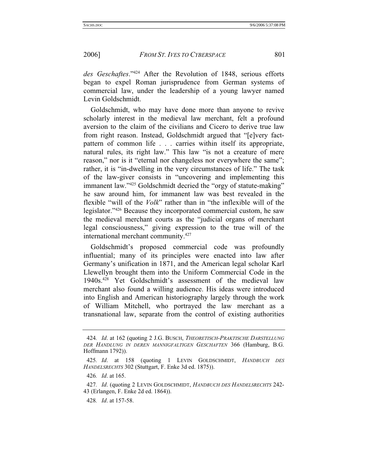*des Geschaftes*."424 After the Revolution of 1848, serious efforts began to expel Roman jurisprudence from German systems of commercial law, under the leadership of a young lawyer named Levin Goldschmidt.

Goldschmidt, who may have done more than anyone to revive scholarly interest in the medieval law merchant, felt a profound aversion to the claim of the civilians and Cicero to derive true law from right reason. Instead, Goldschmidt argued that "[e]very factpattern of common life . . . carries within itself its appropriate, natural rules, its right law." This law "is not a creature of mere reason," nor is it "eternal nor changeless nor everywhere the same"; rather, it is "in-dwelling in the very circumstances of life." The task of the law-giver consists in "uncovering and implementing this immanent law."425 Goldschmidt decried the "orgy of statute-making" he saw around him, for immanent law was best revealed in the flexible "will of the *Volk*" rather than in "the inflexible will of the legislator."426 Because they incorporated commercial custom, he saw the medieval merchant courts as the "judicial organs of merchant legal consciousness," giving expression to the true will of the international merchant community.427

Goldschmidt's proposed commercial code was profoundly influential; many of its principles were enacted into law after Germany's unification in 1871, and the American legal scholar Karl Llewellyn brought them into the Uniform Commercial Code in the 1940s.428 Yet Goldschmidt's assessment of the medieval law merchant also found a willing audience. His ideas were introduced into English and American historiography largely through the work of William Mitchell, who portrayed the law merchant as a transnational law, separate from the control of existing authorities

428*. Id*. at 157-58.

<sup>424</sup>*. Id*. at 162 (quoting 2 J.G. BUSCH, *THEORETISCH-PRAKTISCHE DARSTELLUNG DER HANDLUNG IN DEREN MANNIGFALTIGEN GESCHAFTEN* 366 (Hamburg, B.G. Hoffmann 1792)).

<sup>425</sup>*. Id*. at 158 (quoting 1 LEVIN GOLDSCHMIDT, *HANDBUCH DES HANDELSRECHTS* 302 (Stuttgart, F. Enke 3d ed. 1875)).

<sup>426</sup>*. Id*. at 165.

<sup>427</sup>*. Id*. (quoting 2 LEVIN GOLDSCHMIDT, *HANDBUCH DES HANDELSRECHTS* 242- 43 (Erlangen, F. Enke 2d ed. 1864)).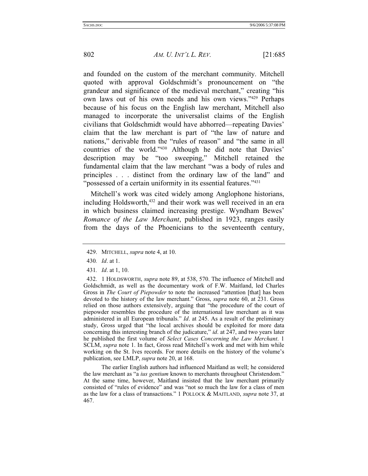and founded on the custom of the merchant community. Mitchell quoted with approval Goldschmidt's pronouncement on "the grandeur and significance of the medieval merchant," creating "his own laws out of his own needs and his own views."429 Perhaps because of his focus on the English law merchant, Mitchell also managed to incorporate the universalist claims of the English civilians that Goldschmidt would have abhorred—repeating Davies' claim that the law merchant is part of "the law of nature and nations," derivable from the "rules of reason" and "the same in all countries of the world."430 Although he did note that Davies' description may be "too sweeping," Mitchell retained the fundamental claim that the law merchant "was a body of rules and principles . . . distinct from the ordinary law of the land" and "possessed of a certain uniformity in its essential features."<sup>431</sup>

Mitchell's work was cited widely among Anglophone historians, including Holdsworth,<sup>432</sup> and their work was well received in an era in which business claimed increasing prestige. Wyndham Bewes' *Romance of the Law Merchant*, published in 1923, ranges easily from the days of the Phoenicians to the seventeenth century,

 The earlier English authors had influenced Maitland as well; he considered the law merchant as "a *ius gentium* known to merchants throughout Christendom." At the same time, however, Maitland insisted that the law merchant primarily consisted of "rules of evidence" and was "not so much the law for a class of men as the law for a class of transactions." 1 POLLOCK & MAITLAND, *supra* note 37, at 467.

 <sup>429.</sup> MITCHELL, *supra* note 4, at 10.

<sup>430</sup>*. Id*. at 1.

<sup>431</sup>*. Id*. at 1, 10.

 <sup>432. 1</sup> HOLDSWORTH, *supra* note 89, at 538, 570. The influence of Mitchell and Goldschmidt, as well as the documentary work of F.W. Maitland, led Charles Gross in *The Court of Piepowder* to note the increased "attention [that] has been devoted to the history of the law merchant." Gross, *supra* note 60, at 231. Gross relied on those authors extensively, arguing that "the procedure of the court of piepowder resembles the procedure of the international law merchant as it was administered in all European tribunals." *Id*. at 245. As a result of the preliminary study, Gross urged that "the local archives should be exploited for more data concerning this interesting branch of the judicature," *id*. at 247, and two years later he published the first volume of *Select Cases Concerning the Law Merchant*. 1 SCLM, *supra* note 1. In fact, Gross read Mitchell's work and met with him while working on the St. Ives records. For more details on the history of the volume's publication, see LMLP, *supra* note 20, at 168.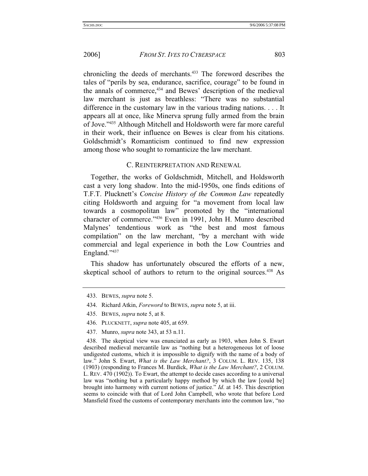chronicling the deeds of merchants.433 The foreword describes the tales of "perils by sea, endurance, sacrifice, courage" to be found in the annals of commerce,<sup>434</sup> and Bewes' description of the medieval law merchant is just as breathless: "There was no substantial difference in the customary law in the various trading nations. . . . It appears all at once, like Minerva sprung fully armed from the brain of Jove."435 Although Mitchell and Holdsworth were far more careful in their work, their influence on Bewes is clear from his citations. Goldschmidt's Romanticism continued to find new expression among those who sought to romanticize the law merchant.

## C. REINTERPRETATION AND RENEWAL

Together, the works of Goldschmidt, Mitchell, and Holdsworth cast a very long shadow. Into the mid-1950s, one finds editions of T.F.T. Plucknett's *Concise History of the Common Law* repeatedly citing Holdsworth and arguing for "a movement from local law towards a cosmopolitan law" promoted by the "international character of commerce."436 Even in 1991, John H. Munro described Malynes' tendentious work as "the best and most famous compilation" on the law merchant, "by a merchant with wide commercial and legal experience in both the Low Countries and England."437

This shadow has unfortunately obscured the efforts of a new, skeptical school of authors to return to the original sources.<sup>438</sup> As

- 436. PLUCKNETT, *supra* note 405, at 659.
- 437. Munro, *supra* note 343, at 53 n.11.

 438. The skeptical view was enunciated as early as 1903, when John S. Ewart described medieval mercantile law as "nothing but a heterogeneous lot of loose undigested customs, which it is impossible to dignify with the name of a body of law." John S. Ewart, *What is the Law Merchant?*, 3 COLUM. L. REV. 135, 138 (1903) (responding to Frances M. Burdick, *What is the Law Merchant?*, 2 COLUM. L. REV. 470 (1902)). To Ewart, the attempt to decide cases according to a universal law was "nothing but a particularly happy method by which the law [could be] brought into harmony with current notions of justice." *Id*. at 145. This description seems to coincide with that of Lord John Campbell, who wrote that before Lord Mansfield fixed the customs of contemporary merchants into the common law, "no

 <sup>433.</sup> BEWES, *supra* note 5.

 <sup>434.</sup> Richard Atkin, *Foreword* to BEWES, *supra* note 5, at iii.

 <sup>435.</sup> BEWES, *supra* note 5, at 8.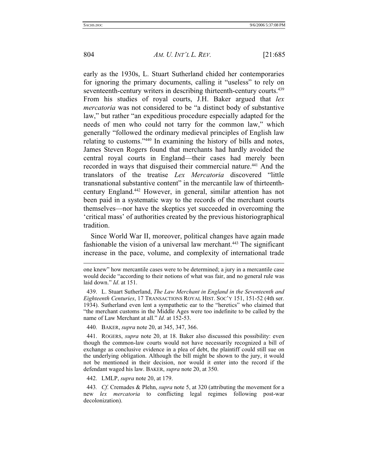804 *AM. U. INT'L L. REV.* [21:685

early as the 1930s, L. Stuart Sutherland chided her contemporaries for ignoring the primary documents, calling it "useless" to rely on seventeenth-century writers in describing thirteenth-century courts.<sup>439</sup> From his studies of royal courts, J.H. Baker argued that *lex mercatoria* was not considered to be "a distinct body of substantive law," but rather "an expeditious procedure especially adapted for the needs of men who could not tarry for the common law," which generally "followed the ordinary medieval principles of English law relating to customs."440 In examining the history of bills and notes, James Steven Rogers found that merchants had hardly avoided the central royal courts in England—their cases had merely been recorded in ways that disguised their commercial nature.<sup>441</sup> And the translators of the treatise *Lex Mercatoria* discovered "little transnational substantive content" in the mercantile law of thirteenthcentury England.442 However, in general, similar attention has not been paid in a systematic way to the records of the merchant courts themselves—nor have the skeptics yet succeeded in overcoming the 'critical mass' of authorities created by the previous historiographical tradition.

Since World War II, moreover, political changes have again made fashionable the vision of a universal law merchant.<sup>443</sup> The significant increase in the pace, volume, and complexity of international trade

440. BAKER, *supra* note 20, at 345, 347, 366.

 441. ROGERS, *supra* note 20, at 18. Baker also discussed this possibility: even though the common-law courts would not have necessarily recognized a bill of exchange as conclusive evidence in a plea of debt, the plaintiff could still sue on the underlying obligation. Although the bill might be shown to the jury, it would not be mentioned in their decision, nor would it enter into the record if the defendant waged his law. BAKER, *supra* note 20, at 350.

442. LMLP, *supra* note 20, at 179.

443*. Cf*. Cremades & Plehn, *supra* note 5, at 320 (attributing the movement for a new *lex mercatoria* to conflicting legal regimes following post-war decolonization).

one knew" how mercantile cases were to be determined; a jury in a mercantile case would decide "according to their notions of what was fair, and no general rule was laid down." *Id*. at 151.

 <sup>439.</sup> L. Stuart Sutherland, *The Law Merchant in England in the Seventeenth and Eighteenth Centuries*, 17 TRANSACTIONS ROYAL HIST. SOC'Y 151, 151-52 (4th ser. 1934). Sutherland even lent a sympathetic ear to the "heretics" who claimed that "the merchant customs in the Middle Ages were too indefinite to be called by the name of Law Merchant at all." *Id*. at 152-53.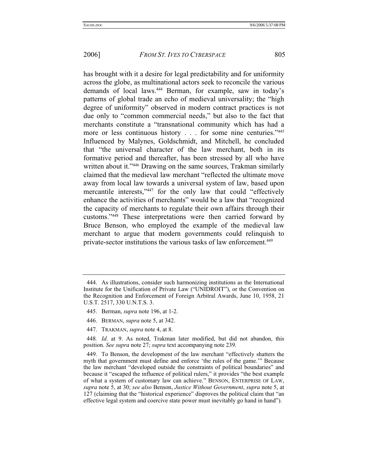has brought with it a desire for legal predictability and for uniformity across the globe, as multinational actors seek to reconcile the various demands of local laws.444 Berman, for example, saw in today's patterns of global trade an echo of medieval universality; the "high degree of uniformity" observed in modern contract practices is not due only to "common commercial needs," but also to the fact that merchants constitute a "transnational community which has had a more or less continuous history . . . for some nine centuries."445 Influenced by Malynes, Goldschmidt, and Mitchell, he concluded that "the universal character of the law merchant, both in its formative period and thereafter, has been stressed by all who have written about it."<sup>446</sup> Drawing on the same sources, Trakman similarly claimed that the medieval law merchant "reflected the ultimate move away from local law towards a universal system of law, based upon mercantile interests,"447 for the only law that could "effectively" enhance the activities of merchants" would be a law that "recognized the capacity of merchants to regulate their own affairs through their customs."448 These interpretations were then carried forward by Bruce Benson, who employed the example of the medieval law merchant to argue that modern governments could relinquish to private-sector institutions the various tasks of law enforcement.<sup>449</sup>

 <sup>444.</sup> As illustrations, consider such harmonizing institutions as the International Institute for the Unification of Private Law ("UNIDROIT"), or the Convention on the Recognition and Enforcement of Foreign Arbitral Awards, June 10, 1958, 21 U.S.T. 2517, 330 U.N.T.S. 3.

 <sup>445.</sup> Berman, *supra* note 196, at 1-2.

 <sup>446.</sup> BERMAN, *supra* note 5, at 342.

 <sup>447.</sup> TRAKMAN, *supra* note 4, at 8.

<sup>448</sup>*. Id*. at 9. As noted, Trakman later modified, but did not abandon, this position. *See supra* note 27; *supra* text accompanying note 239.

 <sup>449.</sup> To Benson, the development of the law merchant "effectively shatters the myth that government must define and enforce 'the rules of the game.'" Because the law merchant "developed outside the constraints of political boundaries" and because it "escaped the influence of political rulers," it provides "the best example of what a system of customary law can achieve." BENSON, ENTERPRISE OF LAW, *supra* note 5, at 30; *see also* Benson, *Justice Without Government*, *supra* note 5, at 127 (claiming that the "historical experience" disproves the political claim that "an effective legal system and coercive state power must inevitably go hand in hand").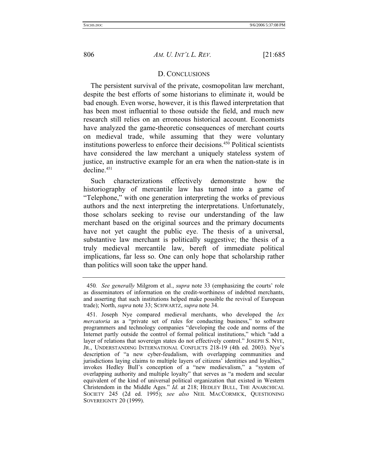## D. CONCLUSIONS

The persistent survival of the private, cosmopolitan law merchant, despite the best efforts of some historians to eliminate it, would be bad enough. Even worse, however, it is this flawed interpretation that has been most influential to those outside the field, and much new research still relies on an erroneous historical account. Economists have analyzed the game-theoretic consequences of merchant courts on medieval trade, while assuming that they were voluntary institutions powerless to enforce their decisions.<sup>450</sup> Political scientists have considered the law merchant a uniquely stateless system of justice, an instructive example for an era when the nation-state is in  $decline<sup>451</sup>$ </sup>

Such characterizations effectively demonstrate how the historiography of mercantile law has turned into a game of "Telephone," with one generation interpreting the works of previous authors and the next interpreting the interpretations. Unfortunately, those scholars seeking to revise our understanding of the law merchant based on the original sources and the primary documents have not yet caught the public eye. The thesis of a universal, substantive law merchant is politically suggestive; the thesis of a truly medieval mercantile law, bereft of immediate political implications, far less so. One can only hope that scholarship rather than politics will soon take the upper hand.

<sup>450</sup>*. See generally* Milgrom et al., *supra* note 33 (emphasizing the courts' role as disseminators of information on the credit-worthiness of indebted merchants, and asserting that such institutions helped make possible the revival of European trade); North, *supra* note 33; SCHWARTZ, *supra* note 34.

 <sup>451.</sup> Joseph Nye compared medieval merchants, who developed the *lex mercatoria* as a "private set of rules for conducting business," to software programmers and technology companies "developing the code and norms of the Internet partly outside the control of formal political institutions," which "add a layer of relations that sovereign states do not effectively control." JOSEPH S. NYE, JR., UNDERSTANDING INTERNATIONAL CONFLICTS 218-19 (4th ed. 2003). Nye's description of "a new cyber-feudalism, with overlapping communities and jurisdictions laying claims to multiple layers of citizens' identities and loyalties," invokes Hedley Bull's conception of a "new medievalism," a "system of overlapping authority and multiple loyalty" that serves as "a modern and secular equivalent of the kind of universal political organization that existed in Western Christendom in the Middle Ages." *Id*. at 218; HEDLEY BULL, THE ANARCHICAL SOCIETY 245 (2d ed. 1995); *see also* NEIL MACCORMICK, QUESTIONING SOVEREIGNTY 20 (1999).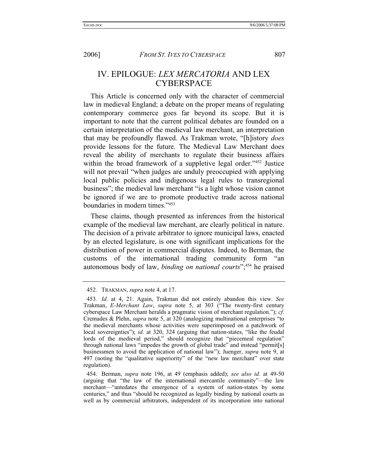IV. EPILOGUE: *LEX MERCATORIA* AND LEX **CYBERSPACE** 

This Article is concerned only with the character of commercial law in medieval England; a debate on the proper means of regulating contemporary commerce goes far beyond its scope. But it is important to note that the current political debates are founded on a certain interpretation of the medieval law merchant, an interpretation that may be profoundly flawed. As Trakman wrote, "[h]istory *does* provide lessons for the future. The Medieval Law Merchant does reveal the ability of merchants to regulate their business affairs within the broad framework of a suppletive legal order."<sup>452</sup> Justice will not prevail "when judges are unduly preoccupied with applying local public policies and indigenous legal rules to transregional business"; the medieval law merchant "is a light whose vision cannot be ignored if we are to promote productive trade across national boundaries in modern times."453

These claims, though presented as inferences from the historical example of the medieval law merchant, are clearly political in nature. The decision of a private arbitrator to ignore municipal laws, enacted by an elected legislature, is one with significant implications for the distribution of power in commercial disputes. Indeed, to Berman, the customs of the international trading community form "an autonomous body of law, *binding on national courts*";454 he praised

 <sup>452.</sup> TRAKMAN, *supra* note 4, at 17.

<sup>453</sup>*. Id*. at 4, 21. Again, Trakman did not entirely abandon this view. *See* Trakman, *E-Merchant Law*, *supra* note 5, at 303 ("The twenty-first century cyberspace Law Merchant heralds a pragmatic vision of merchant regulation."); *cf*. Cremades & Plehn, *supra* note 5, at 320 (analogizing multinational enterprises "to the medieval merchants whose activities were superimposed on a patchwork of local sovereignties"); *id*. at 320, 324 (arguing that nation-states, "like the feudal lords of the medieval period," should recognize that "piecemeal regulation" through national laws "impedes the growth of global trade" and instead "permit[s] businessmen to avoid the application of national law"); Juenger, *supra* note 9, at 497 (noting the "qualitative superiority" of the "new law merchant" over state regulation).

 <sup>454.</sup> Berman, *supra* note 196, at 49 (emphasis added); *see also id*. at 49-50 (arguing that "the law of the international mercantile community"—the law merchant—"antedates the emergence of a system of nation-states by some centuries," and thus "should be recognized as legally binding by national courts as well as by commercial arbitrators, independent of its incorporation into national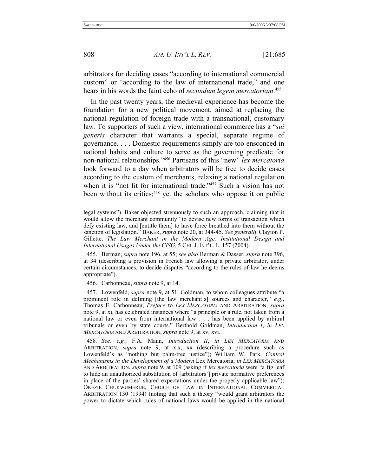808 *AM. U. INT'L L. REV.* [21:685

arbitrators for deciding cases "according to international commercial custom" or "according to the law of international trade," and one hears in his words the faint echo of *secundum legem mercatoriam*. 455

In the past twenty years, the medieval experience has become the foundation for a new political movement, aimed at replacing the national regulation of foreign trade with a transnational, customary law. To supporters of such a view, international commerce has a "*sui generis* character that warrants a special, separate regime of governance. . . . Domestic requirements simply are too ensconced in national habits and culture to serve as the governing predicate for non-national relationships."456 Partisans of this "new" *lex mercatoria* look forward to a day when arbitrators will be free to decide cases according to the custom of merchants, relaxing a national regulation when it is "not fit for international trade."<sup>457</sup> Such a vision has not been without its critics;<sup>458</sup> yet the scholars who oppose it on public

456. Carbonneau, *supra* note 9, at 14.

 457. Lowenfeld, *supra* note 9, at 51. Goldman, to whom colleagues attribute "a prominent role in defining [the law merchant's] sources and character," *e.g.*, Thomas E. Carbonneau, *Preface* to *LEX MERCATORIA* AND ARBITRATION, *supra* note 9, at xi, has celebrated instances where "a principle or a rule, not taken from a national law or even from international law . . . has been applied by arbitral tribunals or even by state courts." Berthold Goldman, *Introduction I*, *in LEX MERCATORIA* AND ARBITRATION, *supra* note 9, at xv, xvi.

458*. See, e.g.*, F.A. Mann, *Introduction II*, *in LEX MERCATORIA* AND ARBITRATION, *supra* note 9, at xix, xx (describing a procedure such as Lowenfeld's as "nothing but palm-tree justice"); William W. Park, *Control Mechanisms in the Development of a Modern* Lex Mercatoria, *in LEX MERCATORIA* AND ARBITRATION, *supra* note 9, at 109 (asking if *lex mercatoria* were "a fig leaf to hide an unauthorized substitution of [arbitrators'] private normative preferences in place of the parties' shared expectations under the properly applicable law"); OKEZIE CHUKWUMERIJE, CHOICE OF LAW IN INTERNATIONAL COMMERCIAL ARBITRATION 130 (1994) (noting that such a theory "would grant arbitrators the power to dictate which rules of national laws would be applied in the national

legal systems"). Baker objected strenuously to such an approach, claiming that it would allow the merchant community "to devise new forms of transaction which defy existing law, and [entitle them] to have force breathed into them without the sanction of legislation." BAKER, *supra* note 20, at 344-45. *See generally* Clayton P. Gillette, *The Law Merchant in the Modern Age: Institutional Design and International Usages Under the CISG*, 5 CHI. J. INT'L. L. 157 (2004).

 <sup>455.</sup> Berman, *supra* note 196, at 55; *see also* Berman & Dasser, *supra* note 396, at 34 (describing a provision in French law allowing a private arbitrator, under certain circumstances, to decide disputes "according to the rules of law he deems appropriate").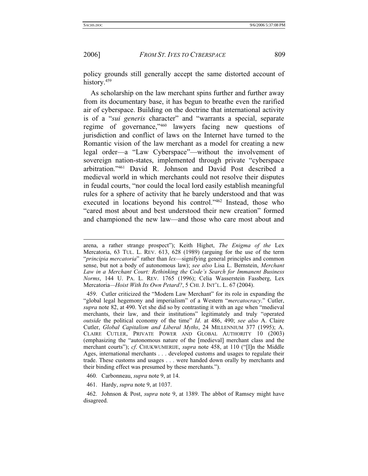2006] *FROM ST. IVES TO CYBERSPACE* 809

policy grounds still generally accept the same distorted account of history.<sup>459</sup>

As scholarship on the law merchant spins further and further away from its documentary base, it has begun to breathe even the rarified air of cyberspace. Building on the doctrine that international activity is of a "*sui generis* character" and "warrants a special, separate regime of governance,"460 lawyers facing new questions of jurisdiction and conflict of laws on the Internet have turned to the Romantic vision of the law merchant as a model for creating a new legal order—a "Law Cyberspace"—without the involvement of sovereign nation-states, implemented through private "cyberspace arbitration."461 David R. Johnson and David Post described a medieval world in which merchants could not resolve their disputes in feudal courts, "nor could the local lord easily establish meaningful rules for a sphere of activity that he barely understood and that was executed in locations beyond his control."462 Instead, those who "cared most about and best understood their new creation" formed and championed the new law—and those who care most about and

- 460. Carbonneau, *supra* note 9, at 14.
- 461. Hardy, *supra* note 9, at 1037.

arena, a rather strange prospect"); Keith Highet, *The Enigma of the* Lex Mercatoria, 63 TUL. L. REV. 613, 628 (1989) (arguing for the use of the term "*principia mercatoria*" rather than *lex*—signifying general principles and common sense, but not a body of autonomous law); *see also* Lisa L. Bernstein, *Merchant Law in a Merchant Court: Rethinking the Code's Search for Immanent Business Norms*, 144 U. PA. L. REV. 1765 (1996); Celia Wasserstein Fassberg, Lex Mercatoria*—Hoist With Its Own Petard?*, 5 CHI. J. INT'L. L. 67 (2004).

 <sup>459.</sup> Cutler criticized the "Modern Law Merchant" for its role in expanding the "global legal hegemony and imperialism" of a Western "*mercatocracy*." Cutler, *supra* note 82, at 490. Yet she did so by contrasting it with an age when "medieval merchants, their law, and their institutions" legitimately and truly "operated *outside* the political economy of the time" *Id*. at 486, 490; *see also* A. Claire Cutler, *Global Capitalism and Liberal Myths*, 24 MILLENNIUM 377 (1995); A. CLAIRE CUTLER, PRIVATE POWER AND GLOBAL AUTHORITY 10 (2003) (emphasizing the "autonomous nature of the [medieval] merchant class and the merchant courts"); *cf*. CHUKWUMERIJE, *supra* note 458, at 110 ("[I]n the Middle Ages, international merchants . . . developed customs and usages to regulate their trade. These customs and usages . . . were handed down orally by merchants and their binding effect was presumed by these merchants.").

 <sup>462.</sup> Johnson & Post, *supra* note 9, at 1389. The abbot of Ramsey might have disagreed.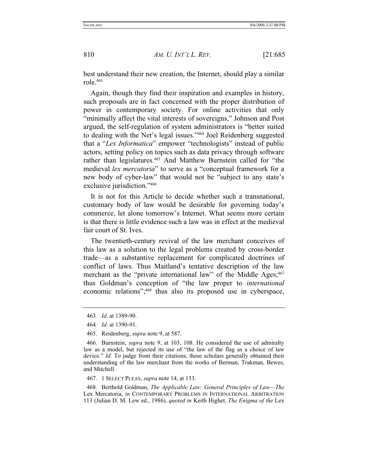best understand their new creation, the Internet, should play a similar role.463

Again, though they find their inspiration and examples in history, such proposals are in fact concerned with the proper distribution of power in contemporary society. For online activities that only "minimally affect the vital interests of sovereigns," Johnson and Post argued, the self-regulation of system administrators is "better suited to dealing with the Net's legal issues."464 Joel Reidenberg suggested that a "*Lex Informatica*" empower "technologists" instead of public actors, setting policy on topics such as data privacy through software rather than legislatures.<sup>465</sup> And Matthew Burnstein called for "the medieval *lex mercatoria*" to serve as a "conceptual framework for a new body of cyber-law" that would not be "subject to any state's exclusive jurisdiction."466

It is not for this Article to decide whether such a transnational, customary body of law would be desirable for governing today's commerce, let alone tomorrow's Internet. What seems more certain is that there is little evidence such a law was in effect at the medieval fair court of St. Ives.

The twentieth-century revival of the law merchant conceives of this law as a solution to the legal problems created by cross-border trade—as a substantive replacement for complicated doctrines of conflict of laws. Thus Maitland's tentative description of the law merchant as the "private international law" of the Middle Ages; 467 thus Goldman's conception of "the law proper to *international* economic relations";468 thus also its proposed use in cyberspace,

467. 1 SELECT PLEAS, *supra* note 14, at 133.

 468. Berthold Goldman, *The Applicable Law: General Principles of Law—The*  Lex Mercatoria, *in* CONTEMPORARY PROBLEMS IN INTERNATIONAL ARBITRATION 113 (Julian D. M. Lew ed., 1986), *quoted in* Keith Highet, *The Enigma of the* Lex

<sup>463</sup>*. Id*. at 1389-90.

<sup>464</sup>*. Id*. at 1390-91.

 <sup>465.</sup> Reidenberg, *supra* note 9, at 587.

 <sup>466.</sup> Burnstein, *supra* note 9, at 103, 108. He considered the use of admiralty law as a model, but rejected its use of "the law of the flag as a choice of law device." *Id*. To judge from their citations, these scholars generally obtained their understanding of the law merchant from the works of Berman, Trakman, Bewes, and Mitchell.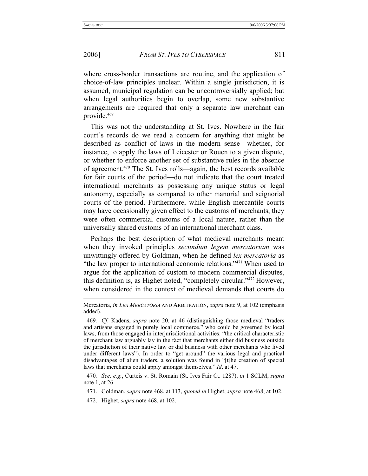# 2006] *FROM ST. IVES TO CYBERSPACE* 811

where cross-border transactions are routine, and the application of choice-of-law principles unclear. Within a single jurisdiction, it is assumed, municipal regulation can be uncontroversially applied; but when legal authorities begin to overlap, some new substantive arrangements are required that only a separate law merchant can provide.469

This was not the understanding at St. Ives. Nowhere in the fair court's records do we read a concern for anything that might be described as conflict of laws in the modern sense—whether, for instance, to apply the laws of Leicester or Rouen to a given dispute, or whether to enforce another set of substantive rules in the absence of agreement.470 The St. Ives rolls—again, the best records available for fair courts of the period—do not indicate that the court treated international merchants as possessing any unique status or legal autonomy, especially as compared to other manorial and seignorial courts of the period. Furthermore, while English mercantile courts may have occasionally given effect to the customs of merchants, they were often commercial customs of a local nature, rather than the universally shared customs of an international merchant class.

Perhaps the best description of what medieval merchants meant when they invoked principles *secundum legem mercatoriam* was unwittingly offered by Goldman, when he defined *lex mercatoria* as "the law proper to international economic relations."471 When used to argue for the application of custom to modern commercial disputes, this definition is, as Highet noted, "completely circular."472 However, when considered in the context of medieval demands that courts do

- 471. Goldman, *supra* note 468, at 113, *quoted in* Highet, *supra* note 468, at 102.
- 472. Highet, *supra* note 468, at 102.

Mercatoria, *in LEX MERCATORIA* AND ARBITRATION, *supra* note 9, at 102 (emphasis added).

<sup>469</sup>*. Cf*. Kadens, *supra* note 20, at 46 (distinguishing those medieval "traders and artisans engaged in purely local commerce," who could be governed by local laws, from those engaged in interjurisdictional activities: "the critical characteristic of merchant law arguably lay in the fact that merchants either did business outside the jurisdiction of their native law or did business with other merchants who lived under different laws"). In order to "get around" the various legal and practical disadvantages of alien traders, a solution was found in "[t]he creation of special laws that merchants could apply amongst themselves." *Id*. at 47.

<sup>470</sup>*. See, e.g.*, Curteis v. St. Romain (St. Ives Fair Ct. 1287), *in* 1 SCLM, *supra* note 1, at 26.